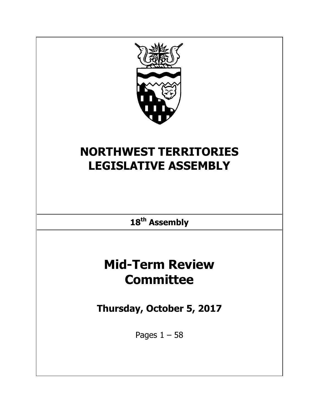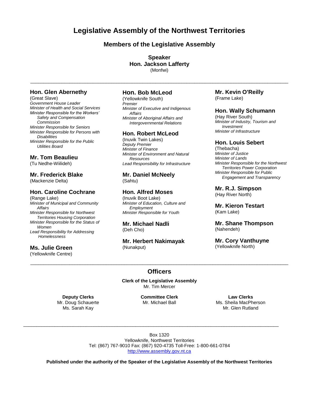**Legislative Assembly of the Northwest Territories**

# **Members of the Legislative Assembly**

**Speaker Hon. Jackson Lafferty** (Monfwi)

 $\_$  ,  $\_$  ,  $\_$  ,  $\_$  ,  $\_$  ,  $\_$  ,  $\_$  ,  $\_$  ,  $\_$  ,  $\_$  ,  $\_$  ,  $\_$  ,  $\_$  ,  $\_$  ,  $\_$  ,  $\_$  ,  $\_$  ,  $\_$  ,  $\_$  ,  $\_$  ,  $\_$  ,  $\_$  ,  $\_$  ,  $\_$  ,  $\_$  ,  $\_$  ,  $\_$  ,  $\_$  ,  $\_$  ,  $\_$  ,  $\_$  ,  $\_$  ,  $\_$  ,  $\_$  ,  $\_$  ,  $\_$  ,  $\_$  ,

## **Hon. Glen Abernethy**

(Great Slave) *Government House Leader Minister of Health and Social Services Minister Responsible for the Workers' Safety and Compensation Commission Minister Responsible for Seniors Minister Responsible for Persons with Disabilities Minister Responsible for the Public Utilities Board*

## **Mr. Tom Beaulieu**

(Tu Nedhe-Wiilideh)

## **Mr. Frederick Blake**

(Mackenzie Delta)

## **Hon. Caroline Cochrane**

(Range Lake) *Minister of Municipal and Community Affairs Minister Responsible for Northwest Territories Housing Corporation Minister Responsible for the Status of Women Lead Responsibility for Addressing Homelessness*

## **Ms. Julie Green**

(Yellowknife Centre)

# **Hon. Bob McLeod**

(Yellowknife South) *Premier Minister of Executive and Indigenous Affairs Minister of Aboriginal Affairs and Intergovernmental Relations*

## **Hon. Robert McLeod**

(Inuvik Twin Lakes) *Deputy Premier Minister of Finance Minister of Environment and Natural Resources Lead Responsibility for Infrastructure*

## **Mr. Daniel McNeely** (Sahtu)

## **Hon. Alfred Moses**

(Inuvik Boot Lake) *Minister of Education, Culture and Employment Minister Responsible for Youth*

#### **Mr. Michael Nadli** (Deh Cho)

## **Mr. Herbert Nakimayak** (Nunakput)

## **Mr. Kevin O'Reilly** (Frame Lake)

## **Hon. Wally Schumann**

(Hay River South) *Minister of Industry, Tourism and Investment Minister of Infrastructure*

## **Hon. Louis Sebert**

(Thebacha) *Minister of Justice Minister of Lands Minister Responsible for the Northwest Territories Power Corporation Minister Responsible for Public Engagement and Transparency*

# **Mr. R.J. Simpson**

(Hay River North)

## **Mr. Kieron Testart** (Kam Lake)

## **Mr. Shane Thompson** (Nahendeh)

**Mr. Cory Vanthuyne** (Yellowknife North)

# $\_$  ,  $\_$  ,  $\_$  ,  $\_$  ,  $\_$  ,  $\_$  ,  $\_$  ,  $\_$  ,  $\_$  ,  $\_$  ,  $\_$  ,  $\_$  ,  $\_$  ,  $\_$  ,  $\_$  ,  $\_$  ,  $\_$  ,  $\_$  ,  $\_$  ,  $\_$  ,  $\_$  ,  $\_$  ,  $\_$  ,  $\_$  ,  $\_$  ,  $\_$  ,  $\_$  ,  $\_$  ,  $\_$  ,  $\_$  ,  $\_$  ,  $\_$  ,  $\_$  ,  $\_$  ,  $\_$  ,  $\_$  ,  $\_$  , **Officers**

**Clerk of the Legislative Assembly** Mr. Tim Mercer

**Deputy Clerks** Mr. Doug Schauerte Ms. Sarah Kay

**Committee Clerk** Mr. Michael Ball

**Law Clerks** Ms. Sheila MacPherson Mr. Glen Rutland

Box 1320 Yellowknife, Northwest Territories Tel: (867) 767-9010 Fax: (867) 920-4735 Toll-Free: 1-800-661-0784 [http://www.assembly.gov.nt.ca](http://www.assembly.gov.nt.ca/)

 $\bot$  , and the state of the state of the state of the state of the state of the state of the state of the state of the state of the state of the state of the state of the state of the state of the state of the state of th

**Published under the authority of the Speaker of the Legislative Assembly of the Northwest Territories**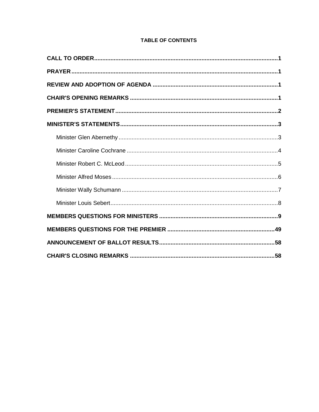# **TABLE OF CONTENTS**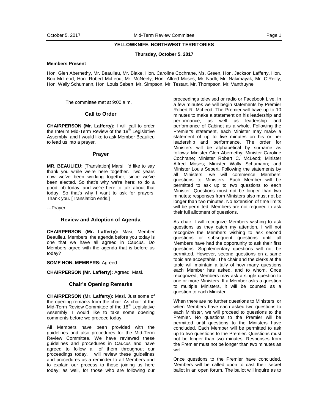#### **YELLOWKNIFE, NORTHWEST TERRITORIES**

#### **Thursday, October 5, 2017**

## **Members Present**

Hon. Glen Abernethy, Mr. Beaulieu, Mr. Blake, Hon. Caroline Cochrane, Ms. Green, Hon. Jackson Lafferty, Hon. Bob McLeod, Hon. Robert McLeod, Mr. McNeely, Hon. Alfred Moses, Mr. Nadli, Mr. Nakimayak, Mr. O'Reilly, Hon. Wally Schumann, Hon. Louis Sebert, Mr. Simpson, Mr. Testart, Mr. Thompson, Mr. Vanthuyne

The committee met at 9:00 a.m.

#### **Call to Order**

**CHAIRPERSON (Mr. Lafferty):** I will call to order the Interim Mid-Term Review of the  $18<sup>th</sup>$  Legislative Assembly, and I would like to ask Member Beaulieu to lead us into a prayer.

## **Prayer**

**MR. BEAULIEU:** [Translation] Marsi. I'd like to say thank you while we're here together. Two years now we've been working together, since we've been elected. So that's why we're here: to do a good job today, and we're here to talk about that today. So that's why I want to ask for prayers. Thank you. [Translation ends.]

---Prayer

#### **Review and Adoption of Agenda**

**CHAIRPERSON (Mr. Lafferty):** Masi, Member Beaulieu. Members, the agenda before you today is one that we have all agreed in Caucus. Do Members agree with the agenda that is before us today?

**SOME HON. MEMBERS:** Agreed.

**CHAIRPERSON (Mr. Lafferty):** Agreed. Masi.

#### **Chair's Opening Remarks**

**CHAIRPERSON (Mr. Lafferty):** Masi. Just some of the opening remarks from the chair. As chair of the Mid-Term Review Committee of the 18<sup>th</sup> Legislative Assembly, I would like to take some opening comments before we proceed today.

All Members have been provided with the guidelines and also procedures for the Mid-Term Review Committee. We have reviewed these guidelines and procedures in Caucus and have agreed to follow all of them throughout our proceedings today. I will review these guidelines and procedures as a reminder to all Members and to explain our process to those joining us here today; as well, for those who are following our

proceedings televised or radio or Facebook Live. In a few minutes we will begin statements by Premier Robert R. McLeod. The Premier will have up to 10 minutes to make a statement on his leadership and performance, as well as leadership and performance of Cabinet as a whole. Following the Premier's statement, each Minister may make a statement of up to five minutes on his or her leadership and performance. The order for Ministers will be alphabetical by surname as follows: Minister Glen Abernethy; Minister Caroline Cochrane; Minister Robert C. McLeod; Minister Alfred Moses; Minister Wally Schumann; and Minister Louis Sebert. Following the statements by all Ministers, we will commence Members' questions to Ministers. Each Member will be permitted to ask up to two questions to each Minister. Questions must not be longer than two minutes; responses from Ministers also must not be longer than two minutes. No extension of time limits will be permitted. Members are not required to ask their full allotment of questions.

As chair, I will recognize Members wishing to ask questions as they catch my attention. I will not recognize the Members wishing to ask second questions or subsequent questions until all Members have had the opportunity to ask their first questions. Supplementary questions will not be permitted. However, second questions on a same topic are acceptable. The chair and the clerks at the table will maintain a tally of how many questions each Member has asked, and to whom. Once recognized, Members may ask a single question to one or more Ministers. If a Member asks a question to multiple Ministers, it will be counted as a question to each Minister.

When there are no further questions to Ministers, or when Members have each asked two questions to each Minister, we will proceed to questions to the Premier. No questions to the Premier will be permitted until questions to the Ministers have concluded. Each Member will be permitted to ask up to two questions to the Premier. Questions must not be longer than two minutes. Responses from the Premier must not be longer than two minutes as well.

Once questions to the Premier have concluded, Members will be called upon to cast their secret ballot in an open forum. The ballot will inquire as to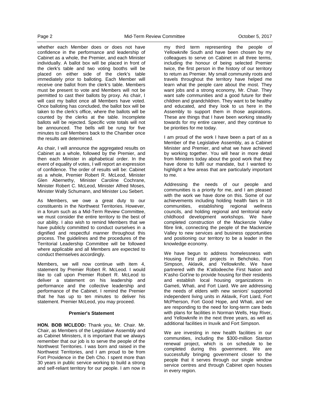whether each Member does or does not have confidence in the performance and leadership of Cabinet as a whole, the Premier, and each Minister individually. A ballot box will be placed in front of the clerk's table and two voting booths will be placed on either side of the clerk's table immediately prior to balloting. Each Member will receive one ballot from the clerk's table. Members must be present to vote and Members will not be permitted to cast their ballots by proxy. As chair, I will cast my ballot once all Members have voted. Once balloting has concluded, the ballot box will be taken to the clerk's office, where the ballots will be counted by the clerks at the table. Incomplete ballots will be rejected. Specific vote totals will not be announced. The bells will be rung for five minutes to call Members back to the Chamber once the results are determined.

As chair, I will announce the aggregated results on Cabinet as a whole, followed by the Premier, and then each Minister in alphabetical order. In the event of equality of votes, I will report an expression of confidence. The order of results will be: Cabinet as a whole, Premier Robert R. McLeod, Minister Glen Abernethy, Minister Caroline Cochrane, Minister Robert C. McLeod, Minister Alfred Moses, Minister Wally Schumann, and Minister Lou Sebert.

As Members, we owe a great duty to our constituents in the Northwest Territories. However, in a forum such as a Mid-Term Review Committee, we must consider the entire territory to the best of our ability. I also wish to remind Members that we have publicly committed to conduct ourselves in a dignified and respectful manner throughout this process. The guidelines and the procedures of the Territorial Leadership Committee will be followed where applicable and all Members are expected to conduct themselves accordingly.

Members, we will now continue with item 4, statement by Premier Robert R. McLeod. I would like to call upon Premier Robert R. McLeod to deliver a statement on his leadership and performance and the collective leadership and performance of the Cabinet. I remind the Premier that he has up to ten minutes to deliver his statement. Premier McLeod, you may proceed.

#### **Premier's Statement**

**HON. BOB MCLEOD:** Thank you, Mr. Chair. Mr. Chair, as Members of the Legislative Assembly and as Cabinet Ministers, it is important that we always remember that our job is to serve the people of the Northwest Territories. I was born and raised in the Northwest Territories, and I am proud to be from Fort Providence in the Deh Cho. I spent more than 30 years in public service working to build a strong and self-reliant territory for our people. I am now in

my third term representing the people of Yellowknife South and have been chosen by my colleagues to serve on Cabinet in all three terms, including the honour of being selected Premier twice, the first person in the history of our territory to return as Premier. My small community roots and travels throughout the territory have helped me learn what the people care about the most. They want jobs and a strong economy, Mr. Chair. They want safe communities and a good future for their children and grandchildren. They want to be healthy and educated, and they look to us here in the Assembly to support them in those aspirations. These are things that I have been working steadily towards for my entire career, and they continue to be priorities for me today.

I am proud of the work I have been a part of as a Member of the Legislative Assembly, as a Cabinet Minister and Premier, and what we have achieved by working together. You will hear in more detail from Ministers today about the good work that they have done to fulfil our mandate, but I wanted to highlight a few areas that are particularly important to me.

Addressing the needs of our people and communities is a priority for me, and I am pleased with the work we have done on this. Some of our achievements including holding health fairs in 18 communities, establishing regional wellness councils, and holding regional and territorial early childhood development workshops. We have completed construction of the Mackenzie Valley fibre link, connecting the people of the Mackenzie Valley to new services and business opportunities and positioning our territory to be a leader in the knowledge economy.

We have begun to address homelessness with Housing First pilot projects in Behchoko, Fort Simpson, Aklavik, and Yellowknife. We have partnered with the K'atlodeeche First Nation and K'asho Got'ine to provide housing for their residents and establish local housing organizations in Gameti, Whati, and Fort Liard. We are addressing the needs of elders with new seniors' supported independent living units in Aklavik, Fort Liard, Fort McPherson, Fort Good Hope, and Whati, and we are responding to the need for long-term care beds with plans for facilities in Norman Wells, Hay River, and Yellowknife in the next three years, as well as additional facilities in Inuvik and Fort Simpson.

We are investing in new health facilities in our communities, including the \$300-million Stanton renewal project, which is on schedule to be completed during this government. We are successfully bringing government closer to the people that it serves through our single window service centres and through Cabinet open houses in every region.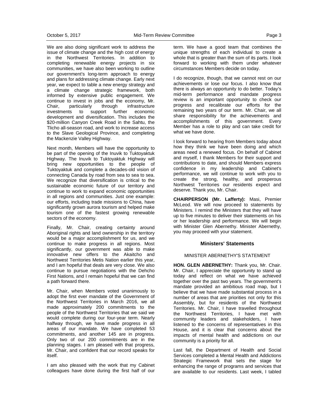We are also doing significant work to address the issue of climate change and the high cost of energy in the Northwest Territories. In addition to completing renewable energy projects in six communities, we have also been working to outline our government's long-term approach to energy and plans for addressing climate change. Early next year, we expect to table a new energy strategy and a climate change strategic framework, both informed by extensive public engagement. We continue to invest in jobs and the economy, Mr.<br>Chair, particularly through infrastructure Chair, particularly through infrastructure investments to support further economic development and diversification. This includes the \$20-million Canyon Creek Road in the Sahtu, the Tlicho all-season road, and work to increase access to the Slave Geological Province, and completing the Mackenzie Valley Highway.

Next month, Members will have the opportunity to be part of the opening of the Inuvik to Tuktoyaktuk Highway. The Inuvik to Tuktoyaktuk Highway will bring new opportunities to the people of Tuktoyaktuk and complete a decades-old vision of connecting Canada by road from sea to sea to sea. We recognize that diversification is critical to the sustainable economic future of our territory and continue to work to expand economic opportunities in all regions and communities. Just one example: our efforts, including trade missions to China, have significantly grown aurora tourism and helped make tourism one of the fastest growing renewable sectors of the economy.

Finally, Mr. Chair, creating certainty around Aboriginal rights and land ownership in the territory would be a major accomplishment for us, and we continue to make progress in all regions. Most significantly, our government was able to make innovative new offers to the Akaitcho and Northwest Territories Metis Nation earlier this year, and I am hopeful that deals are very close. We also continue to pursue negotiations with the Dehcho First Nations, and I remain hopeful that we can find a path forward there.

Mr. Chair, when Members voted unanimously to adopt the first ever mandate of the Government of the Northwest Territories in March 2016, we all made approximately 200 commitments to the people of the Northwest Territories that we said we would complete during our four-year term. Nearly halfway through, we have made progress in all areas of our mandate. We have completed 53 commitments, and another 145 are in progress. Only two of our 200 commitments are in the planning stages. I am pleased with that progress, Mr. Chair, and confident that our record speaks for itself.

I am also pleased with the work that my Cabinet colleagues have done during the first half of our

term. We have a good team that combines the unique strengths of each individual to create a whole that is greater than the sum of its parts. I look forward to working with them under whatever circumstances Members decide on today.

I do recognize, though, that we cannot rest on our achievements or lose our focus. I also know that there is always an opportunity to do better. Today's mid-term performance and mandate progress review is an important opportunity to check our progress and recalibrate our efforts for the remaining two years of our term. Mr. Chair, we all share responsibility for the achievements and accomplishments of this government. Every Member has a role to play and can take credit for what we have done.

I look forward to hearing from Members today about how they think we have been doing and which areas need a renewed focus. On behalf of Cabinet and myself, I thank Members for their support and contributions to date, and should Members express confidence in my leadership and Cabinet's performance, we will continue to work with you to create the strong, healthy, and prosperous Northwest Territories our residents expect and deserve. Thank you, Mr. Chair.

**CHAIRPERSON (Mr. Lafferty):** Masi, Premier McLeod. We will now proceed to statements by Ministers. I remind the Ministers that they will have up to five minutes to deliver their statements on his or her leadership and performance. We will begin with Minister Glen Abernethy. Minister Abernethy, you may proceed with your statement.

## **Ministers' Statements**

#### MINISTER ABERNETHY'S STATEMENT

**HON. GLEN ABERNETHY:** Thank you, Mr. Chair. Mr. Chair, I appreciate the opportunity to stand up today and reflect on what we have achieved together over the past two years. The government's mandate provided an ambitious road map, but I believe that we have made substantial process in a number of areas that are priorities not only for this Assembly, but for residents of the Northwest Territories. Mr. Chair, I have travelled throughout the Northwest Territories, I have met with community leaders and stakeholders, I have listened to the concerns of representatives in this House, and it is clear that concerns about the impacts of mental health and addictions on our community is a priority for all.

Last fall, the Department of Health and Social Services completed a Mental Health and Addictions Strategic Framework that sets the stage for enhancing the range of programs and services that are available to our residents. Last week, I tabled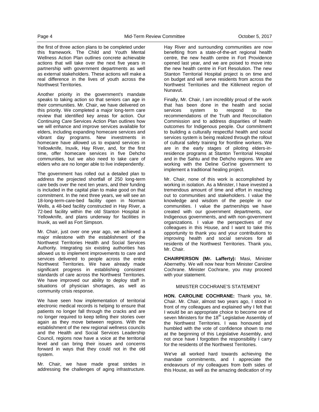the first of three action plans to be completed under this framework. The Child and Youth Mental Wellness Action Plan outlines concrete achievable actions that will take over the next five years in partnership with government departments as well as external stakeholders. These actions will make a real difference in the lives of youth across the Northwest Territories.

Another priority in the government's mandate speaks to taking action so that seniors can age in their communities. Mr. Chair, we have delivered on this priority. We completed a major long-term care review that identified key areas for action. Our Continuing Care Services Action Plan outlines how we will enhance and improve services available for elders, including expanding homecare services and vibrant day programs. New investments in homecare have allowed us to expand services in Yellowknife, Inuvik, Hay River, and, for the first time, offer homecare services in five Dehcho communities, but we also need to take care of elders who are no longer able to live independently.

The government has rolled out a detailed plan to address the projected shortfall of 250 long-term care beds over the next ten years, and their funding is included in the capital plan to make good on that commitment. In the next three years, we will see an 18-long-term-care-bed facility open in Norman Wells, a 48-bed facility constructed in Hay River, a 72-bed facility within the old Stanton Hospital in Yellowknife, and plans underway for facilities in Inuvik, as well as Fort Simpson.

Mr. Chair, just over one year ago, we achieved a major milestone with the establishment of the Northwest Territories Health and Social Services Authority. Integrating six existing authorities has allowed us to implement improvements to care and services delivered to people across the entire Northwest Territories. We have already made significant progress in establishing consistent standards of care across the Northwest Territories. We have improved our ability to deploy staff in situations of physician shortages, as well as community crisis response.

We have seen how implementation of territorial electronic medical records is helping to ensure that patients no longer fall through the cracks and are no longer required to keep telling their stories over again as they move between regions. With the establishment of the new regional wellness councils and the Health and Social Services Leadership Council, regions now have a voice at the territorial level and can bring their issues and concerns forward in ways that they could not in the old system.

Mr. Chair, we have made great strides in addressing the challenges of aging infrastructure.

Hay River and surrounding communities are now benefiting from a state-of-the-art regional health centre, the new health centre in Fort Providence opened last year, and we are poised to move into the new health centre in Fort Resolution. The new Stanton Territorial Hospital project is on time and on budget and will serve residents from across the Northwest Territories and the Kitikmeot region of Nunavut.

Finally, Mr. Chair, I am incredibly proud of the work that has been done in the health and social services system to respond to the recommendations of the Truth and Reconciliation Commission and to address disparities of health outcomes for Indigenous people. Our commitment to building a culturally respectful health and social services system is being realized through the rollout of cultural safety training for frontline workers. We are in the early stages of piloting elders-inresidence programs at Stanton Territorial Hospital and in the Sahtu and the Dehcho regions. We are working with the Deline Got'ine government to implement a traditional healing project.

Mr. Chair, none of this work is accomplished by working in isolation. As a Minister, I have invested a tremendous amount of time and effort in reaching out to communities and stakeholders. I value the knowledge and wisdom of the people in our communities. I value the partnerships we have created with our government departments, our Indigenous governments, and with non-government organizations. I value the perspectives of my colleagues in this House, and I want to take this opportunity to thank you and your contributions to improving health and social services for all residents of the Northwest Territories. Thank you, Mr. Chair.

**CHAIRPERSON (Mr. Lafferty):** Masi, Minister Abernethy. We will now hear from Minister Caroline Cochrane. Minister Cochrane, you may proceed with your statement.

## MINISTER COCHRANE'S STATEMENT

**HON. CAROLINE COCHRANE:** Thank you, Mr. Chair. Mr. Chair, almost two years ago, I stood in front of my colleagues and explained why I felt that I would be an appropriate choice to become one of seven Ministers for the 18<sup>th</sup> Legislative Assembly of the Northwest Territories. I was honoured and humbled with the vote of confidence shown to me at the beginning of this Legislative Assembly, and not once have I forgotten the responsibility I carry for the residents of the Northwest Territories.

We've all worked hard towards achieving the mandate commitments, and I appreciate the endeavours of my colleagues from both sides of this House, as well as the amazing dedication of my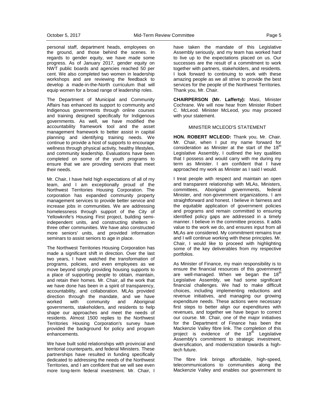personal staff, department heads, employees on the ground, and those behind the scenes. In regards to gender equity, we have made some progress. As of January 2017, gender equity on NWT public boards and agencies reached 50 per cent. We also completed two women in leadership workshops and are reviewing the feedback to develop a made-in-the-North curriculum that will equip women for a broad range of leadership roles.

The Department of Municipal and Community Affairs has enhanced its support to community and Indigenous governments through online courses and training designed specifically for Indigenous governments. As well, we have modified the accountability framework tool and the asset management framework to better assist in capital planning and identifying training needs. We continue to provide a host of supports to encourage wellness through physical activity, healthy lifestyles, and community leadership. Evaluations have been completed on some of the youth programs to ensure that we are providing services that meet their needs.

Mr. Chair, I have held high expectations of all of my team, and I am exceptionally proud of the Northwest Territories Housing Corporation. The corporation has expanded community property management services to provide better service and increase jobs in communities. We are addressing homelessness through support of the City of Yellowknife's Housing First project, building semiindependent units, and constructing shelters in three other communities. We have also constructed more seniors' units, and provided information seminars to assist seniors to age in place.

The Northwest Territories Housing Corporation has made a significant shift in direction. Over the last two years, I have watched the transformation of programs, policies, and even employees as we move beyond simply providing housing supports to a place of supporting people to obtain, maintain, and retain their homes. Mr. Chair, all the work that we have done has been in a spirit of transparency, accountability, and collaboration. MLAs provided direction through the mandate, and we have worked with community and Aboriginal governments, stakeholders, and residents to help shape our approaches and meet the needs of residents. Almost 1500 replies to the Northwest Territories Housing Corporation's survey have provided the background for policy and program enhancements.

We have built solid relationships with provincial and territorial counterparts, and federal Ministers. These partnerships have resulted in funding specifically dedicated to addressing the needs of the Northwest Territories, and I am confident that we will see even more long-term federal investment. Mr. Chair, I

have taken the mandate of this Legislative Assembly seriously, and my team has worked hard to live up to the expectations placed on us. Our successes are the result of a commitment to work together with partners, stakeholders, and residents. I look forward to continuing to work with these amazing people as we all strive to provide the best services for the people of the Northwest Territories. Thank you, Mr. Chair.

**CHAIRPERSON (Mr. Lafferty):** Masi, Minister Cochrane. We will now hear from Minister Robert C. McLeod. Minister McLeod, you may proceed with your statement.

#### MINISTER MCLEOD'S STATEMENT

**HON. ROBERT MCLEOD:** Thank you, Mr. Chair. Mr. Chair, when I put my name forward for consideration as Minister at the start of the  $18<sup>th</sup>$ Legislative Assembly, I outlined the key qualities that I possess and would carry with me during my term as Minister. I am confident that I have approached my work as Minister as I said I would.

I treat people with respect and maintain an open and transparent relationship with MLAs, Ministers, committees, Aboriginal governments, federal Minister, and non-government organizations. I am straightforward and honest. I believe in fairness and the equitable application of government policies and programs and remain committed to ensuring identified policy gaps are addressed in a timely manner. I believe in the committee process. It adds value to the work we do, and ensures input from all MLAs are considered. My commitment remains true and I will continue working with these principles. Mr. Chair, I would like to proceed with highlighting some of the key deliverables from my respective portfolios.

As Minister of Finance, my main responsibility is to ensure the financial resources of this government are well-managed. When we began the  $18<sup>th</sup>$ Legislative Assembly, we had some significant financial challenges. We had to make difficult choices, including implementing reductions and revenue initiatives, and managing our growing expenditure needs. These actions were necessary first steps to better align our expenditures with revenues, and together we have begun to correct our course. Mr. Chair, one of the major initiatives for the Department of Finance has been the Mackenzie Valley fibre link. The completion of this project is evidence of the  $18<sup>th</sup>$  Legislative Assembly's commitment to strategic investment, diversification, and modernization towards a hightech future.

The fibre link brings affordable, high-speed, telecommunications to communities along the Mackenzie Valley and enables our government to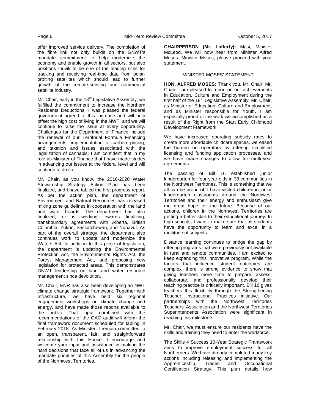offer improved service delivery. The completion of the fibre link not only builds on the GNWT's mandate commitment to help modernize the economy and enable growth in all sectors, but also positions Inuvik to be one of the leading sites for tracking and receiving real-time data from polarorbiting satellites which should lead to further growth of the remote-sensing and commercial satellite industry.

Mr. Chair, early in the  $18<sup>th</sup>$  Legislative Assembly, we fulfilled the commitment to increase the Northern Residents Deductions. I was pleased the federal government agreed to this increase and will help offset the high cost of living in the NWT, and we will continue to raise the issue at every opportunity. Challenges for the Department of Finance include the renewal of our Territorial Formula Financing arrangements, implementation of carbon pricing, and taxation and issues associated with the legalization of cannabis. I am confident that in my role as Minister of Finance that I have made strides in advancing our issues at the federal level and will continue to do so.

Mr. Chair, as you know, the 2016-2020 Water Stewardship Strategy Action Plan has been finalized, and I have tabled the first progress report. As per the action plan, the department of Environment and Natural Resources has released mixing zone guidelines in cooperation with the land and water boards. The department has also finalized, or is working towards finalizing, transboundary agreements with Alberta, British Columbia, Yukon, Saskatchewan, and Nunavut. As part of the overall strategy, the department also continues work to update and modernize the Waters Act. In addition to this piece of legislation, the department is updating the Environmental Protection Act, the Environmental Rights Act, the Forest Management Act, and proposing new legislation for protected areas. This demonstrates GNWT leadership on land and water resource management since devolution.

Mr. Chair, ENR has also been developing an NWT climate change strategic framework. Together with Infrastructure, we have held six regional engagement workshops on climate change and energy, and have made those reports available to the public. That input combined with the recommendations of the OAG audit will inform the final framework document scheduled for tabling in February 2018. As Minister, I remain committed to an open, transparent, fair, and straightforward relationship with this House. I encourage and welcome your input and assistance in making the hard decisions that face all of us in advancing the mandate priorities of this Assembly for the people of the Northwest Territories.

**CHAIRPERSON (Mr. Lafferty):** Masi, Minister McLeod. We will now hear from Minister Alfred Moses. Minister Moses, please proceed with your statement.

## MINISTER MOSES' STATEMENT

**HON. ALFRED MOSES:** Thank you, Mr. Chair. Mr. Chair, I am pleased to report on our achievements in Education, Culture and Employment during the first half of the  $18<sup>th</sup>$  Legislative Assembly. Mr. Chair, as Minister of Education, Culture and Employment, and as Minister responsible for Youth, I am especially proud of the work we accomplished as a result of the Right from the Start Early Childhood Development Framework.

We have increased operating subsidy rates to create more affordable childcare spaces, we eased the burden on operators by offering simplified licensing and funding application processes, and we have made changes to allow for multi-year agreements.

The passing of Bill 16 established junior kindergarten for four-year-olds in 33 communities in the Northwest Territories. This is something that we all can be proud of. I have visited children in junior kindergarten classrooms around the Northwest Territories and their energy and enthusiasm give me great hope for the future. Because of our actions, children in the Northwest Territories are getting a better start to their educational journey. In high schools, I want to make sure that all students have the opportunity to learn and excel in a multitude of subjects.

Distance learning continues to bridge the gap by offering programs that were previously not available in rural and remote communities. I am excited to keep expanding this innovative program. While the factors that influence student outcomes are complex, there is strong evidence to show that giving teachers more time to prepare, assess, collaborate, and professionally develop their teaching practice is critically important. Bill 16 gives teachers this flexibility through the Strengthening Teacher Instructional Practices initiative. Our partnerships with the Northwest Territories Teachers' Association and the Northwest Territories Superintendents Association were significant in reaching this milestone.

Mr. Chair, we must ensure our residents have the skills and training they need to enter the workforce.

The Skills 4 Success 10-Year Strategic Framework aims to improve employment success for all Northerners. We have already completed many key actions including releasing and implementing the Apprenticeship, Trades and Occupational Certification Strategy. This plan details how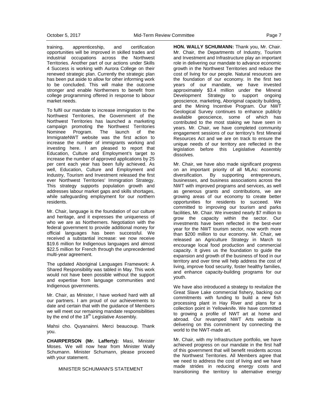training, apprenticeship, and certification opportunities will be improved in skilled trades and industrial occupations across the Northwest Territories. Another part of our actions under Skills 4 Success is working with Aurora College on their renewed strategic plan. Currently the strategic plan has been put aside to allow for other informing work to be concluded. This will make the outcome stronger and enable Northerners to benefit from college programming offered in response to labour market needs.

To fulfil our mandate to increase immigration to the Northwest Territories, the Government of the Northwest Territories has launched a marketing campaign promoting the Northwest Territories Nominee Program. The launch of the ImmigrateNWT website was the first action to increase the number of immigrants working and investing here. I am pleased to report that Education, Culture and Employment's target to increase the number of approved applications by 25 per cent each year has been fully achieved. As well, Education, Culture and Employment and Industry, Tourism and Investment released the first ever Northwest Territories' Immigration Strategy. This strategy supports population growth and addresses labour market gaps and skills shortages, while safeguarding employment for our northern residents.

Mr. Chair, language is the foundation of our culture and heritage, and it expresses the uniqueness of who we are as Northerners. Negotiation with the federal government to provide additional money for official languages has been successful. We received a substantial increase: we now receive \$19.6 million for Indigenous languages and almost \$22.5 million for French through the unprecedented multi-year agreement.

The updated Aboriginal Languages Framework: A Shared Responsibility was tabled in May. This work would not have been possible without the support and expertise from language communities and Indigenous governments.

Mr. Chair, as Minister, I have worked hard with all our partners. I am proud of our achievements to date and certain that with the guidance of Members we will meet our remaining mandate responsibilities by the end of the 18<sup>th</sup> Legislative Assembly.

Mahsi cho. Quyanainni. Merci beaucoup. Thank you.

**CHAIRPERSON (Mr. Lafferty):** Masi, Minister Moses. We will now hear from Minister Wally Schumann. Minister Schumann, please proceed with your statement.

MINISTER SCHUMANN'S STATEMENT

**HON. WALLY SCHUMANN:** Thank you, Mr. Chair. Mr. Chair, the Departments of Industry, Tourism and Investment and Infrastructure play an important role in delivering our mandate to advance economic growth in the Northwest Territories and reduce the cost of living for our people. Natural resources are the foundation of our economy. In the first two years of our mandate, we have invested approximately \$3.4 million under the Mineral Development Strategy to support ongoing geoscience, marketing, Aboriginal capacity building, and the Mining Incentive Program. Our NWT Geological Survey continues to enhance publicly available geoscience, some of which has contributed to the most staking we have seen in years. Mr. Chair, we have completed community engagement sessions of our territory's first Mineral Resources Act and we are on track to ensure the unique needs of our territory are reflected in the legislation before this Legislative Assembly dissolves.

Mr. Chair, we have also made significant progress on an important priority of all MLAs: economic diversification. By supporting entrepreneurs, businesses, and business associations across the NWT with improved programs and services, as well as generous grants and contributions, we are growing areas of our economy to create better opportunities for residents to succeed. We committed to improving our tourism and parks facilities, Mr. Chair. We invested nearly \$7 million to grow the capacity within the sector. Our investments have been reflected in the best-ever year for the NWT tourism sector, now worth more than \$200 million to our economy. Mr. Chair, we released an Agriculture Strategy in March to encourage local food production and commercial capacity. It gives us the foundation to guide the expansion and growth of the business of food in our territory and over time will help address the cost of living, improve food security, foster healthy families, and enhance capacity-building programs for our youth.

We have also introduced a strategy to revitalize the Great Slave Lake commercial fishery, backing our commitments with funding to build a new fish processing plant in Hay River and plans for a collection point in Yellowknife. We have committed to growing a profile of NWT art at home and abroad. Our revamped NWT Arts website is delivering on this commitment by connecting the world to the NWT-made art.

Mr. Chair, with my Infrastructure portfolio, we have achieved progress on our mandate in the first half of this government that will benefit residents across the Northwest Territories. All Members agree that we need to address the cost of living and we have made strides in reducing energy costs and transitioning the territory to alternative energy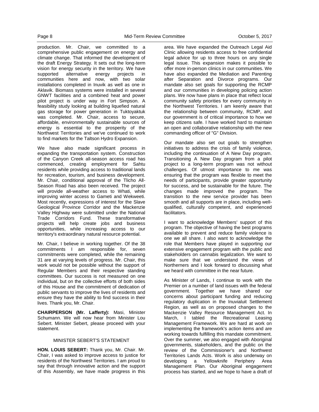production. Mr. Chair, we committed to a comprehensive public engagement on energy and climate change. That informed the development of the draft Energy Strategy. It sets out the long-term vision for energy security in the territory. We have supported alternative energy projects in communities here and now, with two solar installations completed in Inuvik as well as one in Aklavik. Biomass systems were installed in several GNWT facilities and a combined heat and power pilot project is under way in Fort Simpson. A feasibility study looking at building liquefied natural gas storage for power generation in Tuktoyaktuk was completed. Mr. Chair, access to secure, affordable, environmentally sustainable sources of energy is essential to the prosperity of the Northwest Territories and we've continued to work to find markets for the Taltson Hydro Expansion.

We have also made significant process in expanding the transportation system. Construction of the Canyon Creek all-season access road has commenced, creating employment for Sahtu residents while providing access to traditional lands for recreation, tourism, and business development. Mr. Chair, conditional approval of the Tlicho All-Season Road has also been received. The project will provide all-weather access to Whati, while improving winter access to Gameti and Wekweeti. Most recently, expressions of interest for the Slave Geological Province Corridor and the Mackenzie Valley Highway were submitted under the National Trade Corridors Fund. These transformative projects will help create jobs and business opportunities, while increasing access to our territory's extraordinary natural resource potential.

Mr. Chair, I believe in working together. Of the 38 commitments I am responsible for, seven commitments were completed, while the remaining 31 are at varying levels of progress. Mr. Chair, this work would not be possible without the support of Regular Members and their respective standing committees. Our success is not measured on one individual, but on the collective efforts of both sides of this House and the commitment of dedication of public servants to improve the lives of residents and ensure they have the ability to find success in their lives. Thank you, Mr. Chair.

**CHAIRPERSON (Mr. Lafferty):** Masi, Minister Schumann. We will now hear from Minister Lou Sebert. Minister Sebert, please proceed with your statement.

#### MINISTER SEBERT'S STATEMENT

**HON. LOUIS SEBERT:** Thank you, Mr. Chair. Mr. Chair, I was asked to improve access to justice for residents of the Northwest Territories. I am proud to say that through innovative action and the support of this Assembly, we have made progress in this

area. We have expanded the Outreach Legal Aid Clinic allowing residents access to free confidential legal advice for up to three hours on any single legal issue. This expansion makes it possible to offer more in-person clinics in our communities. We have also expanded the Mediation and Parenting after Separation and Divorce programs. Our mandate also set goals for supporting the RCMP and our communities in developing policing action plans. We now have plans in place that reflect local community safety priorities for every community in the Northwest Territories. I am keenly aware that the relationship between community, RCMP, and our government is of critical importance to how we keep citizens safe. I have worked hard to maintain an open and collaborative relationship with the new commanding officer of "G" Division.

Our mandate also set out goals to strengthen initiatives to address the crisis of family violence, including the continuation of A New Day program. Transitioning A New Day program from a pilot project to a long-term program was not without challenges. Of utmost importance to me was ensuring that the program was flexible to meet the needs of participants, provide greater opportunity for success, and be sustainable for the future. The changes made improved the program. The transition to the new service provider has been smooth and all supports are in place, including wellqualified, culturally competent, and experienced facilitators.

I want to acknowledge Members' support of this program. The objective of having the best programs available to prevent and reduce family violence is one we all share. I also want to acknowledge the role that Members have played in supporting our extensive engagement program with the public and stakeholders on cannabis legalization. We want to make sure that we understand the views of Northerners and I look forward to discussing what we heard with committee in the near future.

As Minister of Lands, I continue to work with the Premier on a number of land issues with the federal government. Together we have shared our concerns about participant funding and reducing regulatory duplication in the Inuvialuit Settlement Region, as well as on proposed changes to the Mackenzie Valley Resource Management Act. In March, I tabled the Recreational Leasing Management Framework. We are hard at work on implementing the framework's action items and are working towards fulfilling this mandate commitment. Over the summer, we also engaged with Aboriginal governments, stakeholders, and the public on the review of the Commissioner's and Northwest Territories Lands Acts. Work is also underway on developing a Yellowknife Periphery Area Management Plan. Our Aboriginal engagement process has started, and we hope to have a draft of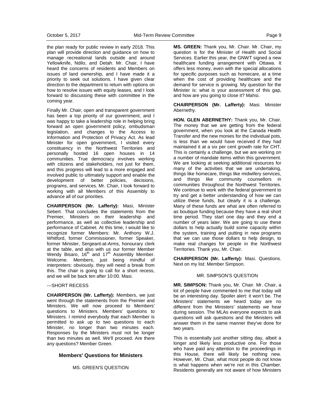the plan ready for public review in early 2018. This plan will provide direction and guidance on how to manage recreational lands outside and around Yellowknife, Ndilo, and Detah. Mr. Chair, I have heard the concerns of residents and Members on issues of land ownership, and I have made it a priority to seek out solutions. I have given clear direction to the department to return with options on how to resolve issues with equity leases, and I look forward to discussing these with committee in the coming year.

Finally Mr. Chair, open and transparent government has been a top priority of our government, and I was happy to take a leadership role in helping bring forward an open government policy, ombudsman legislation, and changes to the Access to Information and Protection of Privacy Act. As lead Minister for open government, I visited every constituency in the Northwest Territories and personally hosted 16 open houses in 14 communities. True democracy involves working with citizens and stakeholders, not just for them, and this progress will lead to a more engaged and involved public to ultimately support and enable the development of better policies, decisions, programs, and services. Mr. Chair, I look forward to working with all Members of this Assembly to advance all of our priorities.

**CHAIRPERSON (Mr. Lafferty):** Masi, Minister Sebert. That concludes the statements from the Premier, Ministers on their leadership and performance, as well as collective leadership and performance of Cabinet. At this time, I would like to recognize former Members: Mr. Anthony W.J. Whitford, former Commissioner, former Speaker, former Minister, Sergeant-at-Arms, honourary clerk at the table, and also with us our former Member Wendy Bisaro,  $16^{th}$  and  $17^{th}$  Assembly Member. Welcome. Members, just being mindful of interpreters: obviously, they will need a break from this. The chair is going to call for a short recess, and we will be back ten after 10:00. Masi.

#### ---SHORT RECESS

**CHAIRPERSON (Mr. Lafferty):** Members, we just went through the statements from the Premier and Ministers. We will now proceed to Members' questions to Ministers. Members' questions to Ministers. I remind everybody that each Member is permitted to ask up to two questions to each Minister, no longer than two minutes each. Responses by the Ministers must not be longer than two minutes as well. We'll proceed. Are there any questions? Member Green.

### **Members' Questions for Ministers**

MS. GREEN'S QUESTION

**MS. GREEN:** Thank you, Mr. Chair. Mr. Chair, my question is for the Minister of Health and Social Services. Earlier this year, the GNWT signed a new healthcare funding arrangement with Ottawa. It offers less money, even with the special allocations for specific purposes such as homecare, at a time when the cost of providing healthcare and the demand for service is growing. My question for the Minister is: what is your assessment of this gap, and how are you going to close it? Mahsi.

**CHAIRPERSON (Mr. Lafferty):** Masi. Minister Abernethy.

**HON. GLEN ABERNETHY:** Thank you, Mr. Chair. The money that we are getting from the federal government, when you look at the Canada Health Transfer and the new monies for the individual pots, is less than we would have received if they had maintained it at a six per cent growth rate for CHT. This is certainly a challenge, but we are working on a number of mandate items within this government. We are looking at seeking additional resources for many of the activities that we are undertaking, things like homecare, things like midwifery services, and things like community counsellors in communities throughout the Northwest Territories. We continue to work with the federal government to try and get a better understanding of how we can utilize these funds, but clearly it is a challenge. Many of these funds are what are often referred to as boutique funding because they have a real short time period. They start one day and they end a number of years later. We are going to use these dollars to help actually build some capacity within the system, training and putting in new programs that we can use those dollars to help design, to make real changes for people in the Northwest Territories. Thank you, Mr. Chair.

**CHAIRPERSON (Mr. Lafferty):** Masi. Questions. Next on my list: Member Simpson.

#### MR. SIMPSON'S QUESTION

**MR. SIMPSON:** Thank you, Mr. Chair. Mr. Chair, a lot of people have commented to me that today will be an interesting day. Spoiler alert: it won't be. The Ministers' statements we heard today are no different from the Ministers' statements we hear during session. The MLAs everyone expects to ask questions will ask questions and the Ministers will answer them in the same manner they've done for two years.

This is essentially just another sitting day, albeit a longer and likely less productive one. For those who have paid any attention to the proceedings in this House, there will likely be nothing new. However, Mr. Chair, what most people do not know is what happens when we're not in this Chamber. Residents generally are not aware of how Ministers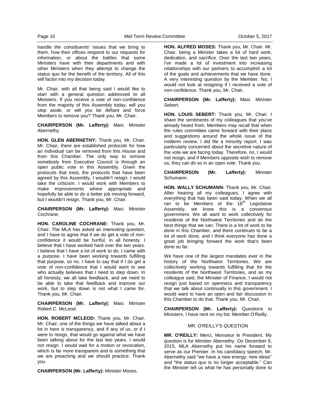handle the constituents' issues that we bring to them, how their offices respond to our requests for information, or about the battles that some Ministers have with their departments and with other Ministers when they attempt to change the status quo for the benefit of the territory. All of this will factor into my decision today.

Mr. Chair, with all that being said I would like to start with a general question addressed to all Ministers. If you receive a vote of non-confidence from the majority of this Assembly today, will you step aside, or will you be defiant and force Members to remove you? Thank you, Mr. Chair.

**CHAIRPERSON (Mr. Lafferty):** Masi. Minister Abernethy.

**HON. GLEN ABERNETHY:** Thank you, Mr. Chair. Mr. Chair, there are established protocols for how an individual can be removed from this House and from this Chamber. The only way to remove somebody from Executive Council is through an open public vote in this Assembly. Given the protocols that exist, the protocols that have been agreed by this Assembly, I wouldn't resign. I would take the criticism. I would work with Members to make improvements where appropriate and hopefully be able to do a better job moving forward, but I wouldn't resign. Thank you, Mr. Chair.

**CHAIRPERSON (Mr. Lafferty):** Masi. Minister Cochrane.

**HON. CAROLINE COCHRANE:** Thank you, Mr. Chair. The MLA has asked an interesting question, and I have to agree that if we do get a vote of nonconfidence it would be hurtful, in all honesty. I believe that I have worked hard over the two years. I believe that I have a lot of work to do. I came with a purpose. I have been working towards fulfilling that purpose, so no. I have to say that if I do get a vote of non-confidence that I would want to see who actually believes that I need to step down. In all honesty, we all take feedback, and we need to be able to take that feedback and improve our work, but to step down is not what I came for. Thank you, Mr. Chair.

**CHAIRPERSON (Mr. Lafferty):** Masi. Minister Robert C. McLeod.

**HON. ROBERT MCLEOD:** Thank you, Mr. Chair. Mr. Chair, one of the things we have talked about a lot in here is transparency, and if any of us, or if I were to resign, that would go against what we have been talking about for the last two years. I would not resign. I would wait for a motion or revocation, which is far more transparent and is something that we are preaching and we should practice. Thank you.

**CHAIRPERSON (Mr. Lafferty):** Minister Moses.

**HON. ALFRED MOSES:** Thank you, Mr. Chair. Mr. Chair, being a Minister takes a lot of hard work, dedication, and sacrifice. Over the last two years, I've made a lot of investment into increasing relationships with our partners to accomplish a lot of the goals and achievements that we have done. A very interesting question by the Member. No, I would not look at resigning if I received a vote of non-confidence. Thank you, Mr. Chair.

**CHAIRPERSON (Mr. Lafferty):** Masi. Minister Sebert.

**HON. LOUIS SEBERT:** Thank you, Mr. Chair. I share the sentiments of my colleagues that you've already heard from. Members may recall that when the rules committee came forward with their plans and suggestions around the whole issue of the midterm review, I did file a minority report. I was particularly concerned about the secretive nature of the vote we are facing today. Therefore, no, I would not resign, and if Members opposite wish to remove us, they can do so in an open vote. Thank you.

**CHAIRPERSON (Mr. Lafferty):** Minister Schumann.

**HON. WALLY SCHUMANN:** Thank you, Mr. Chair. After hearing all my colleagues, I agree with everything that has been said today. When we all ran to be Members of the  $18<sup>th</sup>$  Legislative Assembly, we know this is a consensus government. We all want to work collectively for residents of the Northwest Territories and do the best things that we can. There is a lot of work to be done in this Chamber, and there continues to be a lot of work done, and I think everyone has done a great job bringing forward the work that's been done so far.

We have one of the largest mandates ever in the history of the Northwest Territories. We are collectively working towards fulfilling that for the residents of the Northwest Territories, and as my colleague said, the Minister of Finance, I would not resign just based on openness and transparency that we talk about continually in this government. I would want to have an open and fair discussion in this Chamber to do that. Thank you, Mr. Chair.

**CHAIRPERSON (Mr. Lafferty):** Questions to Ministers. I have next on my list: Member O'Reilly.

#### MR. O'REILLY'S QUESTION

**MR. O'REILLY:** Merci, Monsieur le President. My question is for Minister Abernethy. On December 9, 2015, MLA Abernethy put his name forward to serve as our Premier. In his candidacy speech, Mr. Abernethy said "we have a new energy, new ideas" and "the status quo is no longer acceptable." Can the Minister tell us what he has personally done to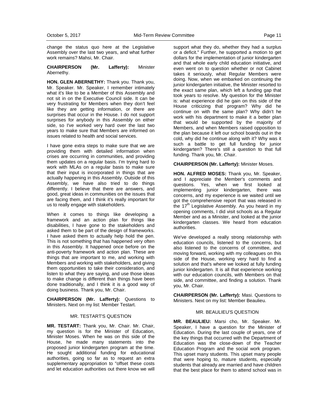change the status quo here at the Legislative Assembly over the last two years, and what further work remains? Mahsi, Mr. Chair.

#### **CHAIRPERSON (Mr. Lafferty):** Minister Abernethy.

**HON. GLEN ABERNETHY:** Thank you. Thank you, Mr. Speaker. Mr. Speaker, I remember intimately what it's like to be a Member of this Assembly and not sit in on the Executive Council side. It can be very frustrating for Members when they don't feel like they are getting information, or there are surprises that occur in the House. I do not support surprises for anybody in this Assembly on either side, so I've worked very hard over the last two years to make sure that Members are informed on issues related to health and social services.

I have gone extra steps to make sure that we are providing them with detailed information when crises are occurring in communities, and providing them updates on a regular basis. I'm trying hard to work with MLAs on a regular basis to make sure that their input is incorporated in things that are actually happening in this Assembly. Outside of this Assembly, we have also tried to do things differently. I believe that there are answers, and good, great ideas in communities on the issues that are facing them, and I think it's really important for us to really engage with stakeholders.

When it comes to things like developing a framework and an action plan for things like disabilities, I have gone to the stakeholders and asked them to be part of the design of frameworks. I have asked them to actually help hold the pen. This is not something that has happened very often in this Assembly. It happened once before on the anti-poverty framework and action plan. These are things that are important to me, and working with Members and working with stakeholders, and giving them opportunities to take their consideration, and listen to what they are saying, and use those ideas to make change is different than things have been done traditionally, and I think it is a good way of doing business. Thank you, Mr. Chair.

**CHAIRPERSON (Mr. Lafferty):** Questions to Ministers. Next on my list: Member Testart.

#### MR. TESTART'S QUESTION

**MR. TESTART:** Thank you, Mr. Chair. Mr. Chair, my question is for the Minister of Education, Minister Moses. When he was on this side of the House, he made many statements into the proposed junior kindergarten program at the time. He sought additional funding for educational authorities, going so far as to request an extra supplementary appropriation to "offset these costs and let education authorities out there know we will

support what they do, whether they had a surplus or a deficit." Further, he supported a motion to get dollars for the implementation of junior kindergarten and that whole early child education initiative, and even went on to question whether or not Cabinet takes it seriously, what Regular Members were doing. Now, when we embarked on continuing the junior kindergarten initiative, the Minister resorted to the exact same plan, which left a funding gap that took years to resolve. My question for the Minister is: what experience did he gain on this side of the House criticizing that program? Why did he continue on with the same plan? Why didn't he work with his department to make it a better plan that would be supported by the majority of Members, and when Members raised opposition to the plan because it left our school boards out in the cold, why did he continue along with it? Why was it such a battle to get full funding for junior kindergarten? There's still a question to that full funding. Thank you, Mr. Chair.

#### **CHAIRPERSON (Mr. Lafferty):** Minister Moses.

**HON. ALFRED MOSES:** Thank you, Mr. Speaker, and I appreciate the Member's comments and questions. Yes, when we first looked at implementing junior kindergarten, there was concerns, and my experience is we waited until we got the comprehensive report that was released in the 17<sup>th</sup> Legislative Assembly. As you heard in my opening comments, I did visit schools as a Regular Member and as a Minister, and looked at the junior kindergarten classes. We heard from education authorities.

We've developed a really strong relationship with education councils, listened to the concerns, but also listened to the concerns of committee, and moving forward, working with my colleagues on this side of the House, working very hard to find a solution and that's where we looked at fully funding junior kindergarten. It is all that experience working with our education councils, with Members on that side, and committee, and finding a solution. Thank you, Mr. Chair.

**CHAIRPERSON (Mr. Lafferty):** Masi. Questions to Ministers. Next on my list: Member Beaulieu.

## MR. BEAULIEU'S QUESTION

**MR. BEAULIEU:** Marsi cho, Mr. Speaker. Mr. Speaker, I have a question for the Minister of Education. During the last couple of years, one of the key things that occurred with the Department of Education was the close-down of the Teacher Education Program and the social work program. This upset many students. This upset many people that were hoping to, mature students, especially students that already are married and have children that the best place for them to attend school was in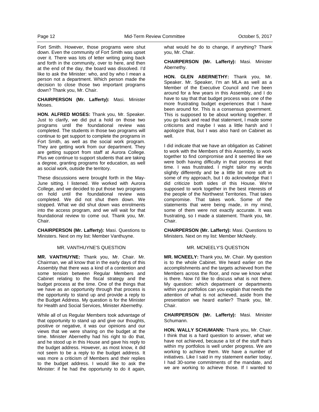Fort Smith. However, those programs were shut down. Even the community of Fort Smith was upset over it. There was lots of letter writing going back and forth in the community, over to here, and then at the end of the day, the board was dissolved. I'd like to ask the Minister: who, and by who I mean a person not a department. Which person made the decision to close those two important programs down? Thank you, Mr. Chair.

**CHAIRPERSON (Mr. Lafferty):** Masi. Minister Moses.

**HON. ALFRED MOSES:** Thank you, Mr. Speaker. Just to clarify, we did put a hold on those two programs until the foundational review was completed. The students in those two programs will continue to get support to complete the programs in Fort Smith, as well as the social work program. They are getting work from our department. They are getting support from staff at Aurora College. Plus we continue to support students that are taking a degree, granting programs for education, as well as social work, outside the territory.

These discussions were brought forth in the May-June sitting. I listened. We worked with Aurora College, and we decided to put those two programs on hold until the foundational review was completed. We did not shut them down. We stopped. What we did shut down was enrolments into the access program, and we will wait for that foundational review to come out. Thank you, Mr. Chair.

**CHAIRPERSON (Mr. Lafferty):** Masi. Questions to Ministers. Next on my list: Member Vanthuyne.

## MR. VANTHUYNE'S QUESTION

**MR. VANTHUYNE:** Thank you, Mr. Chair. Mr. Chairman, we all know that in the early days of this Assembly that there was a kind of a contention and some tension between Regular Members and Cabinet relating to the fiscal strategy and the budget process at the time. One of the things that we have as an opportunity through that process is the opportunity to stand up and provide a reply to the Budget Address. My question is for the Minister for Health and Social Services, Minister Abernethy.

While all of us Regular Members took advantage of that opportunity to stand up and give our thoughts, positive or negative, it was our opinions and our views that we were sharing on the budget at the time. Minister Abernethy had his right to do that, and he stood up in this House and gave his reply to the budget address. However, as most know, it did not seem to be a reply to the budget address. It was more a criticism of Members and their replies to the budget address. I would like to ask the Minister: if he had the opportunity to do it again,

what would he do to change, if anything? Thank you, Mr. Chair.

**CHAIRPERSON (Mr. Lafferty):** Masi. Minister Abernethy.

**HON. GLEN ABERNETHY:** Thank you, Mr. Speaker. Mr. Speaker, I'm an MLA as well as a Member of the Executive Council and I've been around for a few years in this Assembly, and I do have to say that that budget process was one of the more frustrating budget experiences that I have been around for. This is a consensus government. This is supposed to be about working together. If you go back and read that statement, I made some criticisms and maybe I was a little harsh and I apologize that, but I was also hard on Cabinet as well.

I did indicate that we have an obligation as Cabinet to work with the Members of this Assembly, to work together to find compromise and it seemed like we were both having difficulty in that process at that time. I was frustrated. I might tailor my words slightly differently and be a little bit more soft in some of my approach, but I do acknowledge that I did criticize both sides of this House. We're supposed to work together in the best interests of the people of the Northwest Territories. That takes compromise. That takes work. Some of the statements that were being made, in my mind, some of them were not exactly accurate. It was frustrating, so I made a statement. Thank you, Mr. Chair.

**CHAIRPERSON (Mr. Lafferty):** Masi. Questions to Ministers. Next on my list: Member McNeely.

## MR. MCNEELY'S QUESTION

**MR. MCNEELY:** Thank you, Mr. Chair. My question is to the whole Cabinet. We heard earlier on the accomplishments and the targets achieved from the Members across the floor, and now we know what is there. Now I'd like to discuss what is not there. My question: which department or departments within your portfolios can you explain that needs the attention of what is not achieved, aside from the presentation we heard earlier? Thank you, Mr. Chair.

**CHAIRPERSON (Mr. Lafferty):** Masi. Minister Schumann.

**HON. WALLY SCHUMANN:** Thank you, Mr. Chair. I think that is a hard question to answer, what we have not achieved, because a lot of the stuff that's within my portfolios is well under progress. We are working to achieve them. We have a number of initiatives. Like I said in my statement earlier today, I had 30-some commitments of the mandate, and we are working to achieve those. If I wanted to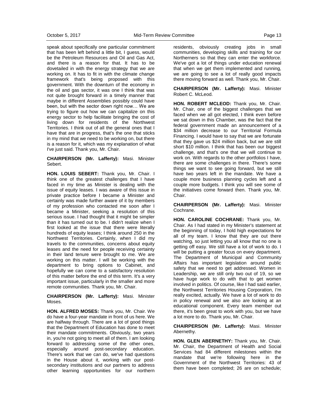speak about specifically one particular commitment that has been left behind a little bit, I guess, would be the Petroleum Resources and Oil and Gas Act, and there is a reason for that. It has to be dovetailed in with the energy strategy that we are working on. It has to fit in with the climate change framework that's being proposed with this government. With the downturn of the economy in the oil and gas sector, it was one I think that was not quite brought forward in a timely manner that maybe in different Assemblies possibly could have been, but with the sector down right now… We are trying to figure out how we can capitalize on this energy sector to help facilitate bringing the cost of living down for residents of the Northwest Territories. I think out of all the general ones that I have that are in progress, that's the one that sticks in my mind that we need to be working on, but there is a reason for it, which was my explanation of what I've just said. Thank you, Mr. Chair.

**CHAIRPERSON (Mr. Lafferty):** Masi. Minister Sebert.

**HON. LOUIS SEBERT:** Thank you, Mr. Chair. I think one of the greatest challenges that I have faced in my time as Minister is dealing with the issue of equity leases. I was aware of this issue in private practice before I became a Minister and certainly was made further aware of it by members of my profession who contacted me soon after I became a Minister, seeking a resolution of this serious issue. I had thought that it might be simpler than it has turned out to be. I didn't realize when I first looked at the issue that there were literally hundreds of equity leases; I think around 250 in the Northwest Territories. Certainly, when I did my travels to the communities, concerns about equity leases and the need for people receiving certainty in their land tenure were brought to me. We are working on this matter. I will be working with the department to bring options to Cabinet, and hopefully we can come to a satisfactory resolution of this matter before the end of this term. It's a very important issue, particularly in the smaller and more remote communities. Thank you, Mr. Chair.

**CHAIRPERSON (Mr. Lafferty):** Masi. Minister Moses.

**HON. ALFRED MOSES:** Thank you, Mr. Chair. We do have a four-year mandate in front of us here. We are halfway through. There are a lot of good things that the Department of Education has done to meet their mandate commitments. Obviously, two years in, you're not going to meet all of them. I am looking forward to addressing some of the other ones, especially around post-secondary education. There's work that we can do, we've had questions in the House about it, working with our postsecondary institutions and our partners to address other learning opportunities for our northern residents, obviously creating jobs in small communities, developing skills and training for our Northerners so that they can enter the workforce. We've got a lot of things under education renewal that when we get them implemented and running, we are going to see a lot of really good impacts there moving forward as well. Thank you, Mr. Chair.

**CHAIRPERSON (Mr. Lafferty):** Masi. Minister Robert C. McLeod.

**HON. ROBERT MCLEOD:** Thank you, Mr. Chair. Mr. Chair, one of the biggest challenges that we faced when we all got elected, I think even before we sat down in this Chamber, was the fact that the federal government made an announcement of a \$34 million decrease to our Territorial Formula Financing. I would have to say that we are fortunate that they gave us \$24 million back, but we are still short \$10 million. I think that has been our biggest challenge, and that's one that we will continue to work on. With regards to the other portfolios I have, there are some challenges in there. There's some things we want to see going forward, but we still have two years left in the mandate. We have a couple more business planning cycles left and a couple more budgets. I think you will see some of the initiatives come forward then. Thank you, Mr. Chair.

**CHAIRPERSON (Mr. Lafferty):** Masi. Minister Cochrane.

**HON. CAROLINE COCHRANE:** Thank you, Mr. Chair. As I had stated in my Minister's statement at the beginning of today, I hold high expectations for all of my team. I know that they are out there watching, so just letting you all know that no one is getting off easy. We still have a lot of work to do. I will be putting a greater focus on every department. The Department of Municipal and Community Affairs has important legislation around public safety that we need to get addressed. Women in Leadership, we are still only two out of 19, so we have huge work to do with that to get women involved in politics. Of course, like I had said earlier, the Northwest Territories Housing Corporation, I'm really excited, actually. We have a lot of work to do in policy renewal and we also are looking at an educational component. Every team member out there, it's been great to work with you, but we have a lot more to do. Thank you, Mr. Chair.

**CHAIRPERSON (Mr. Lafferty):** Masi. Minister Abernethy.

**HON. GLEN ABERNETHY:** Thank you, Mr. Chair. Mr. Chair, the Department of Health and Social Services had 84 different milestones within the mandate that we're following here in the Government of the Northwest Territories: 43 of them have been completed; 26 are on schedule;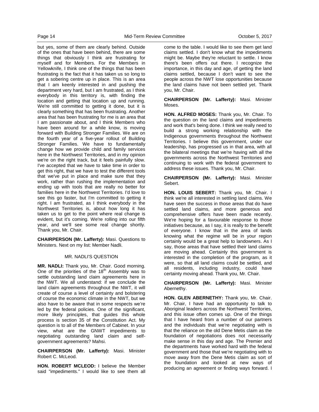but yes, some of them are clearly behind. Outside of the ones that have been behind, there are some things that obviously I think are frustrating for myself and for Members. For the Members in Yellowknife, I think one of the things that has been frustrating is the fact that it has taken us so long to get a sobering centre up in place. This is an area that I am keenly interested in and pushing the department very hard, but I am frustrated, as I think everybody in this territory is, with finding the location and getting that location up and running. We're still committed to getting it done, but it is clearly something that has been frustrating. Another area that has been frustrating for me is an area that I am passionate about, and I think Members who have been around for a while know, is moving forward with Building Stronger Families. We are on the fourth year of a five-year rollout of Building Stronger Families. We have to fundamentally change how we provide child and family services here in the Northwest Territories, and in my opinion we're on the right track, but it feels painfully slow. I've accepted that we have to take time in order to get this right, that we have to test the different tools that we've put in place and make sure that they work, rather than rushing the implementation and ending up with tools that are really no better for families here in the Northwest Territories. I'd love to see this go faster, but I'm committed to getting it right. I am frustrated, as I think everybody in the Northwest Territories is, about how long it has taken us to get to the point where real change is evident, but it's coming. We're rolling into our fifth year, and we'll see some real change shortly. Thank you, Mr. Chair.

**CHAIRPERSON (Mr. Lafferty):** Masi. Questions to Ministers. Next on my list: Member Nadli.

#### MR. NADLI'S QUESTION

**MR. NADLI:** Thank you, Mr. Chair. Good morning. One of the priorities of the  $18<sup>th</sup>$  Assembly was to settle outstanding land claim agreements here in the NWT. We all understand: if we conclude the land claim agreements throughout the NWT, it will create of course a level of certainty and bolstering of course the economic climate in the NWT, but we also have to be aware that in some respects we're led by the federal policies. One of the significant, more likely principles, that guides this whole process is section 35 of the Constitution Act. My question is to all of the Members of Cabinet. In your view, what are the GNWT impediments to negotiating outstanding land claim and selfgovernment agreements? Mahsi.

**CHAIRPERSON (Mr. Lafferty):** Masi. Minister Robert C. McLeod.

**HON. ROBERT MCLEOD:** I believe the Member said "impediments." I would like to see them all come to the table. I would like to see them get land claims settled. I don't know what the impediments might be. Maybe they're reluctant to settle. I know there's been offers out there. I recognize the importance, in this day and age, of getting the land claims settled, because I don't want to see the people across the NWT lose opportunities because the land claims have not been settled yet. Thank you, Mr. Chair.

**CHAIRPERSON (Mr. Lafferty):** Masi. Minister Moses.

**HON. ALFRED MOSES:** Thank you, Mr. Chair. To the question on the land claims and impediments and work that's being done. I think we really need to build a strong working relationship with the Indigenous governments throughout the Northwest Territories. I believe this government, under our leadership, has progressed us in that area, with all the bilateral meetings that we're having with all the governments across the Northwest Territories and continuing to work with the federal government to address these issues. Thank you, Mr. Chair.

**CHAIRPERSON (Mr. Lafferty):** Masi. Minister Sebert.

**HON. LOUIS SEBERT:** Thank you, Mr. Chair. I think we're all interested in settling land claims. We have seen the success in those areas that do have settled land claims, and more generous and comprehensive offers have been made recently. We're hoping for a favourable response to those initiatives because, as I say, it is really to the benefit of everyone. I know that in the area of lands knowing what the regime will be in your region certainly would be a great help to landowners. As I say, those areas that have settled their land claims are moving ahead. Certainly this government is interested in the completion of the program, as it were, so that all land claims could be settled, and all residents, including industry, could have certainty moving ahead. Thank you, Mr. Chair.

**CHAIRPERSON (Mr. Lafferty):** Masi. Minister Abernethy.

**HON. GLEN ABERNETHY:** Thank you, Mr. Chair. Mr. Chair, I have had an opportunity to talk to Aboriginal leaders across the Northwest Territories, and this issue often comes up. One of the things that I have heard from a number of our partners and the individuals that we're negotiating with is that the reliance on the old Dene Metis claim as the foundation of negotiations does not necessarily make sense in this day and age. The Premier and the departments have worked hard with the federal government and those that we're negotiating with to move away from the Dene Metis claim as sort of the foundation and looked at new ways of producing an agreement or finding ways forward. I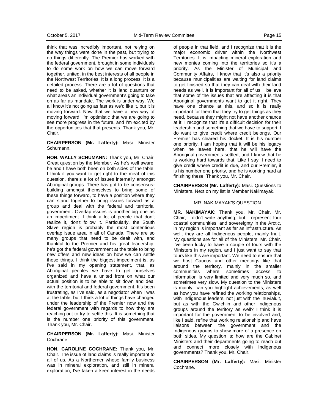think that was incredibly important, not relying on the way things were done in the past, but trying to do things differently. The Premier has worked with the federal government, brought in some individuals to do some work on how we can move forward together, united, in the best interests of all people in the Northwest Territories. It is a long process. It is a detailed process. There are a lot of questions that need to be asked, whether it is land quantum or what areas an individual government's going to take on as far as mandate. The work is under way. We all know it's not going as fast as we'd like it, but it is moving forward. Now that we have a new way of moving forward, I'm optimistic that we are going to see more progress in the future, and I'm excited by the opportunities that that presents. Thank you, Mr. Chair.

#### **CHAIRPERSON (Mr. Lafferty):** Masi. Minister Schumann.

**HON. WALLY SCHUMANN:** Thank you, Mr. Chair. Great question by the Member. As he's well aware, he and I have both been on both sides of the table. I think if you want to get right to the meat of this question, there's a lot of issues internally amongst Aboriginal groups. There has got to be consensusbuilding amongst themselves to bring some of these things forward, to have a position where they can stand together to bring issues forward as a group and deal with the federal and territorial government. Overlap issues is another big one as an impediment. I think a lot of people that don't realize it, don't follow it. Particularly, the South Slave region is probably the most contentious overlap issue area in all of Canada. There are so many groups that need to be dealt with, and thankful to the Premier and his great leadership, he's got the federal government at the table to bring new offers and new ideas on how we can settle these things. I think the biggest impediment is, as I've said in my opening statement, that, as Aboriginal peoples we have to get ourselves organized and have a united front on what our actual position is to be able to sit down and deal with the territorial and federal government. It's been frustrating, as I've said, as a negotiator when I was at the table, but I think a lot of things have changed under the leadership of the Premier now and the federal government with regards to how they are reaching out to try to settle this. It is something that is the number one priority of this government. Thank you, Mr. Chair.

#### **CHAIRPERSON (Mr. Lafferty):** Masi. Minister Cochrane.

**HON. CAROLINE COCHRANE:** Thank you, Mr. Chair. The issue of land claims is really important to all of us. As a Northerner whose family business was in mineral exploration, and still in mineral exploration, I've taken a keen interest in the needs of people in that field, and I recognize that it is the major economic driver within the Northwest Territories. It is impacting mineral exploration and new monies coming into the territories so it's a priority. As the Minister of Municipal and Community Affairs, I know that it's also a priority because municipalities are waiting for land claims to get finished so that they can deal with their land needs as well. It is important for all of us. I believe that some of the issues that are affecting it is that Aboriginal governments want to get it right. They have one chance at this, and so it is really important for them that they try to get things as they need, because they might not have another chance at it. I recognize that it's a difficult decision for their leadership and something that we have to support. I do want to give credit where credit belongs. Our Premier has cleared his docket. It is his number one priority. I am hoping that it will be his legacy when he leaves here, that he will have the Aboriginal governments settled, and I know that he is working hard towards that. Like I say, I need to give credit where credit is due, and our Premier, it is his number one priority, and he is working hard at finishing these. Thank you, Mr. Chair.

**CHAIRPERSON (Mr. Lafferty):** Masi. Questions to Ministers. Next on my list is Member Nakimayak.

#### MR. NAKIMAYAK'S QUESTION

**MR. NAKIMAYAK:** Thank you, Mr. Chair. Mr. Chair, I didn't write anything, but I represent four coastal communities, and sovereignty in the Arctic, in my region is important as far as infrastructure. As well, they are all Indigenous people, mainly Inuit. My questions are for all of the Ministers, Mr. Chair. I've been lucky to have a couple of tours with the Ministers in my region, and I just want to say that tours like this are important. We need to ensure that we host Caucus and other meetings like that around the territory, mainly in the smaller communities where sometimes access to information is very limited and very much so, and sometimes very slow. My question to the Ministers is mainly: can you highlight achievements, as well as how you have refined the working relationships, with Indigenous leaders, not just with the Inuvialuit, but as with the Gwich'in and other Indigenous groups around the territory as well? I think it is important for the government to be involved and, like I said, refine that working relationship and have liaisons between the government and the Indigenous groups to show more of a presence on both sides. My question is: how are the Cabinet Ministers and their departments going to reach out and connect more closely with Indigenous governments? Thank you, Mr. Chair.

**CHAIRPERSON (Mr. Lafferty):** Masi. Minister Cochrane.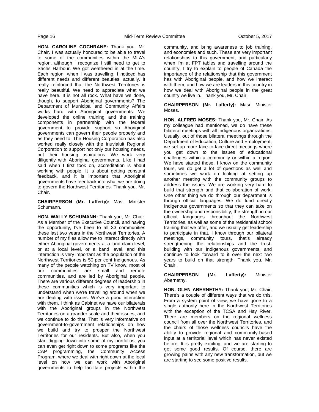**HON. CAROLINE COCHRANE:** Thank you, Mr. Chair. I was actually honoured to be able to travel to some of the communities within the MLA's region, although I recognize I still need to get to Sachs Harbour. We got weathered in at the time. Each region, when I was travelling, I noticed has different needs and different beauties, actually. It really reinforced that the Northwest Territories is really beautiful. We need to appreciate what we have here. It is not all rock. What have we done, though, to support Aboriginal governments? The Department of Municipal and Community Affairs works hard with Aboriginal governments. We developed the online training and the training components in partnership with the federal government to provide support so Aboriginal governments can govern their people properly and as they need to. The Housing Corporation has also worked really closely with the Inuvialuit Regional Corporation to support not only our housing needs, but their housing aspirations. We work very diligently with Aboriginal governments. Like I had said when I first took on, accreditation is about working with people. It is about getting constant feedback, and it is important that Aboriginal governments have feedback into what we are doing to govern the Northwest Territories. Thank you, Mr. Chair.

**CHAIRPERSON (Mr. Lafferty):** Masi. Minister Schumann.

**HON. WALLY SCHUMANN:** Thank you, Mr. Chair. As a Member of the Executive Council, and having the opportunity, I've been to all 33 communities these last two years in the Northwest Territories. A number of my files allow me to interact directly with either Aboriginal governments at a land claim level, or at a local level, or a band level, and this interaction is very important as the population of the Northwest Territories is 50 per cent Indigenous. As many of the people watching on TV know, most of our communities are small and remote communities, and are led by Aboriginal people. There are various different degrees of leadership in these communities which is very important to understand when we're travelling around when we are dealing with issues. We've a good interaction with them. I think as Cabinet we have our bilaterals with the Aboriginal groups in the Northwest Territories on a grander scale and their issues, and we continue to do that. That is very informative on government-to-government relationships on how we build and try to prosper the Northwest Territories for our residents. But also, when you start digging down into some of my portfolios, you can even get right down to some programs like the CAP programming, the Community Access Program, where we deal with right down at the local level on how we can work with Aboriginal governments to help facilitate projects within the

community, and bring awareness to job training, and economies and such. These are very important relationships to this government, and particularly when I'm at FPT tables and travelling around the country, I try to explain to people of Canada the importance of the relationship that this government has with Aboriginal people, and how we interact with them, and how we are leaders in this country in how we deal with Aboriginal people in the great country we live in. Thank you, Mr. Chair.

**CHAIRPERSON (Mr. Lafferty):** Masi. Minister Moses.

**HON. ALFRED MOSES:** Thank you, Mr. Chair. As my colleague had mentioned, we do have these bilateral meetings with all Indigenous organizations. Usually, out of those bilateral meetings through the Department of Education, Culture and Employment, we set up more face-to-face direct meetings where you get down to the issues of educational challenges within a community or within a region. We have started those. I know on the community tours, we do get a lot of questions as well and sometimes we work on looking at setting up another meeting with the community groups to address the issues. We are working very hard to build that strength and that collaboration of work. One other thing we do through our department is through official languages. We do fund directly Indigenous governments so that they can take on the ownership and responsibility, the strength in our official languages throughout the Northwest Territories, as well as some of the residential school training that we offer, and we usually get leadership to participate in that. I know through our bilateral meetings, community tours, that's already strengthening the relationships and the trustbuilding with our Indigenous governments, and continue to look forward to it over the next two years to build on that strength. Thank you, Mr. Chair.

**CHAIRPERSON (Mr. Lafferty):** Minister Abernethy.

**HON. GLEN ABERNETHY:** Thank you, Mr. Chair. There's a couple of different ways that we do this. From a system point of view, we have gone to a single authority here in the Northwest Territories with the exception of the TCSA and Hay River. There are members on the regional wellness council from all over the Northwest Territories, and the chairs of those wellness councils have the ability to provide regional and community-based input at a territorial level which has never existed before. It is pretty exciting, and we are starting to get some good results. Of course, there are growing pains with any new transformation, but we are starting to see some positive results.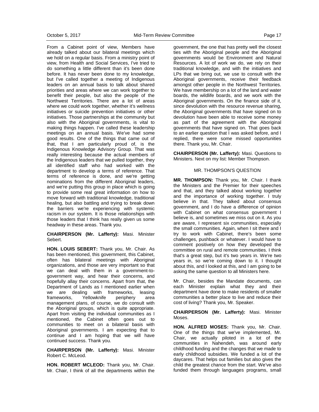From a Cabinet point of view, Members have already talked about our bilateral meetings which we hold on a regular basis. From a ministry point of view, from Health and Social Services, I've tried to do something a little different than it's been done before. It has never been done to my knowledge, but I've called together a meeting of Indigenous leaders on an annual basis to talk about shared priorities and areas where we can work together to benefit their people, but also the people of the Northwest Territories. There are a lot of areas where we could work together, whether it's wellness initiatives or suicide prevention initiatives or other initiatives. Those partnerships at the community but also with the Aboriginal governments, is vital to making things happen. I've called these leadership meetings on an annual basis. We've had some good results. One of the things that came out of that, that I am particularly proud of, is the Indigenous Knowledge Advisory Group. That was really interesting because the actual members of the Indigenous leaders that we pulled together, they all identified staff who had worked with the department to develop a terms of reference. That terms of reference is done, and we're getting nominations from the different Aboriginal leaders, and we're putting this group in place which is going to provide some real great information on how to move forward with traditional knowledge, traditional healing, but also battling and trying to break down the barriers we're experiencing with systemic racism in our system. It is those relationships with those leaders that I think has really given us some headway in these areas. Thank you.

#### **CHAIRPERSON (Mr. Lafferty):** Masi. Minister Sebert.

**HON. LOUIS SEBERT:** Thank you, Mr. Chair. As has been mentioned, this government, this Cabinet, often has bilateral meetings with Aboriginal organizations, and those are very important so that we can deal with them in a government-togovernment way, and hear their concerns, and hopefully allay their concerns. Apart from that, the Department of Lands as I mentioned earlier when we are dealing with frameworks, leasing frameworks, Yellowknife periphery area management plans, of course, we do consult with the Aboriginal groups, which is quite appropriate. Apart from visiting the individual communities as I mentioned, the Cabinet often goes out to communities to meet on a bilateral basis with Aboriginal governments. I am expecting that to continue and I am hoping that we will have continued success. Thank you.

**CHAIRPERSON (Mr. Lafferty):** Masi. Minister Robert C. McLeod.

**HON. ROBERT MCLEOD:** Thank you, Mr. Chair. Mr. Chair, I think of all the departments within the government, the one that has pretty well the closest ties with the Aboriginal people and the Aboriginal governments would be Environment and Natural Resources. A lot of work we do, we rely on their traditional knowledge, and with the initiatives and LPs that we bring out, we use to consult with the Aboriginal governments, receive their feedback amongst other people in the Northwest Territories. We have membership on a lot of the land and water boards, the wildlife boards, and we work with the Aboriginal governments. On the finance side of it, since devolution with the resource revenue sharing, the Aboriginal governments that have signed on to devolution have been able to receive some money as part of the agreement with the Aboriginal governments that have signed on. That goes back to an earlier question that I was asked before, and I replied, there were some missed opportunities there. Thank you, Mr. Chair.

**CHAIRPERSON (Mr. Lafferty):** Masi. Questions to Ministers. Next on my list: Member Thompson.

## MR. THOMPSON'S QUESTION

**MR. THOMPSON:** Thank you, Mr. Chair. I thank the Ministers and the Premier for their speeches and that, and they talked about working together and the importance of working together. I truly believe in that. They talked about consensus government, and I do have a difference of opinion with Cabinet on what consensus government I believe is, and sometimes we miss out on it. As you are aware, I represent six communities, especially the small communities. Again, when I sit there and I try to work with Cabinet, there's been some challenges, pushback or whatever. I would have to comment positively on how they developed the committee on rural and remote communities. I think that's a great step, but it's two years in. We're two years in, so we're coming down to it. I thought about this, and I looked at this, and I am going to be asking the same question to all Ministers here.

Mr. Chair, besides the Mandate documents, can each Minister explain what they and their department have done to make residents of smaller communities a better place to live and reduce their cost of living? Thank you, Mr. Speaker.

**CHAIRPERSON (Mr. Lafferty):** Masi. Minister Moses.

**HON. ALFRED MOSES:** Thank you, Mr. Chair. One of the things that we've implemented, Mr. Chair, we actually piloted in a lot of the communities in Nahendeh, was around early childhood funding and the changes that we made to early childhood subsidies. We funded a lot of the daycares. That helps out families but also gives the child the greatest chance from the start. We've also funded them through languages programs, small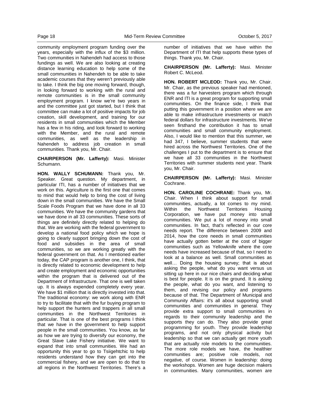community employment program funding over the years, especially with the influx of the \$3 million. Two communities in Nahendeh had access to those fundings as well. We are also looking at creating distance learning education to help some of the small communities in Nahendeh to be able to take academic courses that they weren't previously able to take. I think the big one moving forward, though, in looking forward to working with the rural and remote communities is in the small community employment program. I know we're two years in and the committee just got started, but I think that committee can make a lot of positive impacts for job creation, skill development, and training for our residents in small communities which the Member has a few in his riding, and look forward to working with the Member, and the rural and remote communities, as well as the leadership in Nahendeh to address job creation in small communities. Thank you, Mr. Chair.

**CHAIRPERSON (Mr. Lafferty):** Masi. Minister Schumann.

**HON. WALLY SCHUMANN:** Thank you, Mr. Speaker. Great question. My department, in particular ITI, has a number of initiatives that we work on this. Agriculture is the first one that comes to mind that would help to bring the cost of living down in the small communities. We have the Small Scale Foods Program that we have done in all 33 communities. We have the community gardens that we have done in all 33 communities. These sorts of things are definitely directly related to helping do that. We are working with the federal government to develop a national food policy which we hope is going to clearly support bringing down the cost of food and subsidies in the area of small communities, so we are working greatly with the federal government on that. As I mentioned earlier today, the CAP program is another one, I think, that is directly related to economic development to help and create employment and economic opportunities within the program that is delivered out of the Department of Infrastructure. That one is well taken up. It is always expended completely every year. We have \$1 million that is directly invested into that. The traditional economy: we work along with ENR to try to facilitate that with the fur buying program to help support the hunters and trappers in all small communities in the Northwest Territories in particular. That is one of the best programs I think that we have in the government to help support people in the small communities. You know, as far as how we are trying to diversify our economy, the Great Slave Lake Fishery initiative. We want to expand that into small communities. We had an opportunity this year to go to Tsiigehtchic to help residents understand how they can get into the commercial fishery, and we are open to do that to all regions in the Northwest Territories. There's a

number of initiatives that we have within the Department of ITI that help supports these types of things. Thank you, Mr. Chair.

**CHAIRPERSON (Mr. Lafferty):** Masi. Minister Robert C. McLeod.

**HON. ROBERT MCLEOD:** Thank you, Mr. Chair. Mr. Chair, as the previous speaker had mentioned, there was a fur harvesters program which through ENR and ITI is a great program for supporting small communities. On the finance side, I think that putting this government in a position where we are able to make infrastructure investments or match federal dollars for infrastructure investments. We've seen firsthand the contribution it has to small communities and small community employment. Also, I would like to mention that this summer, we had 347, I believe, summer students that were hired across the Northwest Territories. One of the challenges I put to the department is to ensure that we have all 33 communities in the Northwest Territories with summer students next year. Thank you, Mr. Chair.

**CHAIRPERSON (Mr. Lafferty):** Masi. Minister Cochrane.

**HON. CAROLINE COCHRANE:** Thank you, Mr. Chair. When I think about support for small communities, actually, a lot comes to my mind. Within the Northwest Territories Housing Corporation, we have put money into small communities. We put a lot of money into small communities. In fact, that's reflected in our core needs report. The difference between 2009 and 2014, how the core needs in small communities have actually gotten better at the cost of bigger communities such as Yellowknife where the core needs have increased because of that, so I need to look at a balance as well. Small communities as well… Doing the housing survey; that is about asking the people, what do you want versus us sitting up here in our nice chairs and deciding what is best for people. It is on the ground. It is asking the people, what do you want, and listening to them, and revising our policy and programs because of that. The Department of Municipal and Community Affairs: it's all about supporting small communities and communities in general. They provide extra support to small communities in regards to their community leadership and the supports they can do. They also provide great programming for youth. They provide leadership programs, and not only physical activity but leadership so that we can actually get more youth that are actually role models to the communities. The more role models we have, the healthier communities are; positive role models, not negative, of course. Women in leadership: doing the workshops. Women are huge decision makers in communities. Many communities, women are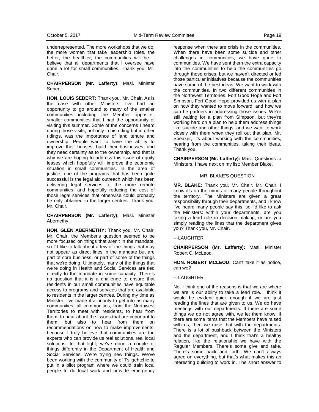underrepresented. The more workshops that we do, the more women that take leadership roles, the better, the healthier, the communities will be. I believe that all departments that I oversee have done a lot for small communities. Thank you, Mr. Chair.

**CHAIRPERSON (Mr. Lafferty):** Masi. Minister Sebert.

**HON. LOUIS SEBERT:** Thank you, Mr. Chair. As is the case with other Ministers, I've had an opportunity to go around to many of the smaller communities including the Member opposite', smaller communities that I had the opportunity of visiting this summer. Some of the concerns I heard during those visits, not only in his riding but in other ridings, was the importance of land tenure and ownership. People want to have the ability to improve their houses, build their businesses, and they need certainty as to the ownership, and that is why we are hoping to address this issue of equity leases which hopefully will improve the economic situation in small communities. In the area of justice, one of the programs that has been quite successful is the legal aid outreach which has been delivering legal services to the more remote communities, and hopefully reducing the cost of those legal services that otherwise could probably be only obtained in the larger centres. Thank you, Mr. Chair.

**CHAIRPERSON (Mr. Lafferty):** Masi. Minister Abernethy.

**HON. GLEN ABERNETHY:** Thank you, Mr. Chair. Mr. Chair, the Member's question seemed to be more focused on things that aren't in the mandate, so I'd like to talk about a few of the things that may not appear as direct lines in the mandate but are part of core business, or part of some of the things that we're doing. Ultimately, many of the things that we're doing in Health and Social Services are tied directly to the mandate in some capacity. There's no question that it is a challenge to ensure that residents in our small communities have equitable access to programs and services that are available to residents in the larger centres. During my time as Minister, I've made it a priority to get into as many communities, all communities, from the Northwest Territories to meet with residents, to hear from them, to hear about the issues that are important to them, but also to hear from them on recommendations on how to make improvements, because I truly believe that communities are the experts who can provide us real solutions, real local solutions. In that light, we've done a couple of things differently in the Department of Health and Social Services. We're trying new things. We've been working with the community of Tsiigehtchic to put in a pilot program where we could train local people to do local work and provide emergency

response when there are crisis in the communities. When there have been some suicide and other challenges in communities, we have gone to communities. We have sent them the extra capacity into the communities to help the communities go through those crises, but we haven't directed or led those particular initiatives because the communities have some of the best ideas. We want to work with the communities. In two different communities in the Northwest Territories, Fort Good Hope and Fort Simpson, Fort Good Hope provided us with a plan on how they wanted to move forward, and how we can be partners in addressing those issues. We're still waiting for a plan from Simpson, but they're working hard on a plan to help them address things like suicide and other things, and we want to work closely with them when they roll out that plan. Mr. Speaker, it's about working with the communities, hearing from the communities, taking their ideas. Thank you.

**CHAIRPERSON (Mr. Lafferty):** Masi. Questions to Ministers. I have next on my list: Member Blake.

#### MR. BLAKE'S QUESTION

**MR. BLAKE:** Thank you, Mr. Chair. Mr. Chair, I know it's on the minds of many people throughout the territory. The Ministers are given a great responsibility through their departments, and I know I've heard many people say this, so I'd like to ask the Ministers: within your departments, are you taking a lead role in decision making, or are you simply reading the lines that the department gives you? Thank you, Mr. Chair.

#### ---LAUGHTER

**CHAIRPERSON (Mr. Lafferty):** Masi. Minister Robert C. McLeod.

**HON. ROBERT MCLEOD:** Can't take it as notice, can we?

#### ---LAUGHTER

No, I think one of the reasons is that we are where we are is our ability to take a lead role. I think it would be evident quick enough if we are just reading the lines that are given to us. We do have meetings with our departments. If there are some things we do not agree with, we let them know. If there are some items that the Members have raised with us, then we raise that with the departments. There is a lot of pushback between the Ministers and the department, and I think that's a healthy relation, like the relationship we have with the Regular Members. There's some give and take. There's some back and forth. We can't always agree on everything, but that's what makes this an interesting building to work in. The short answer to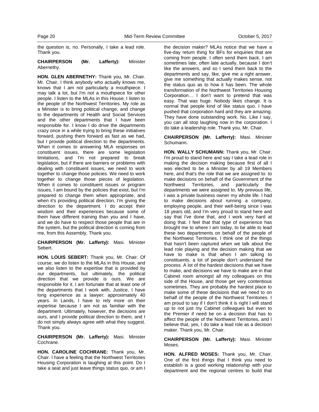the question is, no. Personally, I take a lead role. Thank you.

## **CHAIRPERSON (Mr. Lafferty):** Minister Abernethy.

**HON. GLEN ABERNETHY:** Thank you, Mr. Chair. Mr. Chair, I think anybody who actually knows me, knows that I am not particularly a mouthpiece. I may talk a lot, but I'm not a mouthpiece for other people. I listen to the MLAs in this House; I listen to the people of the Northwest Territories. My role as a Minister is to bring political change, and change to the departments of Health and Social Services and the other departments that I have been responsible for. I know I do drive the departments crazy once in a while trying to bring these initiatives forward, pushing them forward as fast as we had, but I provide political direction to the departments. When it comes to answering MLA responses on constituent issues, there are some legislation limitations, and I'm not prepared to break legislation, but if there are barriers or problems with dealing with constituent issues, we need to work together to change those policies. We need to work together to change those pieces of legislation. When it comes to constituent issues or program issues, I am bound by the policies that exist, but I'm prepared to change them when appropriate, and when it's providing political direction, I'm giving the direction to the department. I do accept their wisdom and their experiences because some of them have different training than you and I have, and we do have to respect those people that are in the system, but the political direction is coming from me, from this Assembly. Thank you.

**CHAIRPERSON (Mr. Lafferty):** Masi. Minister Sebert.

**HON. LOUIS SEBERT:** Thank you, Mr. Chair. Of course, we do listen to the MLAs in this House, and we also listen to the expertise that is provided by our departments, but ultimately, the political direction that we provide is ours. We are responsible for it. I am fortunate that at least one of the departments that I work with, Justice, I have long experience as a lawyer: approximately 40 years. In Lands, I have to rely more on their expertise because I am not as familiar with the department. Ultimately, however, the decisions are ours, and I provide political direction to them, and I do not simply always agree with what they suggest. Thank you.

**CHAIRPERSON (Mr. Lafferty):** Masi. Minister Cochrane.

**HON. CAROLINE COCHRANE:** Thank you, Mr. Chair. I have a feeling that the Northwest Territories Housing Corporation is laughing at this point. Do I take a seat and just leave things status quo, or am I

the decision maker? MLAs notice that we have a five-day return thing for BFs for enquiries that are coming from people. I often send them back. I am sometimes late, often late actually, because I don't like the answers, and so I send them back to the departments and say, like, give me a right answer, give me something that actually makes sense, not the status quo as to how it has been. The whole transformation of the Northwest Territories Housing Corporation… I don't want to pretend that was easy. That was huge. Nobody likes change. It is normal that people kind of like status quo. I have pushed that corporation hard and they are amazing. They have done outstanding work. No. Like I say, you can all stop laughing now in the corporation. I do take a leadership role. Thank you, Mr. Chair.

**CHAIRPERSON (Mr. Lafferty):** Masi. Minister Schumann.

**HON. WALLY SCHUMANN:** Thank you, Mr. Chair. I'm proud to stand here and say I take a lead role in making the decision making because first of all I was elected to be a Minister by all 19 Members here, and that's the role that we are assigned to: to make decisions on behalf of the Government of the<br>Northwest Territories, and particularly the Northwest Territories, and particularly the departments we were assigned to. My previous life, I was a private business owner my whole life. I had to make decisions about running a company, employing people, and their well-being since I was 18 years old, and I'm very proud to stand here and say that I've done that, and I work very hard at doing that. I feel that that type of experience has brought me to where I am today, to be able to lead these two departments on behalf of the people of the Northwest Territories. I think one of the things that hasn't been captured when we talk about the lead role playing and the decision making that we have to make is that when I am talking to constituents, a lot of people don't understand the process. A lot of the hardest decisions that we have to make, and decisions we have to make are in that Cabinet room amongst all my colleagues on this side of the House, and those get very contentious sometimes. They are probably the hardest place to make some of these decisions that we need to on behalf of the people of the Northwest Territories. I am proud to say if I don't think it is right I will stand up to not just my Cabinet colleagues but even to the Premier if need be on a decision that has to affect the people of the Northwest Territories, and I believe that, yes, I do take a lead role as a decision maker. Thank you, Mr. Chair.

**CHAIRPERSON (Mr. Lafferty):** Masi. Minister Moses.

**HON. ALFRED MOSES:** Thank you, Mr. Chair. One of the first things that I think you need to establish is a good working relationship with your department and the regional centres to build that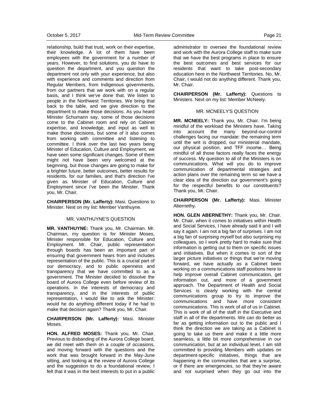relationship, build that trust, work on their expertise, their knowledge. A lot of them have been employees with the government for a number of years. However, to find solutions, you do have to question the department, and you question the department not only with your experience, but also with experience and comments and direction from Regular Members, from Indigenous governments, from our partners that we work with on a regular basis, and I think we've done that. We listen to people in the Northwest Territories. We bring that back to the table, and we give direction to the department to make those decisions. As you heard Minister Schumann say, some of those decisions come to the Cabinet room and rely on Cabinet expertise, and knowledge, and input as well to make those decisions, but some of it also comes from working with committee and listening to committee. I think over the last two years being Minister of Education, Culture and Employment, we have seen some significant changes. Some of them might not have been very welcomed at the beginning, but those changes are going to make for a brighter future, better outcomes, better results for residents, for our families, and that's direction I've given as Minister of Education, Culture and Employment since I've been the Minister. Thank you, Mr. Chair.

**CHAIRPERSON (Mr. Lafferty):** Masi. Questions to Minister. Next on my list: Member Vanthuyne.

#### MR. VANTHUYNE'S QUESTION

**MR. VANTHUYNE:** Thank you, Mr. Chairman. Mr. Chairman, my question is for Minister Moses, Minister responsible for Education, Culture and Employment. Mr. Chair, public representation through boards has been an important part of ensuring that government hears from and includes representation of the public. This is a crucial part of our democracy, and to public openness and transparency that we have committed to as a government. The Minister decided to dissolve the board of Aurora College even before review of its operations. In the interests of democracy and transparency, and in the interests of public representation, I would like to ask the Minister: would he do anything different today if he had to make that decision again? Thank you, Mr. Chair.

**CHAIRPERSON (Mr. Lafferty):** Masi. Minister Moses.

**HON. ALFRED MOSES:** Thank you, Mr. Chair. Previous to disbanding of the Aurora College board, we did meet with them on a couple of occasions, and moving forward with the questions and the work that was brought forward in the May-June sitting, and looking at the review of Aurora College and the suggestion to do a foundational review, I felt that it was in the best interests to put in a public

administrator to oversee the foundational review and work with the Aurora College staff to make sure that we have the best programs in place to ensure the best outcomes and best services for our residents that want to take post-secondary education here in the Northwest Territories. No, Mr. Chair, I would not do anything different. Thank you, Mr. Chair.

**CHAIRPERSON (Mr. Lafferty):** Questions to Ministers. Next on my list: Member McNeely.

#### MR. MCNEELY'S QUESTION

**MR. MCNEELY:** Thank you, Mr. Chair. I'm being mindful of the workload the Ministers have. Taking into account the many beyond-our-control challenges facing our mandate: the remaining term until the writ is dropped, our ministerial mandate, our physical position, and TFF income… Being mindful of all those factors really faces the energy of success. My question to all of the Ministers is on communications. What will you do to improve communication of departmental strategies and action plans over the remaining term so we have a clear idea of the direction our government's going for the respectful benefits to our constituents? Thank you, Mr. Chair.

**CHAIRPERSON (Mr. Lafferty):** Masi. Minister Abernethy.

**HON. GLEN ABERNETHY:** Thank you, Mr. Chair. Mr. Chair, when it comes to initiatives within Health and Social Services, I have already said it and I will say it again. I am not a big fan of surprises. I am not a big fan of surprising myself but also surprising my colleagues, so I work pretty hard to make sure that information is getting out to them on specific issues and initiatives. But when it comes to sort of the larger picture initiatives or things that we're moving forward, we have actually as a Cabinet been working on a communications staff positions here to help improve overall Cabinet communication, get information out, and more of a government approach. The Department of Health and Social Services is clearly working with the central communications group to try to improve the communications and have more consistent communications. This is work of all of us in Cabinet. This is work of all of the staff in the Executive and staff in all of the departments. We can do better as far as getting information out to the public and I think the direction we are taking as a Cabinet is going to take us there and make it a little more seamless, a little bit more comprehensive in our communication, but at an individual level, I am still committed to providing Members with updates on department-specific initiatives, things that are happening in the communities that are a surprise, or if there are emergencies, so that they're aware and not surprised when they go out into the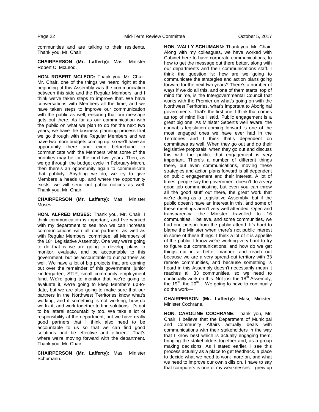communities and are talking to their residents. Thank you, Mr. Chair.

**CHAIRPERSON (Mr. Lafferty):** Masi. Minister Robert C. McLeod.

**HON. ROBERT MCLEOD:** Thank you, Mr. Chair. Mr. Chair, one of the things we heard right at the beginning of this Assembly was the communication between this side and the Regular Members, and I think we've taken steps to improve that. We have conversations with Members all the time, and we have taken steps to improve our communication with the public as well, ensuring that our message gets out there. As far as our communication with the public on what we plan to do for the next two years, we have the business planning process that we go through with the Regular Members and we have two more budgets coming up, so we'll have an opportunity there and even beforehand to communicate with the Members what some of the priorities may be for the next two years. Then, as we go through the budget cycle in February-March, then there's an opportunity again to communicate that publicly. Anything we do, we try to give Members a heads up, and where the opportunity exists, we will send out public notices as well. Thank you, Mr. Chair.

**CHAIRPERSON (Mr. Lafferty):** Masi. Minister Moses.

**HON. ALFRED MOSES:** Thank you, Mr. Chair. I think communication is important, and I've worked with my department to see how we can increase communications with all our partners, as well as with Regular Members, committee, all Members of the 18<sup>th</sup> Legislative Assembly. One way we're going to do that is we are going to develop plans to monitor, evaluate, and be accountable to this government, but be accountable to our partners as well. We have a lot of big projects that are coming out over the remainder of this government: junior kindergarten, STIP, small community employment fund. We're going to monitor that, we're going to evaluate it, we're going to keep Members up-todate, but we are also going to make sure that our partners in the Northwest Territories know what's working, and if something is not working, how do we fix it, and work together to find solutions. It's got to be lateral accountability too. We take a lot of responsibility at the department, but we have really good partners that I think also need to be accountable to us so that we can find good solutions and be effective and efficient. That's where we're moving forward with the department. Thank you, Mr. Chair.

**CHAIRPERSON (Mr. Lafferty):** Masi. Minister Schumann.

**HON. WALLY SCHUMANN:** Thank you, Mr. Chair. Along with my colleagues, we have worked with Cabinet here to have corporate communications, to how to get the message out there better, along with our departments and their communications staff. I think the question is: how are we going to communicate the strategies and action plans going forward for the next two years? There's a number of ways if we do all this, and one of them starts, top of mind for me, is the Intergovernmental Council that works with the Premier on what's going on with the Northwest Territories, what's important to Aboriginal governments. That's the first one. I think that comes as top of mind like I said. Public engagement is a great big one. As Minister Sebert's well aware, the cannabis legislation coming forward is one of the most engaged ones we have ever had in the Territories and I think that's dependent on committees as well. When they go out and do their legislative proposals, when they go out and discuss this with the public, that engagement is very important. There's a number of different things there, but even communications, moving these strategies and action plans forward is all dependent on public engagement and their interest. A lot of times, people say the government doesn't do a very good job communicating, but even you can throw all the good stuff out there, the great work that we're doing as a Legislative Assembly, but if the public doesn't have an interest in this, and some of these meetings aren't very well attended. Open and transparency: the Minister travelled to 16 communities, I believe, and some communities, we had one person from the public attend. It's hard to blame the Minister when there's not public interest in some of these things. I think a lot of it is appetite of the public. I know we're working very hard to try to figure out communications, and how do we get things out in a better manner, and reach out because we are a very spread-out territory with 33 remote communities, and because something is heard in this Assembly doesn't necessarily mean it reaches all 33 communities, so we need to continually work on this. Not just the  $18<sup>th</sup>$  Assembly, the  $19<sup>th</sup>$ , the  $20<sup>th</sup>$ ... We going to have to continually do the work—

**CHAIRPERSON (Mr. Lafferty):** Masi, Minister. Minister Cochrane.

**HON. CAROLINE COCHRANE:** Thank you, Mr. Chair. I believe that the Department of Municipal and Community Affairs actually deals with communications with their stakeholders in the way that I know best which is actually engaging them, bringing the stakeholders together and, as a group making decisions. As I stated earlier, I see this process actually as a place to get feedback, a place to decide what we need to work more on, and what we need to improve our own skills on. I have to say that computers is one of my weaknesses. I grew up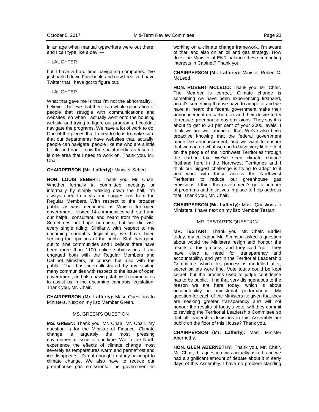in an age when manual typewriters were out there, and I can type like a devil—

#### ---LAUGHTER

but I have a hard time navigating computers. I've just nailed down Facebook, and now I realize I have Twitter that I have got to figure out.

#### ---LAUGHTER

What that gave me is that I'm not the abnormality, I believe. I believe that there is a whole generation of people that struggle with communications and websites, so when I actually went onto the housing website and trying to figure out programs, I couldn't navigate the programs. We have a lot of work to do. One of the pieces that I need to do is to make sure that our departments have websites that, actually, people can navigate, people like me who are a little bit old and don't know the social media as much. It is one area that I need to work on. Thank you, Mr. Chair.

#### **CHAIRPERSON (Mr. Lafferty):** Minister Sebert.

**HON. LOUIS SEBERT:** Thank you, Mr. Chair. Whether formally in committee meetings or informally by simply walking down the hall, I'm always open to ideas and suggestions from the Regular Members. With respect to the broader public, as was mentioned, as Minister for open government I visited 14 communities with staff and our helpful consultant, and heard from the public. Sometimes not huge numbers, but we did visit every single riding. Similarly, with respect to the upcoming cannabis legislation, we have been seeking the opinions of the public. Staff has gone out to nine communities and I believe there have been more than 1100 online submissions. I am engaged both with the Regular Members and Cabinet Ministers, of course, but also with the public. That has been illustrated by my visiting many communities with respect to the issue of open government, and also having staff visit communities to assist us in the upcoming cannabis legislation. Thank you, Mr. Chair.

**CHAIRPERSON (Mr. Lafferty):** Masi. Questions to Ministers. Next on my list: Member Green.

#### MS. GREEN'S QUESTION

**MS. GREEN:** Thank you, Mr. Chair. Mr. Chair, my question is for the Minister of Finance. Climate change is arguably the most pressing environmental issue of our time. We in the North experience the effects of climate change most severely as temperatures warm and permafrost and ice disappears. It's not enough to study or adapt to climate change. We also have to reduce our greenhouse gas emissions. The government is working on a climate change framework, I'm aware of that, and also on an oil and gas strategy. How does the Minister of ENR balance these competing interests in Cabinet? Thank you.

**CHAIRPERSON (Mr. Lafferty):** Minister Robert C. McLeod.

**HON. ROBERT MCLEOD:** Thank you, Mr. Chair. The Member is correct. Climate change is something we have been experiencing firsthand, and it's something that we have to adapt to, and we have all heard the federal government make their announcement on carbon tax and their desire to try to reduce greenhouse gas emissions. They say it is about to get to 30 per cent of your 2005 levels. I think we are well ahead of that. We've also been proactive knowing that the federal government made the announcement, and we want to ensure that we can do what we can to have very little effect on the people of the Northwest Territories through the carbon tax. We've seen climate change firsthand here in the Northwest Territories and I think our biggest challenge is trying to adapt to it and work with those across the Northwest Territories to reduce our greenhouse gas emissions. I think this government's got a number of programs and initiatives in place to help address that. Thank you, Mr. Chair.

**CHAIRPERSON (Mr. Lafferty):** Masi. Questions to Ministers. I have next on my list: Member Testart.

#### MR. TESTART'S QUESTION

**MR. TESTART:** Thank you, Mr. Chair. Earlier today, my colleague Mr. Simpson asked a question about would the Ministers resign and honour the results of this process, and they said "no." They have cited a need for transparency and accountability, and yet in the Territorial Leadership Committee, which this process is modelled after, secret ballots were fine. Vote totals could be kept secret, but the process used to judge confidence has to be public. I find that very disingenuous to the reason we are here today, which is about accountability in ministerial performance. My question for each of the Ministers is: given that they are seeking greater transparency and will not honour the results of today's vote, will they commit to revising the Territorial Leadership Committee so that all leadership decisions in this Assembly are public on the floor of this House? Thank you.

**CHAIRPERSON (Mr. Lafferty):** Masi. Minister Abernethy.

**HON. GLEN ABERNETHY:** Thank you, Mr. Chair. Mr. Chair, this question was actually asked, and we had a significant amount of debate about it in early days of this Assembly. I have no problem standing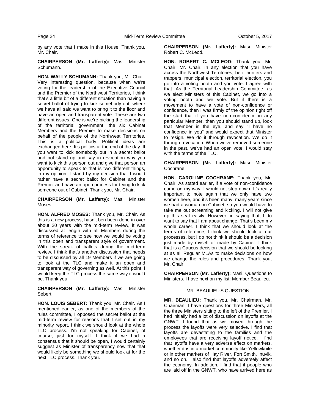by any vote that I make in this House. Thank you, Mr. Chair.

#### **CHAIRPERSON (Mr. Lafferty):** Masi. Minister Schumann.

**HON. WALLY SCHUMANN:** Thank you, Mr. Chair. Very interesting question, because when we're voting for the leadership of the Executive Council and the Premier of the Northwest Territories, I think that's a little bit of a different situation than having a secret ballot of trying to kick somebody out, where we have all said we want to bring it to the floor and have an open and transparent vote. These are two different issues. One is we're picking the leadership of the territorial government, the six Cabinet Members and the Premier to make decisions on behalf of the people of the Northwest Territories. This is a political body. Political ideas are exchanged here. It's politics at the end of the day. If you want to kick somebody out in a secret ballot and not stand up and say in revocation why you want to kick this person out and give that person an opportunity to speak to that is two different things, in my opinion. I stand by my decision that I would rather have a secret ballot for Cabinet and the Premier and have an open process for trying to kick someone out of Cabinet. Thank you, Mr. Chair.

**CHAIRPERSON (Mr. Lafferty):** Masi. Minister Moses.

**HON. ALFRED MOSES:** Thank you, Mr. Chair. As this is a new process, hasn't ben been done in over about 20 years with the mid-term review, it was discussed at length with all Members during the terms of reference to see how we would be voting in this open and transparent style of government. With the streak of ballots during the mid-term review, I think that's another discussion that needs to be discussed by all 19 Members if we are going to look at the TLC and make it an open and transparent way of governing as well. At this point, I would keep the TLC process the same way it would be. Thank you.

**CHAIRPERSON (Mr. Lafferty):** Masi. Minister Sebert.

**HON. LOUIS SEBERT:** Thank you, Mr. Chair. As I mentioned earlier, as one of the members of the rules committee, I opposed the secret ballot at the mid-term review for reasons that I set out in my minority report. I think we should look at the whole TLC process. I'm not speaking for Cabinet, of course; just for myself. I think if we had a consensus that it should be open, I would certainly suggest as Minister of transparency now that that would likely be something we should look at for the next TLC process. Thank you.

**CHAIRPERSON (Mr. Lafferty):** Masi. Minister Robert C. McLeod.

**HON. ROBERT C. MCLEOD:** Thank you, Mr. Chair. Mr. Chair, in any election that you have across the Northwest Territories, be it hunters and trappers, municipal election, territorial election, you go into a voting booth and you vote. I agree with that. As the Territorial Leadership Committee, as we elect Ministers of this Cabinet, we go into a voting booth and we vote. But if there is a movement to have a vote of non-confidence or confidence, then I was firmly of the opinion right off the start that if you have non-confidence in any particular Member, then you should stand up, look that Member in the eye, and say "I have no confidence in you" and would expect that Minister to resign. We do it through revocation. We do it through revocation. When we've removed someone in the past, we've had an open vote. I would stay with the terms of the TLC.

**CHAIRPERSON (Mr. Lafferty):** Masi. Minister Cochrane.

**HON. CAROLINE COCHRANE:** Thank you, Mr. Chair. As stated earlier, if a vote of non-confidence came on my way, I would not step down. It's really important to note again that we only have two women here, and it's been many, many years since we had a woman on Cabinet, so you would have to take me out screaming and kicking. I will not give up this seat easily. However, in saying that, I do want to say that I am about change. That's been my whole career. I think that we should look at the terms of reference, I think we should look at our processes, but I do not think it should be a decision just made by myself or made by Cabinet. I think that is a Caucus decision that we should be looking at as all Regular MLAs to make decisions on how we change the rules and procedures. Thank you, Mr. Chair.

**CHAIRPERSON (Mr. Lafferty):** Masi. Questions to Ministers. I have next on my list: Member Beaulieu.

#### MR. BEAULIEU'S QUESTION

**MR. BEAULIEU:** Thank you, Mr. Chairman. Mr. Chairman, I have questions for three Ministers, all the three Ministers sitting to the left of the Premier. I had initially had a lot of discussion on layoffs at the GNWT. I found that as we moved through the process the layoffs were very selective. I find that layoffs are devastating to the families and the employees that are receiving layoff notice. I find that layoffs have a very adverse effect on markets, whether it is in a market community like Yellowknife or in other markets of Hay River, Fort Smith, Inuvik, and so on. I also find that layoffs adversely affect the economy. In addition, I find that if people who are laid off in the GNWT, who have arrived here as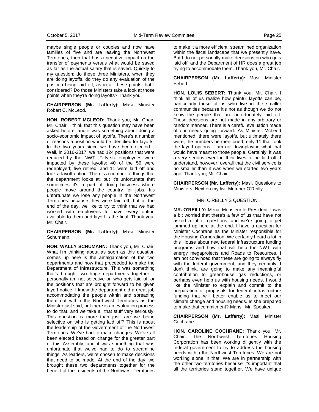maybe single people or couples and now have families of five and are leaving the Northwest Territories, then that has a negative impact on the transfer of payments versus what would be saved as far as the actual salary that is saved. Quickly to my question: do these three Ministers, when they are doing layoffs, do they do any evaluation of the position being laid off, as in all these points that I considered? Do those Ministers take a look at those points when they're doing layoffs? Thank you.

**CHAIRPERSON (Mr. Lafferty):** Masi. Minister Robert C. McLeod.

**HON. ROBERT MCLEOD:** Thank you, Mr. Chair. Mr. Chair, I think that this question may have been asked before, and it was something about doing a socio-economic impact of layoffs. There's a number of reasons a position would be identified for layoffs. In the two years since we have been elected… Well, in 2016-2017, we had 124 positions that were reduced by the NWT. Fifty-six employees were impacted by these layoffs: 40 of the 56 were redeployed; five retired; and 11 were laid off and took a layoff option. There's a number of things that the department looks at, but it's unfortunate that sometimes it's a part of doing business where people move around the country for jobs. It's unfortunate we lose any people in the Northwest Territories because they were laid off, but at the end of the day, we like to try to think that we had worked with employees to have every option available to them and layoff is the final. Thank you, Mr. Chair.

## **CHAIRPERSON (Mr. Lafferty):** Masi. Minister Schumann.

**HON. WALLY SCHUMANN:** Thank you, Mr. Chair. What I'm thinking about as soon as this question comes up here is the amalgamation of the two departments and how that proceeded to make the Department of Infrastructure. This was something that's brought two huge departments together. I personally am not selective on who gets laid off or the positions that are brought forward to be given layoff notice. I know the department did a great job accommodating the people within and spreading them out within the Northwest Territories as the Minister just said, but there is an evaluation process to do that, and we take all that stuff very seriously. This question is more than just: are we being selective on who is getting laid off? This is about the leadership of the Government of the Northwest Territories. We've had to make changes. We've all been elected based on change for the greater part of this Assembly, and it was something that was unfortunate that we've had to do to streamline things. As leaders, we're chosen to make decisions that need to be made. At the end of the day, we brought these two departments together for the benefit of the residents of the Northwest Territories to make it a more efficient, streamlined organization within the fiscal landscape that we presently have. But I do not personally make decisions on who gets laid off, and the Department of HR does a great job trying to accommodate them. Thank you, Mr. Chair.

### **CHAIRPERSON (Mr. Lafferty):** Masi. Minister Sebert.

**HON. LOUIS SEBERT:** Thank you, Mr. Chair. I think all of us realize how painful layoffs can be, particularly those of us who live in the smaller communities because it's not as though we do not know the people that are unfortunately laid off. These decisions are not made in any arbitrary or random manner. There is a careful evaluation made of our needs going forward. As Minister McLeod mentioned, there were layoffs, but ultimately there were, the numbers he mentioned, only 11 that took the layoff options. I am not downplaying what that would have meant to those people. Certainly, it was a very serious event in their lives to be laid off. I understand, however, overall that the civil service is no smaller than it was when we started two years ago. Thank you, Mr. Chair.

**CHAIRPERSON (Mr. Lafferty):** Masi. Questions to Ministers. Next on my list: Member O'Reilly.

## MR. O'REILLY'S QUESTION

**MR. O'REILLY:** Merci, Monsieur le President. I was a bit worried that there's a few of us that have not asked a lot of questions, and we're going to get jammed up here at the end. I have a question for Minister Cochrane as the Minister responsible for the Housing Corporation. We certainly heard a lot in this House about new federal infrastructure funding programs and how that will help the NWT with energy megaprojects and Roads to Resources. I am not convinced that these are going to always fly with the federal government, and they certainly, I don't think, are going to make any meaningful contribution to greenhouse gas reductions, or perhaps even help us with housing needs. I would like the Minister to explain and commit to the preparation of proposals for federal infrastructure funding that will better enable us to meet our climate change and housing needs. Is she prepared to make that commitment? Mahsi, Mr. Speaker.

**CHAIRPERSON (Mr. Lafferty):** Masi. Minister Cochrane.

**HON. CAROLINE COCHRANE:** Thank you, Mr. Chair. The Northwest Territories Housing Corporation has been working diligently with the federal government to try to address the housing needs within the Northwest Territories. We are not working alone in that. We are in partnership with the other two territories because it's important that all the territories stand together. We have unique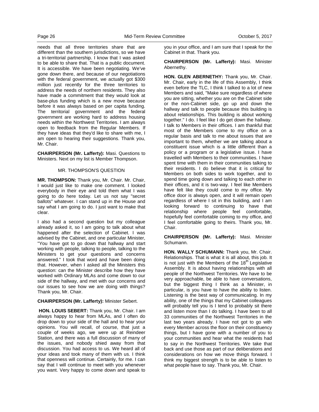needs that all three territories share that are different than the southern jurisdictions, so we have a tri-territorial partnership. I know that I was asked to be able to share that. That is a public document. It is accessible. We have been negotiating. We've gone down there, and because of our negotiations with the federal government, we actually got \$300 million just recently for the three territories to address the needs of northern residents. They also have made a commitment that they would look at base-plus funding which is a new move because before it was always based on per capita funding. The territorial government and the federal government are working hard to address housing needs within the Northwest Territories. I am always open to feedback from the Regular Members. If they have ideas that they'd like to share with me, I am open to hearing their suggestions. Thank you, Mr. Chair.

**CHAIRPERSON (Mr. Lafferty):** Masi. Questions to Ministers. Next on my list is Member Thompson.

#### MR. THOMPSON'S QUESTION

**MR. THOMPSON:** Thank you, Mr. Chair. Mr. Chair, I would just like to make one comment. I looked everybody in their eye and told them what I was going to do here today. Let us not say "secret ballots" whatever. I can stand up in the House and say what I am going to do. I just want to make that clear.

I also had a second question but my colleague already asked it, so I am going to talk about what happened after the selection of Cabinet. I was advised by the Cabinet, and one particular Minister, "You have got to go down that hallway and start working with people, talking to people, talking to the Ministers to get your questions and concerns answered." I took that word and have been doing that. However, when I asked all the Ministers this question: can the Minister describe how they have worked with Ordinary MLAs and come down to our side of the hallway, and met with our concerns and our issues to see how we are doing with things? Thank you, Mr. Chair.

## **CHAIRPERSON (Mr. Lafferty):** Minister Sebert.

**HON. LOUIS SEBERT:** Thank you, Mr. Chair. I am always happy to hear from MLAs, and I often do drop down to your side of the hall and to hear your opinions. You will recall, of course, that just a couple of weeks ago, we were up at Reindeer Station, and there was a full discussion of many of the issues, and nobody shied away from that discussion. You had access to us. We heard all of your ideas and took many of them with us. I think that openness will continue. Certainly, for me. I can say that I will continue to meet with you whenever you want. Very happy to come down and speak to

you in your office, and I am sure that I speak for the Cabinet in that. Thank you.

**CHAIRPERSON (Mr. Lafferty):** Masi. Minister Abernethy.

**HON. GLEN ABERNETHY:** Thank you, Mr. Chair. Mr. Chair, early in the life of this Assembly, I think even before the TLC, I think I talked to a lot of new Members and said, "Make sure regardless of where you are sitting, whether you are on the Cabinet side or the non-Cabinet side, go up and down the hallway and talk to people because this building is about relationships. This building is about working together." I do. I feel like I do get down the hallway. I talk to Members in their offices. I am thankful that most of the Members come to my office on a regular basis and talk to me about issues that are important to them, whether we are talking about a constituent issue which is a little different than a policy or a program or a legislative issue. I have travelled with Members to their communities. I have spent time with them in their communities talking to their residents. I do believe that it is critical for Members on both sides to work together, and to spend time going down and talking to each other in their offices, and it is two-way. I feel like Members have felt like they could come to my office. My office door is always open, and it will remain open regardless of where I sit in this building, and I am looking forward to continuing to have that relationship where people feel comfortable, hopefully feel comfortable coming to my office, and I feel comfortable going to theirs. Thank you, Mr. Chair.

**CHAIRPERSON (Mr. Lafferty):** Masi. Minister Schumann.

**HON. WALLY SCHUMANN:** Thank you, Mr. Chair. Relationships. That is what it is all about, this job. It is not just with the Members of the  $18<sup>th</sup>$  Legislative Assembly. It is about having relationships with all people of the Northwest Territories. We have to be very approachable, be able to have conversations, but the biggest thing I think as a Minister, in particular, is you have to have the ability to listen. Listening is the best way of communicating. In my ability, one of the things that my Cabinet colleagues will probably tell you is I tend to probably sit there and listen more than I do talking. I have been to all 33 communities of the Northwest Territories in the last two years already. I have not got to go with every Member across the floor on their constituency things, but I have gone with a number of you to your communities and hear what the residents had to say in the Northwest Territories. We take that back and use those as part of our deliberations and considerations on how we move things forward. I think my biggest strength is to be able to listen to what people have to say. Thank you, Mr. Chair.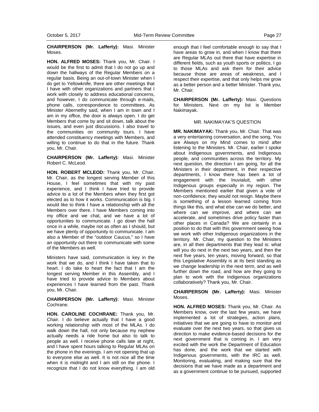**CHAIRPERSON (Mr. Lafferty):** Masi. Minister Moses.

**HON. ALFRED MOSES:** Thank you, Mr. Chair. I would be the first to admit that I do not go up and down the hallways of the Regular Members on a regular basis. Being an out-of-town Minister when I do get to Yellowknife, there are other meetings that I have with other organizations and partners that I work with closely to address educational concerns, and however, I do communicate through e-mails, phone calls, correspondence to committees. As Minister Abernethy said, when I am in town and I am in my office, the door is always open. I do get Members that come by and sit down, talk about the issues, and even just discussions. I also travel to the communities on community tours. I have attended constituency meetings with Members, and willing to continue to do that in the future. Thank you, Mr. Chair.

**CHAIRPERSON (Mr. Lafferty):** Masi. Minister Robert C. McLeod.

**HON. ROBERT MCLEOD:** Thank you, Mr. Chair. Mr. Chair, as the longest serving Member of this House, I feel sometimes that with my past experience, and I think I have tried to provide advice to a lot of the Members when they first got elected as to how it works. Communication is big. I would like to think I have a relationship with all the Members over there. I have Members coming into my office and we chat, and we have a lot of opportunities to communicate. I go down the hall once in a while, maybe not as often as I should, but we have plenty of opportunity to communicate. I am also a Member of the "outdoor Caucus," so I have an opportunity out there to communicate with some of the Members as well.

Ministers have said, communication is key in the work that we do, and I think I have taken that to heart. I do take to heart the fact that I am the longest serving Member in this Assembly, and I have tried to provide advice to Members about experiences I have learned from the past. Thank you, Mr. Chair.

**CHAIRPERSON (Mr. Lafferty):** Masi. Minister Cochrane.

**HON. CAROLINE COCHRANE:** Thank you, Mr. Chair. I do believe actually that I have a good working relationship with most of the MLAs. I do walk down the hall, not only because my nephew actually needs a ride home but also to talk to people as well. I receive phone calls late at night, and I have spent hours talking to Regular MLAs on the phone in the evenings. I am not opening that up to everyone else as well. It is not nice all the time when it is midnight and I am still on the phone. I recognize that I do not know everything. I am old enough that I feel comfortable enough to say that I have areas to grow in, and when I know that there are Regular MLAs out there that have expertise in different fields, such as youth sports or politics, I go to those MLAs and ask them for their advice because those are areas of weakness, and I respect their expertise, and that only helps me grow as a better person and a better Minister. Thank you, Mr. Chair.

**CHAIRPERSON (Mr. Lafferty):** Masi. Questions for Ministers. Next on my list is Member Nakimayak.

#### MR. NAKIMAYAK'S QUESTION

**MR. NAKIMAYAK:** Thank you, Mr. Chair. That was a very entertaining conversation, and the song, You are Always on my Mind comes to mind after listening to the Ministers. Mr. Chair, earlier I spoke about Indigenous governments, and Indigenous people, and communities across the territory. My next question, the direction I am going, for all the Ministers in their department, in their respective departments, I know there has been a lot of engagement with the Inuvialuit, with other Indigenous groups especially in my region. The Members mentioned earlier that given a vote of non-confidence, they would not resign. Maybe there is something of a lesson learned coming from things like this, and what else can we do better, and where can we improve, and where can we accelerate, and sometimes drive policy faster than other places in Canada? We are certainly in a position to do that with this government seeing how we work with other Indigenous organizations in the territory. Mr. Chair, my question to the Ministers are, in all their departments that they lead is: what will you do next in the next two years, and then the next five years, ten years, moving forward, so that this Legislative Assembly is at its best standing as we change leadership in the next term, and as well further down the road, and how are they going to plan to work with the Indigenous organizations collaboratively? Thank you, Mr. Chair.

**CHAIRPERSON (Mr. Lafferty):** Masi. Minister Moses.

**HON. ALFRED MOSES:** Thank you, Mr. Chair. As Members know, over the last few years, we have implemented a lot of strategies, action plans, initiatives that we are going to have to monitor and evaluate over the next two years, so that gives us direction to make evidence-based decisions for the next government that is coming in. I am very excited with the work the Department of Education has done, and the work that we started with Indigenous governments, with the IRC as well. Monitoring, evaluating, and making sure that the decisions that we have made as a department and as a government continue to be pursued, supported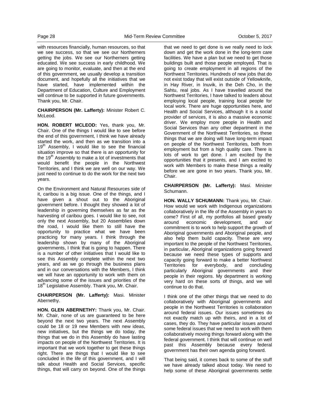with resources financially, human resources, so that we see success, so that we see our Northerners getting the jobs. We see our Northerners getting educated. We see success in early childhood. We are going to monitor, evaluate, and then at the end of this government, we usually develop a transition document, and hopefully all the initiatives that we have started, have implemented within the Department of Education, Culture and Employment will continue to be supported in future governments. Thank you, Mr. Chair.

**CHAIRPERSON (Mr. Lafferty):** Minister Robert C. McLeod.

**HON. ROBERT MCLEOD:** Yes, thank you, Mr. Chair. One of the things I would like to see before the end of this government, I think we have already started the work, and then as we transition into a  $19<sup>th</sup>$  Assembly, I would like to see the financial situation improve so that there is an opportunity for the  $19<sup>th</sup>$  Assembly to make a lot of investments that would benefit the people in the Northwest Territories, and I think we are well on our way. We just need to continue to do the work for the next two years.

On the Environment and Natural Resources side of it, caribou is a big issue. One of the things, and I have given a shout out to the Aboriginal government before. I thought they showed a lot of leadership in governing themselves as far as the harvesting of caribou goes. I would like to see, not only the next Assembly, but 20 Assemblies down the road, I would like them to still have the opportunity to practice what we have been practicing for many years. I think through the leadership shown by many of the Aboriginal governments, I think that is going to happen. There is a number of other initiatives that I would like to see this Assembly complete within the next two years, and as we go through the business plans and in our conversations with the Members, I think we will have an opportunity to work with them on advancing some of the issues and priorities of the 18<sup>th</sup> Legislative Assembly. Thank you, Mr. Chair.

**CHAIRPERSON (Mr. Lafferty):** Masi. Minister Abernethy.

**HON. GLEN ABERNETHY:** Thank you, Mr. Chair. Mr. Chair, none of us are guaranteed to be here beyond the next two years. The next Assembly could be 18 or 19 new Members with new ideas, new initiatives, but the things we do today, the things that we do in this Assembly do have lasting impacts on people of the Northwest Territories. It is important that we work together to get these things right. There are things that I would like to see concluded in the life of this government, and I will talk about Health and Social Services, specific things, that will carry on beyond. One of the things

that we need to get done is we really need to lock down and get the work done in the long-term care facilities. We have a plan but we need to get those buildings built and those people employed. That is going to create employment in all regions of the Northwest Territories. Hundreds of new jobs that do not exist today that will exist outside of Yellowknife, in Hay River, in Inuvik, in the Deh Cho, in the Sahtu, real jobs. As I have travelled around the Northwest Territories, I have talked to leaders about employing local people, training local people for local work. There are huge opportunities here, and Health and Social Services, although it is a social provider of services, it is also a massive economic driver. We employ more people in Health and Social Services than any other department in the Government of the Northwest Territories, so these things that we are doing will have long-term impact on people of the Northwest Territories, both from employment but from a high quality care. There is lots of work to get done. I am excited by the opportunities that it presents, and I am excited to work with Members to make these things a reality before we are gone in two years. Thank you, Mr. Chair.

**CHAIRPERSON (Mr. Lafferty):** Masi. Minister Schumann.

**HON. WALLY SCHUMANN:** Thank you, Mr. Chair. How would we work with Indigenous organizations collaboratively in the life of the Assembly in years to come? First of all, my portfolios all based greatly around economic development, and our commitment is to work to help support the growth of Aboriginal governments and Aboriginal people, and also help them build capacity. These are very important to the people of the Northwest Territories, in particular, Aboriginal organizations going forward because we need these types of supports and capacity going forward to make a better Northwest Territories for everybody, and concluding particularly Aboriginal governments and their people in their regions. My department is working very hard on these sorts of things, and we will continue to do that.

I think one of the other things that we need to do collaboratively with Aboriginal governments and people in the Northwest Territories is collaboration around federal issues. Our issues sometimes do not exactly match up with theirs, and in a lot of cases, they do. They have particular issues around some federal issues that we need to work with them collaboratively moving things forward along with the federal government. I think that will continue on well past this Assembly because every federal government has their own agenda going forward.

That being said, it comes back to some of the stuff we have already talked about today. We need to help some of these Aboriginal governments settle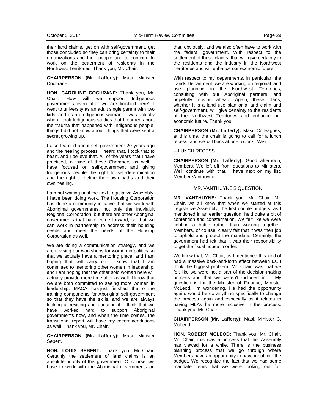their land claims, get on with self-government, get those concluded so they can bring certainty to their organizations and their people and to continue to work on the betterment of residents in the Northwest Territories. Thank you, Mr. Chair.

**CHAIRPERSON (Mr. Lafferty):** Masi. Minister Cochrane.

**HON. CAROLINE COCHRANE:** Thank you, Mr. Chair. How will we support Indigenous governments even after we are finished here? I went to university as an adult single parent with two kids, and as an Indigenous woman, it was actually when I took Indigenous studies that I learned about the trauma that happened with Indigenous people, things I did not know about, things that were kept a secret growing up.

I also learned about self-government 20 years ago and the healing process. I heard that, I took that to heart, and I believe that. All of the years that I have practised, outside of these Chambers as well, I have focused on self-government and giving Indigenous people the right to self-determination and the right to define their own paths and their own healing.

I am not waiting until the next Legislative Assembly. I have been doing work. The Housing Corporation has done a community initiative that we work with Aboriginal governments, not only the Inuvialuit Regional Corporation, but there are other Aboriginal governments that have come forward, so that we can work in partnership to address their housing needs and meet the needs of the Housing Corporation as well.

We are doing a communication strategy, and we are revising our workshops for women in politics so that we actually have a mentoring piece, and I am hoping that will carry on. I know that I am committed to mentoring other women in leadership, and I am hoping that the other solo woman here will actually provide more time after as well. I know that we are both committed to seeing more women in leadership. MACA has just finished the online training components for Aboriginal self-government so that they have the skills, and we are always looking at revising and updating it. I think that we have worked hard to support Aboriginal governments now, and when the time comes, the transitional report will have my recommendations as well. Thank you, Mr. Chair.

**CHAIRPERSON (Mr. Lafferty):** Masi. Minister Sebert.

**HON. LOUIS SEBERT:** Thank you, Mr. Chair. Certainly the settlement of land claims is an absolute priority of this government. Of course, we have to work with the Aboriginal governments on that, obviously, and we also often have to work with the federal government. With respect to the settlement of those claims, that will give certainty to the residents and the industry in the Northwest Territories and will enhance our economic future.

With respect to my departments, in particular, the Lands Department, we are working on regional land use planning in the Northwest Territories, consulting with our Aboriginal partners, and hopefully moving ahead. Again, these plans, whether it is a land use plan or a land claim and self-government, will give certainty to the residents of the Northwest Territories and enhance our economic future. Thank you.

**CHAIRPERSON (Mr. Lafferty):** Masi. Colleagues, at this time, the chair is going to call for a lunch recess, and we will back at one o'clock. Masi.

#### ---LUNCH RECESS

**CHAIRPERSON (Mr. Lafferty):** Good afternoon, Members. We left off from questions to Ministers. We'll continue with that. I have next on my list, Member Vanthuyne.

### MR. VANTHUYNE'S QUESTION

**MR. VANTHUYNE:** Thank you, Mr. Chair. Mr. Chair, we all know that when we started at this Legislative Assembly, the first couple budgets, as I mentioned in an earlier question, held quite a bit of contention and consternation. We felt like we were fighting a battle rather than working together. Members, of course, clearly felt that it was their job to uphold and protect the mandate. Certainly, the government had felt that it was their responsibility to get the fiscal house in order.

We know that, Mr. Chair, as I mentioned this kind of had a massive back-and-forth effect between us. I think the biggest problem, Mr. Chair, was that we felt like we were not a part of the decision-making process and that we weren't included in it. My question is for the Minister of Finance, Minister McLeod, I'm wondering. He had the opportunity again: would he do anything specifically to change the process again and especially as it relates to having MLAs be more inclusive in the process. Thank you, Mr. Chair.

**CHAIRPERSON (Mr. Lafferty):** Masi. Minister C. McLeod.

**HON. ROBERT MCLEOD:** Thank you, Mr. Chair. Mr. Chair, this was a process that this Assembly has viewed for a while. There is the business planning process that we go through where Members have an opportunity to have input into the budget. We recognize the fact that we had some mandate items that we were looking out for.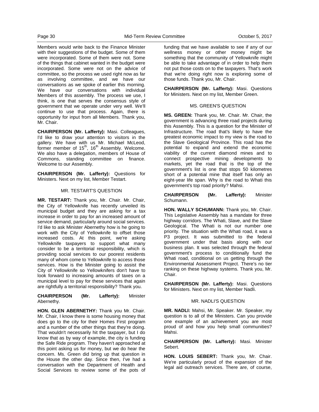Members would write back to the Finance Minister with their suggestions of the budget. Some of them were incorporated. Some of them were not. Some of the things that cabinet wanted in the budget were incorporated. Some were not on the advice of committee, so the process we used right now as far as involving committee, and we have our conversations as we spoke of earlier this morning. We have our conversations with individual Members of this assembly. The process we use, I think, is one that serves the consensus style of government that we operate under very well. We'll continue to use that process. Again, there is opportunity for input from all Members. Thank you, Mr. Chair.

**CHAIRPERSON (Mr. Lafferty):** Masi. Colleagues, I'd like to draw your attention to visitors in the gallery. We have with us Mr. Michael McLeod, former member of  $15^{th}$ , 16 $^{th}$  Assembly. Welcome. We also have a delegation, members of House of Commons, standing committee on finance. Welcome to our Assembly.

**CHAIRPERSON (Mr. Lafferty):** Questions for Ministers. Next on my list, Member Testart.

#### MR. TESTART'S QUESTION

**MR. TESTART:** Thank you, Mr. Chair. Mr. Chair, the City of Yellowknife has recently unveiled its municipal budget and they are asking for a tax increase in order to pay for an increased amount of service demand, particularly around social services. I'd like to ask Minister Abernethy how is he going to work with the City of Yellowknife to offset those increased costs. At this point, we're asking Yellowknife taxpayers to support what many consider to be a territorial responsibility, which is providing social services to our poorest residents many of whom come to Yellowknife to access those services. How is the Minister going to assist the City of Yellowknife so Yellowknifers don't have to look forward to increasing amounts of taxes on a municipal level to pay for these services that again are rightfully a territorial responsibility? Thank you.

## **CHAIRPERSON (Mr. Lafferty):** Minister Abernethy.

**HON. GLEN ABERNETHY:** Thank you Mr. Chair. Mr. Chair, I know there is some housing money that does go to the city for their Homes First program and a number of the other things that they're doing. That wouldn't necessarily hit the taxpayer, but I do know that as by way of example, the city is funding the Safe Ride program. They haven't approached at this point asking us for money, but we do hear the concern. Ms. Green did bring up that question in the House the other day. Since then, I've had a conversation with the Department of Health and Social Services to review some of the pots of funding that we have available to see if any of our wellness money or other money might be something that the community of Yellowknife might be able to take advantage of in order to help them not put those costs on to the taxpayers. That's work that we're doing right now is exploring some of those funds. Thank you, Mr. Chair.

**CHAIRPERSON (Mr. Lafferty):** Masi. Questions for Ministers. Next on my list, Member Green.

## MS. GREEN'S QUESTION

**MS. GREEN:** Thank you, Mr. Chair. Mr. Chair, the government is advancing three road projects during this Assembly. This is a question for the Minister of Infrastructure. The road that's likely to have the greatest economic impact to my view is the road to the Slave Geological Province. This road has the potential to expand and extend the economic viability of the current diamond mines and to connect prospective mining developments to markets, yet the road that is the top of the government's list is one that stops 50 kilometres short of a potential mine that itself has only an eight-year life span. Why is the road to Whati this government's top road priority? Mahsi.

#### **CHAIRPERSON (Mr. Lafferty):** Minister Schumann.

**HON. WALLY SCHUMANN:** Thank you, Mr. Chair. This Legislative Assembly has a mandate for three highway corridors. The Whati, Slave, and the Slave Geological. The Whati is not our number one priority. The situation with the Whati road, it was a P3 project. It was submitted to the federal government under that basis along with our business plan. It was selected through the federal government's process to conditionally fund the Whati road, conditional on us getting through the Environmental Assessment Project. There's no tier ranking on these highway systems. Thank you, Mr. Chair.

**CHAIRPERSON (Mr. Lafferty):** Masi. Questions for Ministers. Next on my list, Member Nadli.

#### MR. NADLI'S QUESTION

**MR. NADLI:** Mahsi, Mr. Speaker. Mr. Speaker, my question is to all of the Ministers. Can you provide one example of an achievement you are most proud of and how you help small communities? Mahsi.

**CHAIRPERSON (Mr. Lafferty):** Masi. Minister Sebert.

**HON. LOUIS SEBERT:** Thank you, Mr. Chair. We're particularly proud of the expansion of the legal aid outreach services. There are, of course,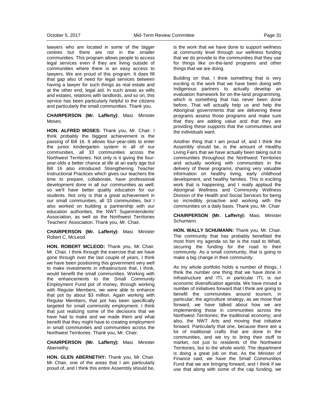lawyers who are located in some of the bigger centres but there are not in the smaller communities. This program allows people to access legal services even if they are living outside of communities where there is an easy access to lawyers. We are proud of this program. It does fill that gap also of need for legal services between having a lawyer for such things as real estate and at the other end, legal aid. In such areas as wills and estates, relations with landlords, and so on, this service has been particularly helpful to the citizens and particularly the small communities. Thank you.

**CHAIRPERSON (Mr. Lafferty):** Masi. Minister Moses.

**HON. ALFRED MOSES:** Thank you, Mr. Chair. I think probably the biggest achievement is the passing of Bill 16. It allows four-year-olds to enter the junior kindergarten system in all of our communities, all 33 communities across the Northwest Territories. Not only is it giving the fouryear-olds a better chance at life at an early age but Bill 16 also introduced Strengthening Teacher Instructional Practices which gives our teachers the time to prepare, collaborate, have professional development done in all our communities as well; so we'll have better quality education for our students. Not only is that a great achievement in our small communities, all 33 communities, but I also worked on building a partnership with our education authorities, the NWT Superintendents' Association, as well as the Northwest Territories Teachers' Association. Thank you, Mr. Chair.

**CHAIRPERSON (Mr. Lafferty):** Masi. Minister Robert C. McLeod.

**HON. ROBERT MCLEOD:** Thank you, Mr. Chair. Mr. Chair, I think through the exercise that we have gone through over the last couple of years, I think we have been positioning this government very well to make investments in infrastructure that, I think, would benefit the small communities. Working with the enhancements to the Small Community Employment Fund pot of money, through working with Regular Members, we were able to enhance that pot by about \$3 million. Again working with Regular Members, that pot has been specifically targeted for small community employment. I think that just realizing some of the decisions that we have had to make and we made them and what benefit that they might have to creating employment in small communities and communities across the Northwest Territories. Thank you, Mr. Chair.

**CHAIRPERSON (Mr. Lafferty):** Masi. Minister Abernethy.

**HON. GLEN ABERNETHY:** Thank you, Mr. Chair. Mr. Chair, one of the areas that I am particularly proud of, and I think this entire Assembly should be,

is the work that we have done to support wellness at community level through our wellness funding that we do provide to the communities that they use for things like on-the-land programs and other things that we are doing.

Building on that, I think something that is very exciting is the work that we have been doing with Indigenous partners to actually develop an evaluation framework for on-the-land programming, which is something that has never been done before. That will actually help us and help the Aboriginal governments that are delivering these programs assess those programs and make sure that they are adding value and that they are providing these supports that the communities and the individuals want.

Another thing that I am proud of, and I think the Assembly should be, is the amount of Healthy Living Fairs that we have actually been taking out to communities throughout the Northwest Territories and actually working with communities in the delivery of these programs, sharing very valuable information on healthy living, early childhood development, and healthy families. This is exciting work that is happening, and I really applaud the Aboriginal Wellness and Community Wellness Division of the Health and Social Services for being so incredibly proactive and working with the communities on a daily basis. Thank you, Mr. Chair

**CHAIRPERSON (Mr. Lafferty):** Masi. Minister Schumann.

**HON. WALLY SCHUMANN:** Thank you, Mr. Chair. The community that has probably benefited the most from my agenda so far is the road to Whati, securing the funding for the road to their community. As a small community, that is going to make a big change in their community.

As my whole portfolio holds a number of things, I think the number one thing that we have done in Infrastructure and ITI, in particular ITI, is our economic diversification agenda. We have moved a number of initiatives forward that I think are going to benefit the communities around tourism, in particular; the agriculture strategy, as we move that forward, we have talked about how we are implementing those in communities across the Northwest Territories; the traditional economy; and also, the NWT Arts and moving that initiative forward. Particularly that one, because there are a lot of traditional crafts that are done in the communities, and we try to bring their stuff to market, not just to residents of the Northwest Territories, but to the whole world. The department is doing a great job on that. As the Minister of Finance said, we have the Small Communities Fund that we are bringing forward, and I think if we use that along with some of the cap funding, we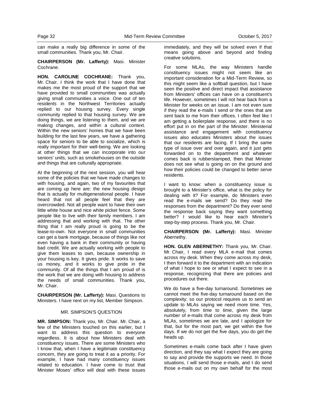can make a really big difference in some of the small communities. Thank you, Mr. Chair.

**CHAIRPERSON (Mr. Lafferty):** Masi. Minister Cochrane.

**HON. CAROLINE COCHRANE:** Thank you, Mr. Chair. I think the work that I have done that makes me the most proud of the support that we have provided to small communities was actually giving small communities a voice. One out of ten residents in the Northwest Territories actually replied to our housing survey. Every single community replied to that housing survey. We are doing things, we are listening to them, and we are making changes, and within a cultural context. Within the new seniors' homes that we have been building for the last few years, we have a gathering space for seniors to be able to socialize, which is really important for their well-being. We are looking at other things that we can incorporate into our seniors' units, such as smokehouses on the outside and things that are culturally appropriate.

At the beginning of the next session, you will hear some of the policies that we have made changes to with housing, and again, two of my favourites that are coming up here are: the new housing design that is actually for multigenerational people. I have heard that not all people feel that they are overcrowded. Not all people want to have their own little white house and nice white picket fence. Some people like to live with their family members. I am addressing that and working with that. The other thing that I am really proud is going to be the lease-to-own. Not everyone in small communities can get a bank mortgage, because of things like not even having a bank in their community or having bad credit. We are actually working with people to give them leases to own, because ownership in your housing is key. It gives pride. It works to save us money, and it works to give pride in the community. Of all the things that I am proud of is the work that we are doing with housing to address the needs of small communities. Thank you, Mr. Chair.

**CHAIRPERSON (Mr. Lafferty):** Masi. Questions to Ministers. I have next on my list, Member Simpson.

## MR. SIMPSON'S QUESTION

**MR. SIMPSON:** Thank you, Mr. Chair. Mr. Chair, a few of the Ministers touched on this earlier, but I want to address this question to everyone regardless. It is about how Ministers deal with constituency issues. There are some Ministers who I know that, when I have a legitimate constituency concern, they are going to treat it as a priority. For example, I have had many constituency issues related to education. I have come to trust that Minister Moses' office will deal with these issues

immediately, and they will be solved even if that means going above and beyond and finding creative solutions.

For some MLAs, the way Ministers handle constituency issues might not seem like an important consideration for a Mid-Term Review, so this might seem like a softball question, but I have seen the positive and direct impact that assistance from Ministers' offices can have on a constituent's life. However, sometimes I will not hear back from a Minister for weeks on an issue. I am not even sure if they read the e-mails I send or the ones that are sent back to me from their offices. I often feel like I am getting a boilerplate response, and there is no effort put in on the part of the Minister. Ministerial assistance and engagement with constituency issues also educates Ministers about the issues that our residents are facing. If I bring the same type of issue over and over again, and it just gets forwarded on to the department and whatever comes back is rubberstamped, then that Minister does not see what is going on on the ground and how their policies could be changed to better serve residents.

I want to know: when a constituency issue is brought to a Minister's office, what is the policy for dealing with it? For example, do Ministers even read the e-mails we send? Do they read the responses from the department? Do they ever send the response back saying they want something better? I would like to hear each Minister's step-by-step process. Thank you, Mr. Chair.

**CHAIRPERSON (Mr. Lafferty):** Masi. Minister Abernethy.

**HON. GLEN ABERNETHY:** Thank you, Mr. Chair. Mr. Chair, I read every MLA e-mail that comes across my desk. When they come across my desk, I then forward it to the department with an indication of what I hope to see or what I expect to see in a response, recognizing that there are policies and procedures out there.

We do have a five-day turnaround. Sometimes we cannot meet the five-day turnaround based on the complexity; so our protocol requires us to send an update to MLAs saying we need more time. Yes, absolutely, from time to time, given the large number of e-mails that come across my desk from MLAs, sometimes we are late, and I apologize for that, but for the most part, we get within the five days. If we do not get the five days, you do get the heads up.

Sometimes e-mails come back after I have given direction, and they say what I expect they are going to say and provide the supports we need. In those situations, I will send those e-mails, and I do send those e-mails out on my own behalf for the most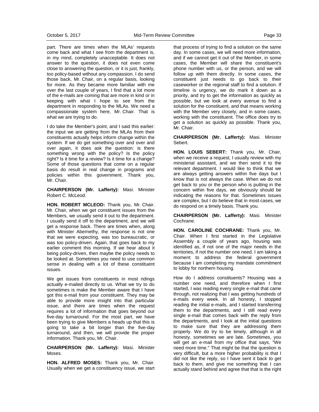part. There are times when the MLAs' requests come back and what I see from the department is, in my mind, completely unacceptable. It does not answer to the question, it does not even come close to answering the question, or it is just, frankly, too policy-based without any compassion. I do send those back, Mr. Chair, on a regular basis, looking for more. As they became more familiar with me over the last couple of years, I find that a lot more of the e-mails are coming that are more in kind or in keeping with what I hope to see from the department in responding to the MLAs. We need a compassionate system here, Mr. Chair. That is what we are trying to do.

I do take the Member's point, and I said this earlier: the input we are getting from the MLAs from their constituents actually helps inform change within the system. If we do get something over and over and over again, it does ask the question: is there something wrong with the policy? Is the policy right? Is it time for a review? Is it time for a change? Some of those questions that come on a regular basis do result in real change in programs and policies within this government. Thank you, Mr. Chair.

**CHAIRPERSON (Mr. Lafferty):** Masi. Minister Robert C. McLeod.

**HON. ROBERT MCLEOD:** Thank you, Mr. Chair. Mr. Chair, when we get constituent issues from the Members, we usually send it out to the department. I usually send it off to the department, and we will get a response back. There are times when, along with Minister Abernethy, the response is not one that we were expecting, was too bureaucratic, or was too policy-driven. Again, that goes back to my earlier comment this morning. If we hear about it being policy-driven, then maybe the policy needs to be looked at. Sometimes you need to use common sense in dealing with a lot of these constituent issues.

We get issues from constituents in most ridings actually e-mailed directly to us. What we try to do sometimes is make the Member aware that I have got this e-mail from your constituent. They may be able to provide more insight into that particular issue, and there are times when the request requires a lot of information that goes beyond our five-day turnaround. For the most part, we have been trying to give Members a heads up that this is going to take a bit longer than the five-day turnaround, and then, we will provide the proper information. Thank you, Mr. Chair.

**CHAIRPERSON (Mr. Lafferty):** Masi. Minister Moses.

**HON. ALFRED MOSES:** Thank you, Mr. Chair. Usually when we get a constituency issue, we start that process of trying to find a solution on the same day. In some cases, we will need more information, and if we cannot get it out of the Member, in some cases, the Member will share the constituent's phone number with us, or the person, and we will follow up with them directly. In some cases, the constituent just needs to go back to their caseworker or the regional staff to find a solution. If timeline is urgency, we do mark it down as a priority, and try to get the information as quickly as possible, but we look at every avenue to find a solution for the constituent, and that means working with the Member very closely, and in some cases, working with the constituent. The office does try to get a solution as quickly as possible. Thank you, Mr. Chair.

#### **CHAIRPERSON (Mr. Lafferty):** Masi. Minister Sebert.

**HON. LOUIS SEBERT:** Thank you, Mr. Chair, when we receive a request, I usually review with my ministerial assistant, and we then send it to the relevant department. I would like to think that we are always getting answers within five days but I know that is not always the case. When we do not get back to you or the person who is putting in the concern within five days, we obviously should be indicating the reasons for that. Sometimes issues are complex, but I do believe that in most cases, we do respond on a timely basis. Thank you.

**CHAIRPERSON (Mr. Lafferty):** Masi. Minister Cochrane.

**HON. CAROLINE COCHRANE:** Thank you, Mr. Chair. When I first started in the Legislative Assembly a couple of years ago, housing was identified as, if not one of the major needs in the territories, if not the number one need. I am taking a moment to address the federal government because I am completing my mandate commitment to lobby for northern housing.

How do I address constituents? Housing was a number one need, and therefore when I first started, I was reading every single e-mail that came through, not realizing that I was getting hundreds of e-mails every week. In all honesty, I stopped reading the initial e-mails, and I started transferring them to the departments, and I still read every single e-mail that comes back with the reply from the departments, and I look at the initial questions to make sure that they are addressing them properly. We do try to be timely, although in all honesty, sometimes we are late. Sometimes, you will get an e-mail from my office that says, "We need more time." That might be that the question is very difficult, but a more higher probability is that I did not like the reply, so I have sent it back to get back to them, and give me something that I can actually stand behind and agree that that is the right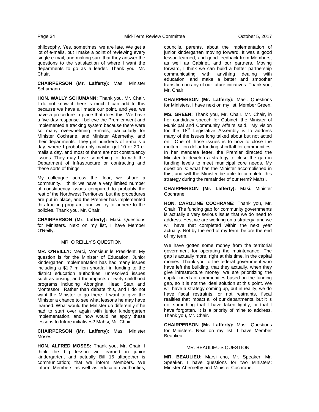philosophy. Yes, sometimes, we are late. We get a lot of e-mails, but I make a point of reviewing every single e-mail, and making sure that they answer the questions to the satisfaction of where I want the departments to go as a leader. Thank you, Mr. Chair.

**CHAIRPERSON (Mr. Lafferty):** Masi. Minister Schumann.

**HON. WALLY SCHUMANN:** Thank you, Mr. Chair. I do not know if there is much I can add to this because we have all made our point, and yes, we have a procedure in place that does this. We have a five-day response. I believe the Premier went and implemented a tracking system because there were so many overwhelming e-mails, particularly for Minister Cochrane, and Minister Abernethy, and their departments. They get hundreds of e-mails a day, where I probably only maybe get 10 or 20 emails a day, and most of them are not constituency issues. They may have something to do with the Department of Infrastructure or contracting and these sorts of things.

My colleague across the floor, we share a community. I think we have a very limited number of constituency issues compared to probably the rest of the Northwest Territories, but the procedures are put in place, and the Premier has implemented this tracking program, and we try to adhere to the policies. Thank you, Mr. Chair.

**CHAIRPERSON (Mr. Lafferty):** Masi. Questions for Ministers. Next on my list, I have Member O'Reilly.

#### MR. O'REILLY'S QUESTION

**MR. O'REILLY:** Merci, Monsieur le President. My question is for the Minister of Education. Junior kindergarten implementation has had many issues including a \$1.7 million shortfall in funding to the district education authorities, unresolved issues such as busing, and the impacts of early childhood programs including Aboriginal Head Start and Montessori. Rather than debate this, and I do not want the Minister to go there. I want to give the Minister a chance to see what lessons he may have learned. What would the Minister do differently if he had to start over again with junior kindergarten implementation, and how would he apply these lessons to future initiatives? Mahsi, Mr. Chair.

**CHAIRPERSON (Mr. Lafferty):** Masi. Minister Moses.

**HON. ALFRED MOSES:** Thank you, Mr. Chair. I think the big lesson we learned in junior kindergarten, and actually Bill 16 altogether is communication; that we inform Members. We inform Members as well as education authorities,

councils, parents, about the implementation of junior kindergarten moving forward. It was a good lesson learned, and good feedback from Members, as well as Cabinet, and our partners. Moving forward, I think we can build a better partnership communicating with anything dealing with education, and make a better and smoother transition on any of our future initiatives. Thank you, Mr. Chair.

**CHAIRPERSON (Mr. Lafferty):** Masi. Questions for Ministers. I have next on my list, Member Green.

**MS. GREEN:** Thank you, Mr. Chair. Mr. Chair, in her candidacy speech for Cabinet, the Minister of Municipal and Community Affairs said, "My vision for the  $18<sup>th</sup>$  Legislative Assembly is to address many of the issues long talked about but not acted on." One of those issues is to how to close the multi-million dollar funding shortfall for communities. In her mandate letter, the Premier directed the Minister to develop a strategy to close the gap in funding levels to meet municipal core needs. My question is: what has the Minister accomplished in this, and will the Minister be able to complete this strategy during the remainder of our term? Mahsi.

**CHAIRPERSON (Mr. Lafferty):** Masi. Minister Cochrane.

**HON. CAROLINE COCHRANE:** Thank you, Mr. Chair. The funding gap for community governments is actually a very serious issue that we do need to address. Yes, we are working on a strategy, and we will have that completed within the next year actually. Not by the end of my term, before the end of my term.

We have gotten some money from the territorial government for operating the maintenance. The gap is actually more, right at this time, in the capital monies. Thank you to the federal government who have left the building, that they actually, when they give infrastructure money, we are prioritizing the capital needs of communities based on the funding gap, so it is not the ideal solution at this point. We will have a strategy coming up, but in reality, we do have fiscal restraints, or not restraints, fiscal realities that impact all of our departments, but it is not something that I have taken lightly, or that I have forgotten. It is a priority of mine to address. Thank you, Mr. Chair.

**CHAIRPERSON (Mr. Lafferty):** Masi. Questions for Ministers. Next on my list, I have Member Beaulieu.

#### MR. BEAULIEU'S QUESTION

**MR. BEAULIEU:** Marsi cho, Mr. Speaker. Mr. Speaker, I have questions for two Ministers: Minister Abernethy and Minister Cochrane.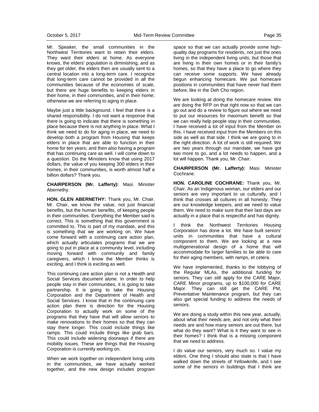Mr. Speaker, the small communities in the Northwest Territories want to retain their elders. They want their elders at home. As everyone knows, the elders' population is diminishing, and as they get older, the elders then are usually sent to a central location into a long-term care. I recognize that long-term care cannot be provided in all the communities because of the economies of scale, but there are huge benefits to keeping elders in their home, in their communities, and in their home; otherwise we are referring to aging in place.

Maybe just a little background. I feel that there is a shared responsibility. I do not want a response that there is going to indicate that there is something in place because there is not anything in place. What I think we need to do for aging in place, we need to develop both a program from Housing that keeps elders in place that are able to function in their home for ten years; and then also having a program that has continuing care as well. I will come down to a question. Do the Ministers know that using 2017 dollars, the value of you keeping 300 elders in their homes, in their communities, is worth almost half a billion dollars? Thank you.

**CHAIRPERSON (Mr. Lafferty):** Masi. Minister Abernethy.

**HON. GLEN ABERNETHY:** Thank you, Mr. Chair. Mr. Chair, we know the value, not just financial benefits, but the human benefits, of keeping people in their communities. Everything the Member said is correct. This is something that this government is committed to. This is part of my mandate, and this is something that we are working on. We have come forward with a continuing care action plan, which actually articulates programs that we are going to put in place at a community level, including moving forward with community and family caregivers, which I know the Member thinks is exciting, and I think is exciting as well.

This continuing care action plan is not a Health and Social Services document alone. In order to help people stay in their communities, it is going to take partnership. It is going to take the Housing Corporation and the Department of Health and Social Services. I know that in the continuing care action plan there is direction for the Housing Corporation to actually work on some of the programs that they have that will allow seniors to make renovations to their homes so that they can stay there longer. This could include things like ramps. This could include things like grab bars. This could include widening doorways if there are mobility issues. These are things that the Housing Corporation is currently working on.

When we work together on independent living units in the communities, we have actually worked together, and the new design includes program

space so that we can actually provide some highquality day programs for residents, not just the ones living in the independent living units, but those that are living in their own homes or in their family's homes, so that they have a place to go where they can receive some supports. We have already begun enhancing homecare. We put homecare positions in communities that have never had them before, like in the Deh Cho region.

We are looking at doing the homecare review. We are doing the RFP on that right now so that we can go out and do a review to figure out where we need to put our resources for maximum benefit so that we can really help people stay in their communities. I have received a lot of input from the Member on this. I have received input from the Members on this side as well as that side. I think we are going to in the right direction. A lot of work is still required. We are two years through our mandate, we have got two more to go, and a lot needs to happen, and a lot will happen. Thank you, Mr. Chair.

**CHAIRPERSON (Mr. Lafferty):** Masi. Minister Cochrane.

**HON. CAROLINE COCHRANE:** Thank you, Mr. Chair. As an Indigenous woman, our elders and our seniors are very important to us culturally, and I think that crosses all cultures in all honesty. They are our knowledge keepers, and we need to value them. We need to make sure that their last days are actually in a place that is respectful and has dignity.

I think the Northwest Territories Housing Corporation has done a lot. We have built seniors' units in communities that have a cultural component to them. We are looking at a new multigenerational design of a home that will accommodate for larger families to be able to care for their aging members, with ramps, et cetera.

We have implemented, thanks to the lobbying of the Regular MLAs, the additional funding for seniors. They can still apply for the CARE Major, CARE Minor programs, up to \$100,000 for CARE Major. They can still get the CARE PM, Preventative Maintenance program, but they can also get special funding to address the needs of seniors.

We are doing a study within this new year, actually, about what their needs are, and not only what their needs are and how many seniors are out there, but what do they want? What is it they want to see in their homes? I think that is a missing component that we need to address.

I do value our seniors, very much so. I value my elders. One thing I should also state is that I have walked down the streets of Yellowknife, and I see some of the seniors in buildings that I think are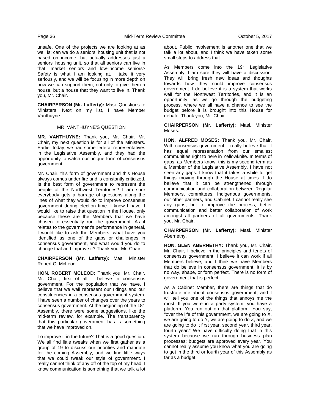unsafe. One of the projects we are looking at as well is: can we do a seniors' housing unit that is not based on income, but actually addresses just a seniors' housing unit, so that all seniors can live in that, market seniors and low-income seniors? Safety is what I am looking at. I take it very seriously, and we will be focusing in more depth on how we can support them, not only to give them a house, but a house that they want to live in. Thank you, Mr. Chair.

**CHAIRPERSON (Mr. Lafferty):** Masi. Questions to Ministers. Next on my list, I have Member Vanthuyne.

#### MR. VANTHUYNE'S QUESTION

**MR. VANTHUYNE:** Thank you, Mr. Chair. Mr. Chair, my next question is for all of the Ministers. Earlier today, we had some federal representatives in the Legislative Assembly, and they had the opportunity to watch our unique form of consensus government.

Mr. Chair, this form of government and this House always comes under fire and is constantly criticized. Is the best form of government to represent the people of the Northwest Territories? I am sure everybody gets a barrage of questions along the lines of what they would do to improve consensus government during election time. I know I have. I would like to raise that question in the House, only because these are the Members that we have chosen to essentially run the government. As it relates to the government's performance in general, I would like to ask the Members: what have you identified as one of the gaps or challenges in consensus government, and what would you do to change that and improve it? Thank you, Mr. Chair.

**CHAIRPERSON (Mr. Lafferty):** Masi. Minister Robert C. McLeod.

**HON. ROBERT MCLEOD:** Thank you, Mr. Chair. Mr. Chair, first of all, I believe in consensus government. For the population that we have, I believe that we well represent our ridings and our constituencies in a consensus government system. I have seen a number of changes over the years to consensus government. At the beginning of the 18<sup>th</sup> Assembly, there were some suggestions, like the mid-term review, for example. The transparency that this particular government has is something that we have improved on.

To improve it in the future? That is a good question. We all find little tweaks when we first gather as a group of 19 to discuss our priorities and mandate for the coming Assembly, and we find little ways that we could tweak our style of government. I really cannot think of any off of the top of my head. I know communication is something that we talk a lot about. Public involvement is another one that we talk a lot about, and I think we have taken some small steps to address that.

As Members come into the  $19<sup>th</sup>$  Legislative Assembly, I am sure they will have a discussion. They will bring fresh new ideas and thoughts towards how they could improve consensus government. I do believe it is a system that works well for the Northwest Territories, and it is an opportunity, as we go through the budgeting process, where we all have a chance to see the budget before it is brought into this House for debate. Thank you, Mr. Chair.

**CHAIRPERSON (Mr. Lafferty):** Masi. Minister Moses.

**HON. ALFRED MOSES:** Thank you, Mr. Chair. With consensus government, I really believe that it has equal representation from our smallest communities right to here in Yellowknife. In terms of gaps, as Members know, this is my second term as a Member of the Legislative Assembly. I have not seen any gaps. I know that it takes a while to get things moving through the House at times. I do believe that it can be strengthened through communication and collaboration between Regular Members, committees, Indigenous governments, our other partners, and Cabinet. I cannot really see any gaps, but to improve the process, better communication and better collaboration of work amongst all partners of all governments. Thank you, Mr. Chair.

**CHAIRPERSON (Mr. Lafferty):** Masi. Minister Abernethy.

**HON. GLEN ABERNETHY:** Thank you, Mr. Chair. Mr. Chair, I believe in the principles and tenets of consensus government. I believe it can work if all Members believe, and I think we have Members that do believe in consensus government. It is by no way, shape, or form perfect. There is no form of government that is perfect.

As a Cabinet Member, there are things that do frustrate me about consensus government, and I will tell you one of the things that annoys me the most. If you were in a party system, you have a platform. You run out on that platform. You say, "over the life of this government, we are going to X, we are going to do Y, we are going to do Z, and we are going to do it first year, second year, third year, fourth year." We have difficulty doing that in this system because we run through business plan processes; budgets are approved every year. You cannot really assume you know what you are going to get in the third or fourth year of this Assembly as far as a budget.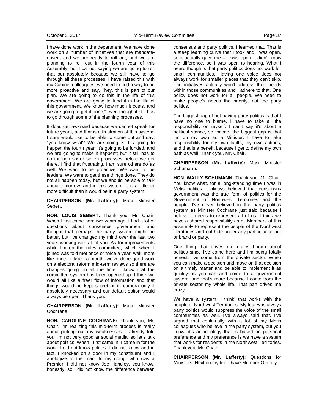I have done work in the department. We have done work on a number of initiatives that are mandatedriven, and we are ready to roll out, and we are planning to roll out in the fourth year of this Assembly, but I cannot saying we are going to roll that out absolutely because we still have to go through all these processes. I have raised this with my Cabinet colleagues: we need to find a way to be more proactive and say, "hey, this is part of our plan. We are going to do this in the life of this government. We are going to fund it in the life of this government. We know how much it costs, and we are going to get it done," even though it still has to go through some of the planning processes.

It does get awkward because we cannot speak for future years, and that is a frustration of this system. I sure would like to be able to come out and say, "you know what? We are doing X. It's going to happen the fourth year. It's going to be funded, and we are going to make it happen"; but it still has to go through six or seven processes before we get there. I find that frustrating. I am sure others do as well. We want to be proactive. We want to be leaders. We want to get these things done. They do not all happen today, but we should be able to talk about tomorrow, and in this system, it is a little bit more difficult than it would be in a party system.

**CHAIRPERSON (Mr. Lafferty):** Masi. Minister Sebert.

**HON. LOUIS SEBERT:** Thank you, Mr. Chair. When I first came here two years ago, I had a lot of questions about consensus government and thought that perhaps the party system might be better, but I've changed my mind over the last two years working with all of you. As for improvements while I'm on the rules committee, which when I joined was told met once or twice a year, well, more like once or twice a month, we've done good work on a electoral reform mid-term reviews so there are changes going on all the time. I know that the committee system has been opened up. I think we would all like a freer flow of information and that things would be kept secret or in camera only if absolutely necessary and our default option would always be open. Thank you.

**CHAIRPERSON (Mr. Lafferty):** Masi. Minister Cochrane.

**HON. CAROLINE COCHRANE:** Thank you, Mr. Chair. I'm realizing this mid-term process is really about picking out my weaknesses. I already told you I'm not very good at social media, so let's talk about politics. When I first came in, I came in for the work. I did not know politics. I did not know and in fact, I knocked on a door in my constituent and I apologize to the man. In my riding, who was a Premier, I did not know Joe Handley, you know, honestly, so I did not know the difference between

consensus and party politics. I learned that. That is a steep learning curve that I took and I was open, so it actually gave me – I was open. I didn't know the difference, so I was open to hearing. What I heard though is that party politics does not work for small communities. Having one voice does not always work for smaller places that they can't skip. The initiatives actually won't address their needs within those communities and I adhere to that. One policy does not work for all people. We need to make people's needs the priority, not the party politics.

The biggest gap of not having party politics is that I have no one to blame. I have to take all the responsibility on myself. I can't say it's about a political stance, so for me, the biggest gap is that I'm on my own as a Minister. I have to take responsibility for my own faults, my own actions, and that is a benefit because I get to define my own path as well. Thank you, Mr. Chair.

**CHAIRPERSON (Mr. Lafferty):** Masi. Minister Schumann.

**HON. WALLY SCHUMANN:** Thank you, Mr. Chair. You know what, for a long-standing time I was in Metis politics. I always believed that consensus government was the true form of politics for the Government of Northwest Territories and the people. I've never believed in the party politics system as Minister Cochrane just said because I believe it needs to represent all of us. I think we have a shared responsibility as all Members of this assembly to represent the people of the Northwest Territories and not hide under any particular colour or brand or party.

One thing that drives me crazy though about politics since I've come here and I'm being totally honest. I've come from the private sector. When you can make a decision and move on that decision on a timely matter and be able to implement it as quickly as you can and come to a government system, and that's more because I come from the private sector my whole life. That part drives me crazy.

We have a system, I think, that works with the people of Northwest Territories. My fear was always party politics would suppress the voice of the small communities as well. I've always said that. I've argued that continually with a lot of my Metis colleagues who believe in the party system, but you know, it's an ideology that is based on personal preference and my preference is we have a system that works for residents in the Northwest Territories. Thank you, Mr. Chair.

**CHAIRPERSON (Mr. Lafferty):** Questions for Ministers. Next on my list, I have Member O'Reilly.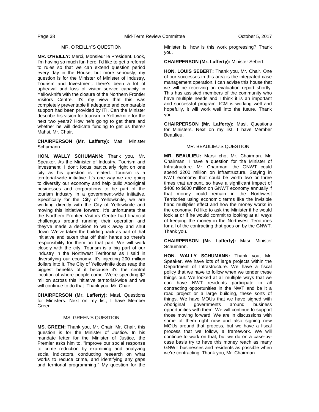## MR. O'REILLY'S QUESTION

**MR. O'REILLY:** Merci, Monsieur le President. Look, I'm having so much fun here. I'd like to get a referral to rules so that we can extend question period every day in the House, but more seriously, my question is for the Minister of Minister of Industry, Tourism and Investment: there's been a lot of upheaval and loss of visitor service capacity in Yellowknife with the closure of the Northern Frontier Visitors Centre. It's my view that this was completely preventable if adequate and comparable support had been provided by ITI. Can the Minister describe his vision for tourism in Yellowknife for the next two years? How he's going to get there and whether he will dedicate funding to get us there? Mahsi, Mr. Chair.

**CHAIRPERSON (Mr. Lafferty):** Masi. Minister Schumann.

**HON. WALLY SCHUMANN:** Thank you, Mr. Speaker. As the Minister of Industry, Tourism and Investment, I don't focus particularly right on one city as his question is related. Tourism is a territorial-wide initiative. It's one way we are going to diversify our economy and help build Aboriginal businesses and corporations to be part of the tourism industry in a government-wide initiative. Specifically for the City of Yellowknife, we are working directly with the City of Yellowknife and moving this initiative forward. It's unfortunate that the Northern Frontier Visitors Centre had financial challenges around running their operation and they've made a decision to walk away and shut down. We've taken the building back as part of that initiative and taken that off their hands so there's responsibility for them on that part. We will work closely with the city. Tourism is a big part of our industry in the Northwest Territories as I said in diversifying our economy. It's injecting 200 million dollars into it. The City of Yellowknife does reap the biggest benefits of it because it's the central location of where people come. We're spending \$7 million across this initiative territorial-wide and we will continue to do that. Thank you, Mr. Chair.

**CHAIRPERSON (Mr. Lafferty):** Masi. Questions for Ministers. Next on my list, I have Member Green.

## MS. GREEN'S QUESTION

**MS. GREEN:** Thank you, Mr. Chair. Mr. Chair, this question is for the Minister of Justice. In his mandate letter for the Minister of Justice, the Premier asks him to, "improve our social response to crime reduction by examining and analyzing social indicators, conducting research on what works to reduce crime, and identifying any gaps and territorial programming." My question for the

Minister is: how is this work progressing? Thank you.

**CHAIRPERSON (Mr. Lafferty):** Minister Sebert.

**HON. LOUIS SEBERT:** Thank you, Mr. Chair. One of our successes in this area is the integrated case management operation. I can advise this house that we will be receiving an evaluation report shortly. This has assisted members of the community who have multiple needs and I think it is an important and successful program. ICM is working well and hopefully, it will work well into the future. Thank you.

**CHAIRPERSON (Mr. Lafferty):** Masi. Questions for Ministers. Next on my list, I have Member Beaulieu.

### MR. BEAULIEU'S QUESTION

**MR. BEAULIEU:** Marsi cho, Mr. Chairman. Mr. Chairman, I have a question for the Minister of Infrastructure. Mr. Chairman, the GNWT could spend \$200 million on infrastructure. Staying in NWT economy that could be worth two or three times that amount, so have a significant impact of \$400 to \$600 million on GNWT economy annually if that money could remain in the Northwest Territories using economic terms like the invisible hand multiplier effect and how the money works in the economy. I'd like to ask the Minister if he would look at or if he would commit to looking at all ways of keeping the money in the Northwest Territories for all of the contracting that goes on by the GNWT. Thank you.

**CHAIRPERSON (Mr. Lafferty):** Masi. Minister Schumann.

**HON. WALLY SCHUMANN:** Thank you, Mr. Speaker. We have lots of large projects within the Department of Infrastructure. We have a fiscal policy that we have to follow when we tender these things out. We looked at all multiple ways that we can have NWT residents participate in all contracting opportunities in the NWT and be it a road project or a large building, these sorts of things. We have MOUs that we have signed with Aboriginal governments around business opportunities with them. We will continue to support those moving forward. We are in discussions with some of them right now and also signing new MOUs around that process, but we have a fiscal process that we follow, a framework. We will continue to work on that, but we do on a case-bycase basis try to have this money reach as many GNWT businesses and residents as possible when we're contracting. Thank you, Mr. Chairman.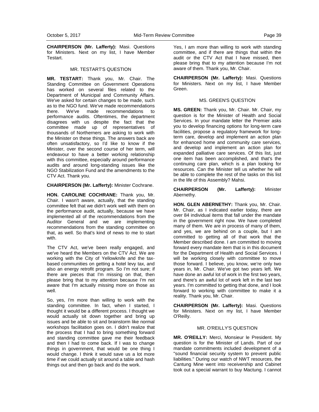**CHAIRPERSON (Mr. Lafferty):** Masi. Questions for Ministers. Next on my list, I have Member Testart.

#### MR. TESTART'S QUESTION

**MR. TESTART:** Thank you, Mr. Chair. The Standing Committee on Government Operations has worked on several files related to the Department of Municipal and Community Affairs. We've asked for certain changes to be made, such as to the NGO fund. We've made recommendations there. We've made recommendations to performance audits. Oftentimes, the department disagrees with us despite the fact that the committee made up of representatives of thousands of Northerners are asking to work with the Minister on these things. The answers back are often unsatisfactory, so I'd like to know if the Minister, over the second course of her term, will endeavour to have a better working relationship with this committee, especially around performance audits and around long-standing issues like the NGO Stabilization Fund and the amendments to the CTV Act. Thank you.

#### **CHAIRPERSON (Mr. Lafferty):** Minister Cochrane.

**HON. CAROLINE COCHRANE:** Thank you, Mr. Chair. I wasn't aware, actually, that the standing committee felt that we didn't work well with them on the performance audit, actually, because we have implemented all of the recommendations from the Auditor General and we are implementing recommendations from the standing committee on that, as well. So that's kind of news to me to start with.

The CTV Act, we've been really engaged, and we've heard the Members on the CTV Act. We are working with the City of Yellowknife and the taxbased communities on getting a hotel levy tax, and also an energy retrofit program. So I'm not sure; if there are pieces that I'm missing on that, then please bring that to my attention because I'm not aware that I'm actually missing more on those as well.

So, yes, I'm more than willing to work with the standing committee. In fact, when I started, I thought it would be a different process. I thought we would actually sit down together and bring up issues and be able to sit and brainstorm like normal workshops facilitation goes on. I didn't realize that the process that I had to bring something forward and standing committee gave me their feedback and then I had to come back. If I was to change things in government, that would be one thing I would change. I think it would save us a lot more time if we could actually sit around a table and hash things out and then go back and do the work.

Yes, I am more than willing to work with standing committee, and if there are things that within the audit or the CTV Act that I have missed, then please bring that to my attention because I'm not aware of them. Thank you, Mr. Chair.

**CHAIRPERSON (Mr. Lafferty):** Masi. Questions for Ministers. Next on my list, I have Member Green.

#### MS. GREEN'S QUESTION

**MS. GREEN:** Thank you, Mr. Chair. Mr. Chair, my question is for the Minister of Health and Social Services. In your mandate letter the Premier asks you to develop financing options for long-term care facilities, propose a regulatory framework for longterm care, develop and implement an action plan for enhanced home and community care services, and develop and implement an action plan for expanded palliative care services. Of this list, just one item has been accomplished, and that's the continuing care plan, which is a plan looking for resources. Can the Minister tell us whether he will be able to complete the rest of the tasks on this list in the life of this Assembly? Mahsi.

**CHAIRPERSON (Mr. Lafferty):** Minister Abernethy.

**HON. GLEN ABERNETHY:** Thank you, Mr. Chair. Mr. Chair, as I indicated earlier today, there are over 84 individual items that fall under the mandate in the government right now. We have completed many of them. We are in process of many of them, and yes, we are behind on a couple, but I am committed to getting all of that work that the Member described done. I am committed to moving forward every mandate item that is in this document for the Department of Health and Social Services. I will be working closely with committee to move those forward. I believe, you know, we're only two years in, Mr. Chair. We've got two years left. We have done an awful lot of work in the first two years, and there's an awful lot of work left in the last two years. I'm committed to getting that done, and I look forward to working with committee to make it a reality. Thank you, Mr. Chair.

**CHAIRPERSON (Mr. Lafferty):** Masi. Questions for Ministers. Next on my list, I have Member O'Reilly.

#### MR. O'REILLY'S QUESTION

**MR. O'REILLY:** Merci, Monsieur le President. My question is for the Minister of Lands. Part of our mandate commitments included development of a "sound financial security system to prevent public liabilities." During our watch of NWT resources, the Cantung Mine went into receivership and Cabinet took out a special warrant to buy Mactung. I cannot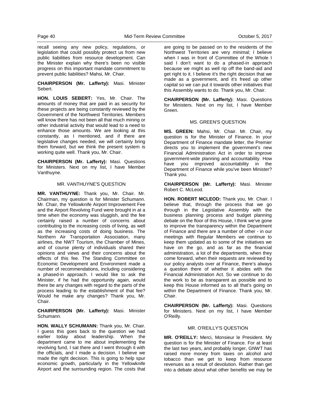recall seeing any new policy, regulations, or legislation that could possibly protect us from new public liabilities from resource development. Can the Minister explain why there's been no visible progress on this important mandate commitment to prevent public liabilities? Mahsi, Mr. Chair.

**CHAIRPERSON (Mr. Lafferty):** Masi. Minister Sebert.

**HON. LOUIS SEBERT:** Yes, Mr. Chair. The amounts of money that are paid in as security for these projects are being constantly reviewed by the Government of the Northwest Territories. Members will know there has not been all that much mining or other industrial activity that would lead to a need to enhance those amounts. We are looking at this constantly, as I mentioned, and if there are legislative changes needed, we will certainly bring them forward, but we think the present system is working quite well. Thank you, Mr. Chair.

**CHAIRPERSON (Mr. Lafferty):** Masi. Questions for Ministers. Next on my list, I have Member Vanthuyne.

#### MR. VANTHUYNE'S QUESTION

**MR. VANTHUYNE:** Thank you, Mr. Chair. Mr. Chairman, my question is for Minister Schumann. Mr. Chair, the Yellowknife Airport Improvement Fee and the Airport Revolving Fund were brought in at a time when the economy was sluggish, and the fee certainly raised a number of concerns about contributing to the increasing costs of living, as well as the increasing costs of doing business. The Northern Air Transportation Association, many airlines, the NWT Tourism, the Chamber of Mines, and of course plenty of individuals shared their opinions and views and their concerns about the effects of this fee. The Standing Committee on Economic Development and Environment made a number of recommendations, including considering a phased-in approach. I would like to ask the Minister, if he had the opportunity again, would there be any changes with regard to the parts of the process leading to the establishment of that fee? Would he make any changes? Thank you, Mr. Chair.

**CHAIRPERSON (Mr. Lafferty):** Masi. Minister Schumann.

**HON. WALLY SCHUMANN:** Thank you, Mr. Chair. I guess this goes back to the question we had earlier today about leadership. When the department came to me about implementing the revolving fund, I sat there and I went through it with the officials, and I made a decision. I believe we made the right decision. This is going to help spur economic growth, particularly in the Yellowknife Airport and the surrounding region. The costs that are going to be passed on to the residents of the Northwest Territories are very minimal; I believe when I was in front of Committee of the Whole I said I don't want to do a phased-in approach because we might as well rip off the band-aid and get right to it. I believe it's the right decision that we made as a government, and it's freed up other capital so we can put it towards other initiatives that this Assembly wants to do. Thank you, Mr. Chair.

**CHAIRPERSON (Mr. Lafferty):** Masi. Questions for Ministers. Next on my list, I have Member Green.

#### MS. GREEN'S QUESTION

**MS. GREEN:** Mahsi, Mr. Chair. Mr. Chair, my question is for the Minister of Finance. In your Department of Finance mandate letter, the Premier directs you to implement the government's new Financial Administration Act in order to improve government-wide planning and accountability. How have you improved accountability in the Department of Finance while you've been Minister? Thank you.

**CHAIRPERSON (Mr. Lafferty):** Masi. Minister Robert C. McLeod.

**HON. ROBERT MCLEOD:** Thank you, Mr. Chair. I believe that, through the process that we go through in the Legislative Assembly with the business planning process and budget planning debate on the floor of this House, I think we've gone to improve the transparency within the Department of Finance and there are a number of other - in our meetings with Regular Members we continue to keep them updated as to some of the initiatives we have on the go, and as far as the financial administration, a lot of the departments, when they come forward, when their requests are reviewed by our policy analysts over at Finance, there's always a question there of whether it abides with the Financial Administration Act. So we continue to do the work to be as transparent as possible and to keep this House informed as to all that's going on within the Department of Finance. Thank you, Mr. Chair.

**CHAIRPERSON (Mr. Lafferty):** Masi. Questions for Ministers. Next on my list, I have Member O'Reilly.

#### MR. O'REILLY'S QUESTION

**MR. O'REILLY:** Merci, Monsieur le President. My question is for the Minister of Finance. For at least the last two years, and probably longer, GNWT has raised more money from taxes on alcohol and tobacco than we get to keep from resource revenues as a result of devolution. Rather than get into a debate about what other benefits we may be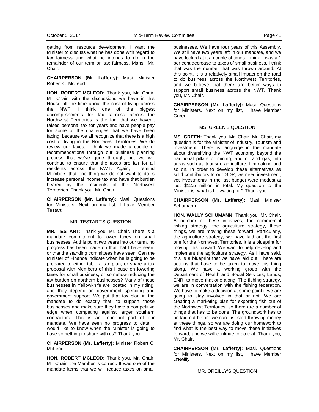getting from resource development, I want the Minister to discuss what he has done with regard to tax fairness and what he intends to do in the remainder of our term on tax fairness. Mahsi, Mr. Chair.

**CHAIRPERSON (Mr. Lafferty):** Masi. Minister Robert C. McLeod.

**HON. ROBERT MCLEOD:** Thank you, Mr. Chair. Mr. Chair, with the discussions we have in this House all the time about the cost of living across the NWT, I think one of the biggest accomplishments for tax fairness across the Northwest Territories is the fact that we haven't raised personal tax for years and have people pay for some of the challenges that we have been facing, because we all recognize that there is a high cost of living in the Northwest Territories. We do review our taxes; I think we made a couple of recommendations through our business planning process that we've gone through, but we will continue to ensure that the taxes are fair for all residents across the NWT. Again, I remind Members that one thing we do not want to do is increase personal income tax and have that burden beared by the residents of the Northwest Territories. Thank you, Mr. Chair.

**CHAIRPERSON (Mr. Lafferty):** Masi. Questions for Ministers. Next on my list, I have Member Testart.

#### MR. TESTART'S QUESTION

**MR. TESTART:** Thank you, Mr. Chair. There is a mandate commitment to lower taxes on small businesses. At this point two years into our term, no progress has been made on that that I have seen, or that the standing committees have seen. Can the Minister of Finance indicate when he is going to be prepared to either table a tax plan, or share a tax proposal with Members of this House on lowering taxes for small business, or somehow reducing the tax burden on northern businesses? Many of these businesses in Yellowknife are located in my riding, and they depend on government spending and government support. We put that tax plan in the mandate to do exactly that, to support those businesses and make sure they have a competitive edge when competing against larger southern contractors. This is an important part of our mandate. We have seen no progress to date. I would like to know when the Minister is going to have something to share with us? Thank you.

**CHAIRPERSON (Mr. Lafferty):** Minister Robert C. McLeod.

**HON. ROBERT MCLEOD:** Thank you, Mr. Chair. Mr. Chair, the Member is correct. It was one of the mandate items that we will reduce taxes on small

businesses. We have four years of this Assembly. We still have two years left in our mandate, and we have looked at it a couple of times. I think it was a 1 per cent decrease to taxes of small business. I think that was the number that was thrown around. At this point, it is a relatively small impact on the road to do business across the Northwest Territories, and we believe that there are better ways to support small business across the NWT. Thank you, Mr. Chair.

**CHAIRPERSON (Mr. Lafferty):** Masi. Questions for Ministers. Next on my list, I have Member Green.

#### MS. GREEN'S QUESTION

**MS. GREEN:** Thank you, Mr. Chair. Mr. Chair, my question is for the Minister of Industry, Tourism and Investment. There is language in the mandate about diversifying the NWT economy beyond the traditional pillars of mining, and oil and gas, into areas such as tourism, agriculture, filmmaking and so on. In order to develop these alternatives as solid contributors to our GDP, we need investment, yet investments in the last budget were modest at just \$12.5 million in total. My question to the Minister is: what is he waiting for? Thank you.

**CHAIRPERSON (Mr. Lafferty):** Masi. Minister Schumann.

**HON. WALLY SCHUMANN:** Thank you, Mr. Chair. A number of these initiatives, the commercial fishing strategy, the agriculture strategy, these things, we are moving these forward. Particularly, the agriculture strategy, we have laid out the first one for the Northwest Territories. It is a blueprint for moving this forward. We want to help develop and implement the agriculture strategy. As I have said, this is a blueprint that we have laid out. There are actions that have to be taken to move this thing along. We have a working group with the Department of Health and Social Services; Lands; ENR, to move that one along. The fishing strategy, we are in conversation with the fishing federation. We have to make a decision at some point if we are going to stay involved in that or not. We are creating a marketing plan for exporting fish out of the Northwest Territories, so there are a number of things that has to be done. The groundwork has to be laid out before we can just start throwing money at these things, so we are doing our homework to find what is the best way to move these initiatives forward, and we will continue to do that. Thank you, Mr. Chair.

**CHAIRPERSON (Mr. Lafferty):** Masi. Questions for Ministers. Next on my list, I have Member O'Reilly.

MR. OREILLY'S QUESTION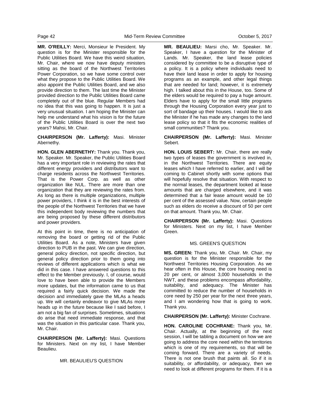**MR. O'REILLY:** Merci, Monsieur le President. My question is for the Minister responsible for the Public Utilities Board. We have this weird situation, Mr. Chair, where we now have deputy ministers sitting as the board of the Northwest Territories Power Corporation, so we have some control over what they propose to the Public Utilities Board. We also appoint the Public Utilities Board, and we also provide direction to them. The last time the Minister provided direction to the Public Utilities Board came completely out of the blue. Regular Members had no idea that this was going to happen. It is just a very unusual situation. I am hoping the Minister can help me understand what his vision is for the future of the Public Utilities Board is over the next two years? Mahsi, Mr. Chair.

#### **CHAIRPERSON (Mr. Lafferty):** Masi. Minister Abernethy.

**HON. GLEN ABERNETHY:** Thank you. Thank you, Mr. Speaker. Mr. Speaker, the Public Utilities Board has a very important role in reviewing the rates that different energy providers and distributors want to charge residents across the Northwest Territories. That is the Power Corp. as well as other organization like NUL. There are more than one organization that they are reviewing the rates from. As long as there is multiple organizations, multiple power providers, I think it is in the best interests of the people of the Northwest Territories that we have this independent body reviewing the numbers that are being proposed by these different distributors and power providers.

At this point in time, there is no anticipation of removing the board or getting rid of the Public Utilities Board. As a note, Ministers have given direction to PUB in the past. We can give direction, general policy direction, not specific direction, but general policy direction prior to them going into reviews of different applications which is what we did in this case. I have answered questions to this effect to the Member previously. I, of course, would love to have been able to provide the Members more updates, but the information came to us that required a fairly quick decision. We made the decision and immediately gave the MLAs a heads up. We will certainly endeavor to give MLAs more heads up in the future because like I said before, I am not a big fan of surprises. Sometimes, situations do arise that need immediate response, and that was the situation in this particular case. Thank you, Mr. Chair.

**CHAIRPERSON (Mr. Lafferty):** Masi. Questions for Ministers. Next on my list, I have Member Beaulieu.

## MR. BEAULIEU'S QUESTION

**MR. BEAULIEU:** Marsi cho, Mr. Speaker. Mr. Speaker, I have a question for the Minister of Lands. Mr. Speaker, the land lease policies considered by committee to be a disruptive type of a policy. It is a policy where individuals need to have their land lease in order to apply for housing programs as an example, and other legal things that are needed for land; however, it is extremely high. I talked about this in the House, too. Some of the elders would be required to pay a huge amount. Elders have to apply for the small little programs through the Housing Corporation every year just to sort of bandage up their houses. I would like to ask the Minister if he has made any changes to the land lease policy so that it fits the economic realities of small communities? Thank you.

## **CHAIRPERSON (Mr. Lafferty):** Masi. Minister Sebert.

**HON. LOUIS SEBERT:** Mr. Chair, there are really two types of leases the government is involved in, in the Northwest Territories. There are equity leases which I have referred to earlier, and I will be coming to Cabinet shortly with some options that will hopefully resolve that situation. With respect to the normal leases, the department looked at lease amounts that are charged elsewhere, and it was determined that a fair lease amount would be 10 per cent of the assessed value. Now, certain people such as elders do receive a discount of 50 per cent on that amount. Thank you, Mr. Chair.

**CHAIRPERSON (Mr. Lafferty):** Masi. Questions for Ministers. Next on my list, I have Member Green.

#### MS. GREEN'S QUESTION

**MS. GREEN:** Thank you, Mr. Chair. Mr. Chair, my question is for the Minister responsible for the Northwest Territories Housing Corporation. As we hear often in this House, the core housing need is 20 per cent, or almost 3,000 households in the NWT, and these problems encompass affordability, suitability, and adequacy. The Minister has committed to reduce the number of households in core need by 250 per year for the next three years, and I am wondering how that is going to work. Thank you.

**CHAIRPERSON (Mr. Lafferty):** Minister Cochrane.

**HON. CAROLINE COCHRANE:** Thank you, Mr. Chair. Actually, at the beginning of the next session, I will be tabling a document on how we are going to address the core need within the territories which is one of my requirements, so that will be coming forward. There are a variety of needs. There is not one brush that paints all. So if it is suitability, or affordability, or adequacy, then we need to look at different programs for them. If it is a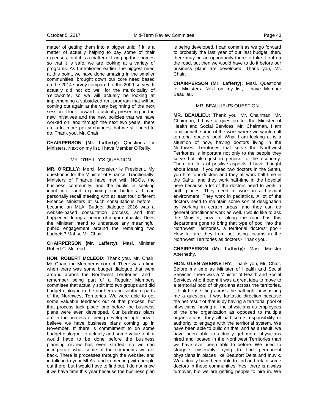matter of getting them into a bigger unit; if it is a matter of actually helping to pay some of their expenses; or if it is a matter of fixing up their homes so that it is safe, we are looking at a variety of programs. As I mentioned earlier, the biggest need at this point, we have done amazing in the smaller communities, brought down our core need based on the 2014 survey compared to the 2009 survey. It actually did not do well for the municipality of Yellowknife, so we will actually be looking at implementing a subsidized rent program that will be coming out again at the very beginning of the next session. I look forward to actually presenting on the new initiatives and the new policies that we have worked on; and through the next two years, there are a lot more policy changes that we still need to do. Thank you, Mr. Chair.

**CHAIRPERSON (Mr. Lafferty):** Questions for Ministers. Next on my list, I have Member O'Reilly.

#### MR. O'REILLY'S QUESTION

**MR. O'REILLY:** Merci, Monsieur le President. My question is for the Minister of Finance. Traditionally, Ministers of Finance have met with NGOs, the business community, and the public in seeking input into, and explaining our budgets. I can personally recall meeting with at least four different Finance Ministers at such consultations before I became an MLA. Budget dialogue 2016 was a website-based consultation process, and that happened during a period of major cutbacks. Does the Minister intend to undertake any meaningful public engagement around the remaining two budgets? Mahsi, Mr. Chair.

**CHAIRPERSON (Mr. Lafferty):** Masi. Minister Robert C. McLeod.

**HON. ROBERT MCLEOD:** Thank you, Mr. Chair. Mr. Chair, the Member is correct. There was a time when there was some budget dialogue that went around across the Northwest Territories, and I remember being part of a Regular Members committee that actually split into two groups and did budget dialogue in the northern and southern parts of the Northwest Territories. We were able to get some valuable feedback out of that process, but that process took place long before the business plans were even developed. Our business plans are in the process of being developed right now. I believe we have business plans coming up in November. If there is commitment to do some budget dialogue, to actually add some value to it, it would have to be done before the business planning review has even started, so we can incorporate what some of the comments we get back. There is processes through the website, and in talking to your MLAs, and in meeting with people out there, but I would have to find out. I do not know if we have time this year because the business plan is being developed. I can commit as we go forward to probably the last year of our last budget, then, there may be an opportunity there to take it out on the road, but then we would have to do it before our business plans are developed. Thank you, Mr. Chair.

**CHAIRPERSON (Mr. Lafferty):** Masi. Questions for Ministers. Next on my list, I have Member Beaulieu.

## MR. BEAULIEU'S QUESTION

**MR. BEAULIEU:** Thank you, Mr. Chairman. Mr. Chairman, I have a question for the Minister of Health and Social Services. Mr. Chairman, I am familiar with some of the work where we would call territorial doctors' pool. What I am looking at is a situation of how, having doctors living in the Northwest Territories that serve the Northwest Territories is important not only to the people they serve but also just in general to the economy. There are lots of positive aspects. I have thought about ideas. If you need two doctors in the Sahtu, you hire four doctors and they all work half-time in the Sahtu, and they work half-time in the hospital here because a lot of the doctors need to work in both places. They need to work in a hospital environment. They work in pediatrics. A lot of the doctors need to maintain some sort of designation by working in certain areas, and they can do general practitioner work as well. I would like to ask the Minister, how far along the road has this department gone to bring that type of pool into the Northwest Territories, a territorial doctors' pool? How far are they from not using locums in the Northwest Territories as doctors? Thank you.

**CHAIRPERSON (Mr. Lafferty):** Masi. Minister Abernethy.

**HON. GLEN ABERNETHY:** Thank you, Mr. Chair. Before my time as Minister of Health and Social Services, there was a Minister of Health and Social Services who thought it was a great idea to move to a territorial pool of physicians across the territories. I think he is sitting across the hall right now asking me a question. It was fantastic direction because the net result of that is by having a territorial pool of physicians, having all the physicians as employees of the one organization as opposed to multiple organizations, they all had some responsibility or authority to engage with the territorial system. We have been able to build on that, and as a result, we have been able to actually get more physicians hired and located in the Northwest Territories than we have ever been able to before. We used to struggle miserably trying to find permanent physicians in places like Beaufort Delta and Inuvik. We actually have been able to find and retain some doctors in those communities. Yes, there is always turnover, but we are getting people to hire in. We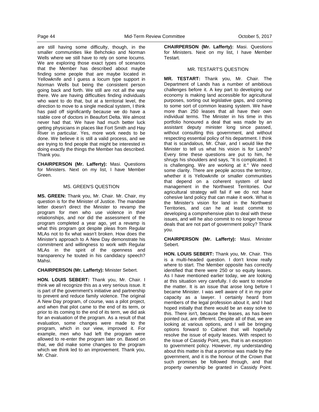are still having some difficulty, though, in the smaller communities like Behchoko and Norman Wells where we still have to rely on some locums. We are exploring those exact types of scenarios that the Member has described about maybe finding some people that are maybe located in Yellowknife and I guess a locum type support in Norman Wells but being the consistent person going back and forth. We still are not all the way there. We are having difficulties finding individuals who want to do that, but at a territorial level, the direction to move to a single medical system, I think has paid off significantly because we do have a stable core of doctors in Beaufort Delta. We almost never had that. We have had much better luck getting physicians in places like Fort Smith and Hay River in particular. Yes, more work needs to be done. We believe it is still a valid process, and we are trying to find people that might be interested in doing exactly the things the Member has described. Thank you.

**CHAIRPERSON (Mr. Lafferty):** Masi. Questions for Ministers. Next on my list, I have Member Green.

## MS. GREEN'S QUESTION

**MS. GREEN:** Thank you, Mr. Chair. Mr. Chair, my question is for the Minister of Justice. The mandate letter doesn't direct the Minister to revamp the program for men who use violence in their relationships, and nor did the assessment of the program completed a year ago, yet a revamp is what this program got despite pleas from Regular MLAs not to fix what wasn't broken. How does the Minister's approach to A New Day demonstrate his commitment and willingness to work with Regular MLAs in the spirit of the openness and transparency he touted in his candidacy speech? Mahsi.

#### **CHAIRPERSON (Mr. Lafferty):** Minister Sebert.

**HON. LOUIS SEBERT:** Thank you, Mr. Chair. I think we all recognize this as a very serious issue. It is part of the government's initiative and partnership to prevent and reduce family violence. The original A New Day program, of course, was a pilot project, and when that pilot came to the end of its term, or prior to its coming to the end of its term, we did ask for an evaluation of the program. As a result of that evaluation, some changes were made to the program, which in our view, improved it. For example, men who had left the program were allowed to re-enter the program later on. Based on that, we did make some changes to the program which we think led to an improvement. Thank you, Mr. Chair.

**CHAIRPERSON (Mr. Lafferty):** Masi. Questions for Ministers. Next on my list, I have Member Testart.

#### MR. TESTART'S QUESTION

**MR. TESTART:** Thank you, Mr. Chair. The Department of Lands has a number of ambitious challenges before it. A key part to developing our economy is making land accessible for agricultural purposes, sorting out legislative gaps, and coming to some sort of common leasing system. We have more than 250 leases that all have their own individual terms. The Minister in his time in this portfolio honoured a deal that was made by an assistant deputy minister long since passed, without consulting this government, and without respecting essential policy of his department. I think that is scandalous, Mr. Chair, and I would like the Minister to tell us what his vision is for Lands? Every time these questions are put to him, he shrugs his shoulders and says, "It is complicated. It is challenging. We are working at it." We need some clarity. There are people across the territory, whether it is Yellowknife or smaller communities that depend on a coherent system of land management in the Northwest Territories. Our agricultural strategy will fail if we do not have cohesive land policy that can make it work. What is the Minister's vision for land in the Northwest Territories, and can he at least commit to developing a comprehensive plan to deal with these issues, and will he also commit to no longer honour deals that are not part of government policy? Thank you.

#### **CHAIRPERSON (Mr. Lafferty):** Masi. Minister Sebert.

**HON. LOUIS SEBERT:** Thank you, Mr. Chair. This is a multi-headed question. I don't know really where to start. The Member opposite has correctly identified that there were 250 or so equity leases. As I have mentioned earlier today, we are looking at this situation very carefully. I do want to resolve the matter. It is an issue that arose long before I became Minister. I was well aware of it in my prior capacity as a lawyer. I certainly heard from members of the legal profession about it, and I had hoped initially that there would be an easy solve to this. There isn't, because the leases, as has been pointed out, are different. Despite all of that, we are looking at various options, and I will be bringing options forward to Cabinet that will hopefully resolve the issue of equity leases. With respect to the issue of Cassidy Point, yes, that is an exception to government policy. However, my understanding about this matter is that a promise was made by the government, and it is the honour of the Crown that such promises be followed through, and that property ownership be granted in Cassidy Point.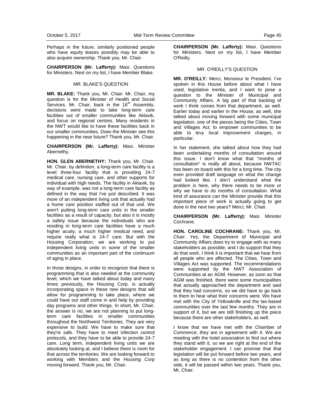Perhaps in the future, similarly positioned people who have equity leases possibly may be able to also acquire ownership. Thank you, Mr. Chair.

**CHAIRPERSON (Mr. Lafferty):** Masi. Questions for Ministers. Next on my list, I have Member Blake.

#### MR. BLAKE'S QUESTION

**MR. BLAKE:** Thank you, Mr. Chair. Mr. Chair, my question is for the Minister of Health and Social Services. Mr. Chair, back in the  $16<sup>th</sup>$  Assembly, decisions were made to take long-term care facilities out of smaller communities like Aklavik, and focus on regional centres. Many residents in the NWT would like to have these facilities back in our smaller communities. Does the Minister see this happening in the near future? Thank you, Mr. Chair.

**CHAIRPERSON (Mr. Lafferty):** Masi. Minister Abernethy.

**HON. GLEN ABERNETHY:** Thank you, Mr. Chair. Mr. Chair, by definition, a long-term care facility is a level three-four facility that is providing 24-7 medical care, nursing care, and other supports for individual with high needs. The facility in Aklavik, by way of example, was not a long-term care facility as defined in the way that I've just described. It was more of an independent living unit that actually had a home care position staffed out of that unit. We aren't putting long-term care units in the smaller facilities as a result of capacity, but also it is mostly a safety issue because the individuals who are residing in long-term care facilities have a much higher acuity, a much higher medical need, and require really what is 24-7 care. But with the Housing Corporation, we are working to put independent living units in some of the smaller communities as an important part of the continuum of aging in place.

In those designs, in order to recognize that there is programming that is also needed at the community level, which we have talked about today and many times previously, the Housing Corp. is actually incorporating space in these new designs that will allow for programming to take place, where we could have our staff come in and help by providing day programs and other things. In short, Mr. Chair, the answer is no, we are not planning to put longterm care facilities in smaller communities throughout the Northwest Territories. They are very expensive to build. We have to make sure that they're safe. They have to meet infection control protocols, and they have to be able to provide 24-7 care. Long term, independent living units we are absolutely looking at, and I believe there is room for that across the territories. We are looking forward to working with Members and the Housing Corp moving forward. Thank you, Mr. Chair.

**CHAIRPERSON (Mr. Lafferty):** Masi. Questions for Ministers. Next on my list, I have Member O'Reilly.

### MR. O'REILLY'S QUESTION

**MR. O'REILLY:** Merci, Monsieur le President. I've spoken in this House before about what I have used, legislative inertia, and I want to pose a question to the Minister of Municipal and Community Affairs. A big part of that backlog of work I think comes from that department, as well. Earlier today and earlier in the House, as well, she talked about moving forward with some municipal legislation, one of the pieces being the Cities, Town and Villages Act, to empower communities to be able to levy local improvement charges, in particular.

In her statement, she talked about how they had been undertaking months of consultation around this issue. I don't know what that "months of consultation" is really all about, because NWTAC has been on board with this for a long time. The city even provided draft language on what the change had looked like. I don't understand what the problem is here, why there needs to be more or why we have to do months of consultation. What kind of assurance can the Minister provide that this important piece of work is actually going to get done in the next two years? Merci, Mr. Chair.

**CHAIRPERSON (Mr. Lafferty):** Masi. Minister Cochrane.

**HON. CAROLINE COCHRANE:** Thank you, Mr. Chair. Yes, the Department of Municipal and Community Affairs does try to engage with as many stakeholders as possible, and I do support that they do that work. I think it is important that we hear from all people who are affected. The Cities, Town and Villages Act was supported. The recommendations were supported by the NWT Association of Communities at an AGM. However, as soon as that AGM was finished, there were some municipalities that actually approached the department and said that they had concerns, so we did have to go back to them to hear what their concerns were. We have met with the City of Yellowknife and the tax-based communities over the last few months. They are in support of it, but we are still finishing up the piece because there are other stakeholders, as well.

I know that we have met with the Chamber of Commerce; they are in agreement with it. We are meeting with the hotel association to find out where they stand with it, so we are right at the end of the stakeholder engagement. I can promise that that legislation will be put forward before two years, and as long as there is no contention from the other side, it will be passed within two years. Thank you, Mr. Chair.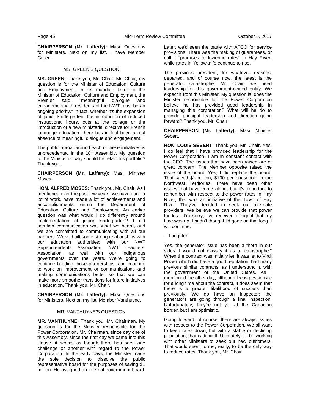**CHAIRPERSON (Mr. Lafferty):** Masi. Questions for Ministers. Next on my list, I have Member Green.

### MS. GREEN'S QUESTION

**MS. GREEN:** Thank you, Mr. Chair. Mr. Chair, my question is for the Minister of Education, Culture and Employment. In his mandate letter to the Minister of Education, Culture and Employment, the Premier said, "meaningful dialogue and engagement with residents of the NWT must be an ongoing priority." In fact, whether it's the expansion of junior kindergarten, the introduction of reduced instructional hours, cuts at the college or the introduction of a new ministerial directive for French language education, there has in fact been a real absence of meaningful dialogue and engagement.

The public uproar around each of these initiatives is unprecedented in the  $18<sup>th</sup>$  Assembly. My question to the Minister is: why should he retain his portfolio? Thank you.

**CHAIRPERSON (Mr. Lafferty):** Masi. Minister Moses.

**HON. ALFRED MOSES:** Thank you, Mr. Chair. As I mentioned over the past few years, we have done a lot of work, have made a lot of achievements and accomplishments within the Department of Education, Culture and Employment. An earlier question was what would I do differently around implementation of junior kindergarten? I did mention communication was what we heard, and we are committed to communicating with all our partners. We've built some strong relationships with our education authorities: with our NWT Superintendents Association, NWT Teachers' Association, as well with our Indigenous governments over the years. We're going to continue building those partnerships, and continue to work on improvement or communications and making communications better so that we can make more smoother transitions for future initiatives in education. Thank you, Mr. Chair.

**CHAIRPERSON (Mr. Lafferty):** Masi. Questions for Ministers. Next on my list, Member Vanthuyne.

## MR. VANTHUYNE'S QUESTION

**MR. VANTHUYNE:** Thank you, Mr. Chairman. My question is for the Minister responsible for the Power Corporation. Mr. Chairman, since day one of this Assembly, since the first day we came into this House, it seems as though there has been one challenge or another with regard to the Power Corporation. In the early days, the Minister made the sole decision to dissolve the public representative board for the purposes of saving \$1 million. He assigned an internal government board.

Later, we'd seen the battle with ATCO for service provisions. There was the making of guarantees, or call it "promises to lowering rates" in Hay River, while rates in Yellowknife continue to rise.

The previous president, for whatever reasons, departed, and of course now, the latest is the generator catastrophe. Mr. Chair, we need leadership for this government-owned entity. We expect it from this Minister. My question is: does the Minister responsible for the Power Corporation believe he has provided good leadership in managing this corporation? What will he do to provide principal leadership and direction going forward? Thank you, Mr. Chair.

**CHAIRPERSON (Mr. Lafferty):** Masi. Minister Sebert.

**HON. LOUIS SEBERT:** Thank you, Mr. Chair. Yes, I do feel that I have provided leadership for the Power Corporation. I am in constant contact with the CEO. The issues that have been raised are of great concern. The Member opposite raised the issue of the board. Yes, I did replace the board. That saved \$1 million, \$100 per household in the Northwest Territories. There have been other issues that have come along, but it's important to remember with respect to the power rates in Hay River, that was an initiative of the Town of Hay River. They've decided to seek out alternate providers. We believe we can provide that power for less. I'm sorry; I've received a signal that my time was up. I hadn't thought I'd gone on that long. I will continue.

#### ---Laughter

Yes, the generator issue has been a thorn in our sides. I would not classify it as a "catastrophe." When the contract was initially let, it was let to Virdi Power which did have a good reputation, had many previous similar contracts, as I understand it, with the government of the United States. As I mentioned the other day, although I was pessimistic for a long time about the contract, it does seem that there is a greater likelihood of success than previously. We do have an inspector; the generators are going through a final inspection. Unfortunately, they're not yet at the Canadian border, but I am optimistic.

Going forward, of course, there are always issues with respect to the Power Corporation. We all want to keep rates down, but with a stable or declining population, that is difficult. Ultimately, I'll be working with other Ministers to seek out new customers. That would seem to me, really, to be the only way to reduce rates. Thank you, Mr. Chair.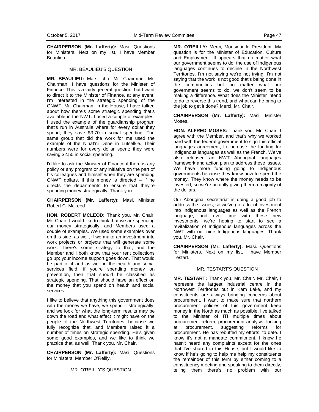**CHAIRPERSON (Mr. Lafferty):** Masi. Questions for Ministers. Next on my list, I have Member Beaulieu.

### MR. BEAULIEU'S QUESTION

**MR. BEAULIEU:** Marsi cho, Mr. Chairman. Mr. Chairman, I have questions for the Minister of Finance. This is a fairly general question, but I want to direct it to the Minister of Finance, at any event. I'm interested in the strategic spending of the GNWT. Mr. Chairman, in the House, I have talked about how there's some strategic spending that's available in the NWT. I used a couple of examples; I used the example of the guardianship program that's run in Australia where for every dollar they spend, they save \$3.70 in social spending. The same group that did the work for me used the example of the Nihat'ni Dene in Lutselk'e. Their numbers were for every dollar spent; they were saving \$2.50 in social spending.

I'd like to ask the Minister of Finance if there is any policy or any program or any initiative on the part of his colleagues and himself when they are spending GNWT dollars, if this money is directed – if he directs the departments to ensure that they're spending money strategically. Thank you.

**CHAIRPERSON (Mr. Lafferty):** Masi. Minister Robert C. McLeod.

**HON. ROBERT MCLEOD:** Thank you, Mr. Chair. Mr. Chair, I would like to think that we are spending our money strategically, and Members used a couple of examples. We used some examples over on this side, as well, if we make an investment into work projects or projects that will generate some work. There's some strategy to that, and the Member and I both know that your rent collections go up; your income support goes down. That would be part of it and as well in the health and social services field, if you're spending money on prevention, then that should be classified as strategic spending. That should have an effect on the money that you spend on health and social services.

I like to believe that anything this government does with the money we have, we spend it strategically, and we look for what the long-term results may be down the road and what effect it might have on the people of the Northwest Territories, because we fully recognize that, and Members raised it a number of times on strategic spending. He's given some good examples, and we like to think we practice that, as well. Thank you, Mr. Chair.

**CHAIRPERSON (Mr. Lafferty):** Masi. Questions for Ministers. Member O'Reilly.

MR. O'REILLY'S QUESTION

**MR. O'REILLY:** Merci, Monsieur le President. My question is for the Minister of Education, Culture and Employment. It appears that no matter what our government seems to do, the use of Indigenous languages continues to decline in the Northwest Territories. I'm not saying we're not trying; I'm not saying that the work is not good that's being done in the communities but no matter what our government seems to do, we don't seem to be making a difference. What does the Minister intend to do to reverse this trend, and what can he bring to the job to get it done? Merci, Mr. Chair.

**CHAIRPERSON (Mr. Lafferty):** Masi. Minister Moses.

**HON. ALFRED MOSES:** Thank you, Mr. Chair. I agree with the Member, and that's why we worked hard with the federal government to sign this official languages agreement, to increase the funding for Indigenous languages as well as the French. We've also released an NWT Aboriginal languages framework and action plan to address these issues. We have more funding going to Indigenous governments because they know how to spend the money. They know where the money needs to be invested, so we're actually giving them a majority of the dollars.

Our Aboriginal secretariat is doing a good job to address the issues, so we've got a lot of investment into Indigenous languages as well as the French language, and over time with these new investments, we're hoping to start to see a revitalization of Indigenous languages across the NWT with our nine Indigenous languages. Thank you, Mr. Chair.

**CHAIRPERSON (Mr. Lafferty):** Masi. Questions for Ministers. Next on my list, I have Member Testart.

## MR. TESTART'S QUESTION

**MR. TESTART:** Thank you, Mr. Chair. Mr. Chair, I represent the largest industrial centre in the Northwest Territories out in Kam Lake, and my constituents are always bringing concerns about procurement. I want to make sure that northern procurement policies of this government keep money in the North as much as possible. I've talked to the Minister of ITI multiple times about procurement reform, procurement analysis, looking at procurement, suggesting reforms for procurement. He has rebuffed my efforts, to date. I know it's not a mandate commitment. I know he hasn't heard any complaints except for the ones that I've shared in this House, but I would like to know if he's going to help me help my constituents the remainder of this term by either coming to a constituency meeting and speaking to them directly, telling them there's no problem with our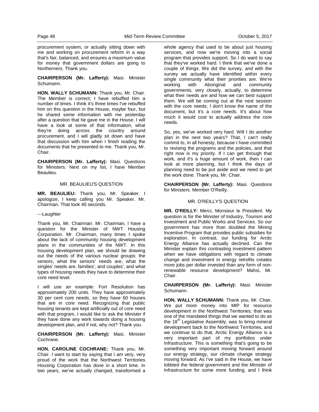procurement system, or actually sitting down with me and working on procurement reform in a way that's fair, balanced, and ensures a maximum value for money that government dollars are going to Northerners. Thank you.

#### **CHAIRPERSON (Mr. Lafferty):** Masi. Minister Schumann.

**HON. WALLY SCHUMANN:** Thank you, Mr. Chair. The Member is correct; I have rebuffed him a number of times. I think it's three times I've rebuffed him on this question in the House, maybe four, but he shared some information with me yesterday after a question that he gave me in the House. I will have a look at some of that information, what they're doing across the country around procurement, and I will gladly sit down and have that discussion with him when I finish reading the documents that he presented to me. Thank you, Mr. Chair.

**CHAIRPERSON (Mr. Lafferty):** Masi. Questions for Ministers. Next on my list, I have Member Beaulieu.

#### MR. BEAULIEU'S QUESTION

**MR. BEAULIEU:** Thank you, Mr. Speaker. I apologize, I keep calling you Mr. Speaker. Mr. Chairman. That took 40 seconds.

#### ---Laughter

Thank you, Mr. Chairman. Mr. Chairman, I have a question for the Minister of NWT Housing Corporation. Mr. Chairman, many times I spoke about the lack of community housing development plans in the communities of the NWT. In this housing development plan, we should be drawing out the needs of the various nuclear groups: the seniors, what the seniors' needs are, what the singles' needs are, families', and couples', and what types of housing needs they have to determine their core need level.

I will use an example: Fort Resolution has approximately 200 units. They have approximately 30 per cent core needs, so they have 60 houses that are in core need. Recognizing that public housing tenants are kept artificially out of core need with that program, I would like to ask the Minister if they have done any work towards doing a housing development plan, and if not, why not? Thank you.

#### **CHAIRPERSON (Mr. Lafferty):** Masi. Minister Cochrane.

**HON. CAROLINE COCHRANE:** Thank you, Mr. Chair. I want to start by saying that I am very, very proud of the work that the Northwest Territories Housing Corporation has done in a short time. In two years, we've actually changed, transformed a whole agency that used to be about just housing services, and now we're moving into a social program that provides support. So I do want to say that they've worked hard. I think that we've done a couple of things. We did the survey, and with the survey we actually have identified within every single community what their priorities are. We're working with Aboriginal and community governments, very closely, actually, to determine what their needs are and how we can best support them. We will be coming out at the next session with the core needs; I don't know the name of the document, but it's a core needs. It's about how much it would cost to actually address the core needs.

So, yes, we've worked very hard. Will I do another plan in the next two years? That, I can't really commit to, in all honesty, because I have committed to revising the programs and the policies, and that right now is my priority. If I can get through that work, and it's a huge amount of work, then I can look at more planning, but I think the days of planning need to be put aside and we need to get the work done. Thank you, Mr. Chair.

**CHAIRPERSON (Mr. Lafferty):** Masi. Questions for Ministers. Member O'Reilly.

## MR. O'REILLY'S QUESTION

**MR. O'REILLY:** Merci, Monsieur le President. My question is for the Minister of Industry, Tourism and Investment and Public Works and Services. So our government has more than doubled the Mining Incentive Program that provides public subsidies for exploration. In contrast, our funding for Arctic Energy Alliance has actually declined. Can the Minister explain this contrasting investment pattern when we have obligations with regard to climate change and investment in energy retrofits creates more jobs per dollar invested than any form of nonrenewable resource development? Mahsi, Mr. Chair.

**CHAIRPERSON (Mr. Lafferty):** Masi. Minister Schumann.

**HON. WALLY SCHUMANN:** Thank you, Mr. Chair. We put more money into MIP for resource development in the Northwest Territories; that was one of the mandated things that we wanted to do as the  $18<sup>th</sup>$  Legislative Assembly, was to bring mineral development back to the Northwest Territories, and we continue to do that. Arctic Energy Alliance is a very important part of my portfolios under Infrastructure. This is something that's going to be something very important moving forward around our energy strategy, our climate change strategy moving forward. As I've said in the House, we have lobbied the federal government and the Minister of Infrastructure for some more funding, and I think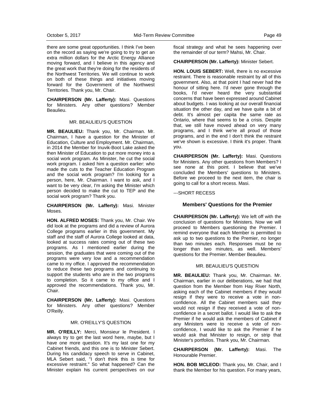there are some great opportunities. I think I've been on the record as saying we're going to try to get an extra million dollars for the Arctic Energy Alliance moving forward, and I believe in this agency and the great work that they're doing for the residents of the Northwest Territories. We will continue to work on both of these things and initiatives moving forward for the Government of the Northwest Territories. Thank you, Mr. Chair.

**CHAIRPERSON (Mr. Lafferty):** Masi. Questions for Ministers. Any other questions? Member Beaulieu.

#### MR. BEAULIEU'S QUESTION

**MR. BEAULIEU:** Thank you, Mr. Chairman. Mr. Chairman, I have a question for the Minister of Education, Culture and Employment. Mr. Chairman, in 2014 the Member for Inuvik-Boot Lake asked the then Minister of Education to put more money into a social work program. As Minister, he cut the social work program. I asked him a question earlier: who made the cuts to the Teacher Education Program and the social work program? I'm looking for a person, here, Mr. Chairman. I want to ask, and I want to be very clear, I'm asking the Minister which person decided to make the cut to TEP and the social work program? Thank you.

#### **CHAIRPERSON (Mr. Lafferty):** Masi. Minister Moses.

**HON. ALFRED MOSES:** Thank you, Mr. Chair. We did look at the programs and did a review of Aurora College programs earlier in this government. My staff and the staff of Aurora College looked at data, looked at success rates coming out of these two programs. As I mentioned earlier during the session, the graduates that were coming out of the programs were very low and a recommendation came to my office. I approved the recommendation to reduce these two programs and continuing to support the students who are in the two programs to completion. So it came to my office and I approved the recommendations. Thank you, Mr. Chair.

**CHAIRPERSON (Mr. Lafferty):** Masi. Questions for Ministers. Any other questions? Member O'Reilly.

#### MR. O'REILLY'S QUESTION

**MR. O'REILLY:** Merci, Monsieur le President. I always try to get the last word here, maybe, but I have one more question. It's my last one for my Cabinet friends, and this one is to Minister Sebert. During his candidacy speech to serve in Cabinet, MLA Sebert said, "I don't think this is time for excessive restraint." So what happened? Can the Minister explain his current perspectives on our fiscal strategy and what he sees happening over the remainder of our term? Mahsi, Mr. Chair.

#### **CHAIRPERSON (Mr. Lafferty):** Minister Sebert.

**HON. LOUIS SEBERT:** Well, there is no excessive restraint. There is reasonable restraint by all of this government. Also, at that point I had never had the honour of sitting here. I'd never gone through the books, I'd never heard the very substantial concerns that have been expressed around Cabinet about budgets. I was looking at our overall financial situation the other day, and we have quite a bit of debt. It's almost per capita the same rate as Ontario, where that seems to be a crisis. Despite that, we still have moved ahead on very many programs, and I think we're all proud of those programs, and in the end I don't think the restraint we've shown is excessive. I think it's proper. Thank you.

**CHAIRPERSON (Mr. Lafferty):** Masi. Questions for Ministers. Any other questions from Members? I see none at this point. I believe that we've concluded the Members' questions to Ministers. Before we proceed to the next item, the chair is going to call for a short recess. Masi.

---SHORT RECESS

#### **Members' Questions for the Premier**

**CHAIRPERSON (Mr. Lafferty):** We left off with the conclusion of questions for Ministers. Now we will proceed to Members questioning the Premier. I remind everyone that each Member is permitted to ask up to two questions to the Premier, no longer than two minutes each. Responses must be no longer than two minutes, as well. Members' questions for the Premier. Member Beaulieu.

## MR. BEAULIEU'S QUESTION

**MR. BEAULIEU:** Thank you, Mr. Chairman. Mr. Chairman, earlier in our deliberations, we had that question from the Member from Hay River North, asking each of the Cabinet members if they would resign if they were to receive a vote in nonconfidence. All the Cabinet members said they would not resign if they received a vote of nonconfidence in a secret ballot. I would like to ask the Premier if he would ask the members of Cabinet if any Ministers were to receive a vote of nonconfidence, I would like to ask the Premier if he would ask that Minister to resign, or strip that Minister's portfolios. Thank you, Mr. Chairman.

**CHAIRPERSON (Mr. Lafferty):** Masi. The Honourable Premier.

**HON. BOB MCLEOD:** Thank you, Mr. Chair, and I thank the Member for his question. For many years,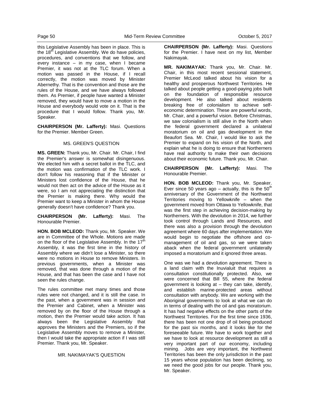this Legislative Assembly has been in place. This is the  $18<sup>th</sup>$  Legislative Assembly. We do have policies, procedures, and conventions that we follow, and every instance – in my case, when I became Premier, it was not at the TLC forum. When a motion was passed in the House, if I recall correctly, the motion was moved by Minister Abernethy. That is the convention and those are the rules of the House, and we have always followed them. As Premier, if people have wanted a Minister removed, they would have to move a motion in the House and everybody would vote on it. That is the procedure that I would follow. Thank you, Mr. Speaker.

**CHAIRPERSON (Mr. Lafferty):** Masi. Questions for the Premier. Member Green.

## MS. GREEN'S QUESTION

**MS. GREEN:** Thank you, Mr. Chair. Mr. Chair, I find the Premier's answer is somewhat disingenuous. We elected him with a secret ballot in the TLC, and the motion was confirmation of the TLC work. I don't follow his reasoning that if the Minister or Ministers lost confidence of the House, that he would not then act on the advice of the House as it were, so I am not appreciating the distinction that the Premier is making there. Why would the Premier want to keep a Minister in whom the House generally doesn't have confidence? Thank you.

**CHAIRPERSON (Mr. Lafferty):** Masi. The Honourable Premier.

**HON. BOB MCLEOD:** Thank you, Mr. Speaker. We are in Committee of the Whole. Motions are made on the floor of the Legislative Assembly. In the  $17<sup>th</sup>$ Assembly, it was the first time in the history of Assembly where we didn't lose a Minister, so there were no motions in House to remove Ministers. In previous governments, when a Minister was removed, that was done through a motion of the House, and that has been the case and I have not seen the rules change.

The rules committee met many times and those rules were not changed, and it is still the case. In the past, when a government was in session and the Premier and Cabinet, when a Minister was removed by on the floor of the House through a motion, then the Premier would take action. It has always been the Legislative Assembly that approves the Ministers and the Premiers, so if the Legislative Assembly moves to remove a Minister, then I would take the appropriate action if I was still Premier. Thank you, Mr. Speaker.

#### MR. NAKIMAYAK'S QUESTION

**CHAIRPERSON (Mr. Lafferty):** Masi. Questions for the Premier. I have next on my list, Member Nakimayak.

**MR. NAKIMAYAK:** Thank you, Mr. Chair. Mr. Chair, in this most recent sessional statement, Premier McLeod talked about his vision for a healthy and prosperous Northwest Territories. He talked about people getting a good-paying jobs built on the foundation of responsible resource development. He also talked about residents breaking free of colonialism to achieve selfeconomic determination. These are powerful words, Mr. Chair, and a powerful vision. Before Christmas, we saw colonialism is still alive in the North when the federal government declared a unilateral moratorium on oil and gas development in the Beaufort Sea. Mr. Chair, I would like to ask the Premier to expand on his vision of the North, and explain what he is doing to ensure that Northerners have real authority to make their own decisions about their economic future. Thank you, Mr. Chair.

**CHAIRPERSON (Mr. Lafferty):** Masi. The Honourable Premier.

**HON. BOB MCLEOD:** Thank you, Mr. Speaker. Ever since 50 years ago  $-$  actually, this is the 50<sup>th</sup> anniversary of the Government of the Northwest Territories moving to Yellowknife – when the government moved from Ottawa to Yellowknife, that was the first step in achieving decision-making by Northerners. With the devolution in 2014, we further took control through Lands and Resources, and there was also a provision through the devolution agreement where 60 days after implementation. We would begin to negotiate the offshore and comanagement of oil and gas, so we were taken aback when the federal government unilaterally imposed a moratorium and it ignored three areas.

One was we had a devolution agreement. There is a land claim with the Inuvialuit that requires a consultation constitutionally protected. Also, we were concerned that Bill 55, where the federal government is looking at – they can take, identify, and establish marine-protected areas without consultation with anybody. We are working with the Aboriginal governments to look at what we can do in terms of dealing with the oil and gas moratorium. It has had negative effects on the other parts of the Northwest Territories. For the first time since 1936, there has been not one drop of oil being produced for the past six months, and it looks like for the foreseeable future. We have to work together and we have to look at resource development as still a very important part of our economy, including mining. Jobs are very important, the Northwest Territories has been the only jurisdiction in the past 15 years whose population has been declining, so we need the good jobs for our people. Thank you, Mr. Speaker.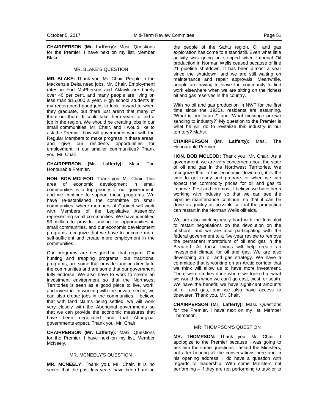**CHAIRPERSON (Mr. Lafferty):** Masi. Questions for the Premier. I have next on my list, Member Blake.

#### MR. BLAKE'S QUESTION

**MR. BLAKE:** Thank you, Mr. Chair. People in the Mackenzie Delta need jobs, Mr. Chair. Employment rates in Fort McPherson and Aklavik are barely over 40 per cent, and many people are living on less than \$15,000 a year. High school students in my region need good jobs to look forward to when they graduate, but there just aren't that many of them out there. It could take them years to find a job in the region. We should be creating jobs in our small communities, Mr. Chair, and I would like to ask the Premier: how will government work with the Regular Members to make progress in these areas, and give our residents opportunities for employment in our smaller communities? Thank you, Mr. Chair.

**CHAIRPERSON (Mr. Lafferty):** Masi. The Honourable Premier.

**HON. BOB MCLEOD:** Thank you, Mr. Chair. This area of economic development in small communities is a top priority of our government, and we continue to support those programs. We have re-established the committee on small communities, where members of Cabinet will work with Members of the Legislative Assembly representing small communities. We have identified \$3 million to provide funding for opportunities in small communities, and our economic development programs recognize that we have to become more self-sufficient and create more employment in the communities.

Our programs are designed in that regard. Our hunting and trapping programs, our traditional programs, are some that provide funding directly to the communities and are some that our government fully endorse. We also have to work to create an investment environment so that the Northwest Territories is seen as a good place to live, work, and invest in. In working with the private sector, we can also create jobs in the communities. I believe that with land claims being settled, we will work very closely with the Aboriginal governments so that we can provide the economic measures that have been negotiated and that Aboriginal governments expect. Thank you, Mr. Chair.

**CHAIRPERSON (Mr. Lafferty):** Masi. Questions for the Premier. I have next on my list, Member McNeely.

## MR. MCNEELY'S QUESTION

**MR. MCNEELY:** Thank you, Mr. Chair. It is no secret that the past few years have been hard on the people of the Sahtu region. Oil and gas exploration has come to a standstill. Even what little activity was going on stopped when Imperial Oil production in Norman Wells ceased because of line 21 pipeline shutdown. It has been almost a year since the shutdown, and we are still waiting on maintenance and repair approvals. Meanwhile, people are having to leave the community to find work elsewhere when we are sitting on the richest oil and gas reserves in the country.

With no oil and gas production in NWT for the first time since the 1930s, residents are assuming, "What is our future?" and "What message are we sending to industry?" My question to the Premier is what he will do to revitalize this industry in our territory? Mahsi.

**CHAIRPERSON (Mr. Lafferty):** Masi. The Honourable Premier.

**HON. BOB MCLEOD:** Thank you, Mr. Chair. As a government, we are very concerned about the state of oil and gas in the Northwest Territories. We recognize that in this economic downturn, it is the time to get ready and prepare for when we can expect the commodity prices for oil and gas to improve. First and foremost, I believe we have been working with industry so that we can see the pipeline maintenance continue, so that it can be done as quickly as possible so that the production can restart in the Norman Wells oilfields.

We are also working really hard with the Inuvialuit to restart negotiations on the devolution on the offshore, and we are also participating with the federal government to a five-year review to remove the permanent moratorium of oil and gas in the Beaufort. All those things will help create an investment climate for oil and gas. We are also developing an oil and gas strategy. We have a committee that is working on an Arctic corridor that we think will allow us to have more investment. There were studies done where we looked at what we would do when we can't go east, west, or south. We have the benefit; we have significant amounts of oil and gas, and we also have access to tidewater. Thank you, Mr. Chair.

**CHAIRPERSON (Mr. Lafferty):** Masi. Questions for the Premier. I have next on my list, Member Thompson.

#### MR. THOMPSON'S QUESTION

**MR. THOMPSON:** Thank you, Mr. Chair. I apologize to the Premier because I was going to ask him the same questions I asked the Ministers, but after hearing all the conversations here and in his opening address, I do have a question with regards to leadership. With some Ministers not performing – if they are not performing to task or to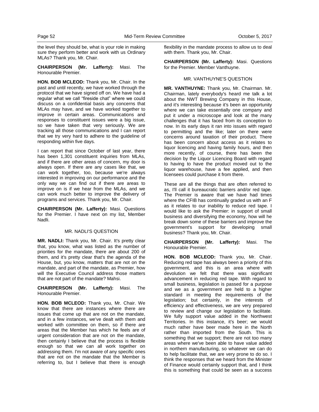the level they should be, what is your role in making sure they perform better and work with us Ordinary MLAs? Thank you, Mr. Chair.

**CHAIRPERSON (Mr. Lafferty):** Masi. The Honourable Premier.

**HON. BOB MCLEOD:** Thank you, Mr. Chair. In the past and until recently, we have worked through the protocol that we have signed off on. We have had a regular what we call "fireside chat" where we could discuss on a confidential basis any concerns that MLAs may have, and we have worked together to improve in certain areas. Communications and responses to constituent issues were a big issue, so we have taken that very seriously. We are tracking all those communications and I can report that we try very hard to adhere to the guideline of responding within five days.

I can report that since October of last year, there has been 1,301 constituent inquiries from MLAs, and if there are other areas of concern, my door is always open. If there are any cases like that, we can work together, too, because we're always interested in improving on our performance and the only way we can find out if there are areas to improve on is if we hear from the MLAs, and we can work much better to improve the delivery of programs and services. Thank you, Mr. Chair.

**CHAIRPERSON (Mr. Lafferty):** Masi. Questions for the Premier. I have next on my list, Member Nadli.

#### MR. NADLI'S QUESTION

**MR. NADLI:** Thank you, Mr. Chair. It's pretty clear that, you know, what was listed as the number of priorities for the mandate, there are about 200 of them, and it's pretty clear that's the agenda of the House, but, you know, matters that are not on the mandate, and part of the mandate, as Premier, how will the Executive Council address those matters that are not part of the mandate? Mahsi.

**CHAIRPERSON (Mr. Lafferty):** Masi. The Honourable Premier.

**HON. BOB MCLEOD:** Thank you, Mr. Chair. We know that there are instances where there are issues that come up that are not on the mandate, and in a few instances, we've dealt with them and worked with committee on them, so if there are areas that the Member has which he feels are of urgent consideration that are not on the mandate, then certainly I believe that the process is flexible enough so that we can all work together on addressing them. I'm not aware of any specific ones that are not on the mandate that the Member is referring to, but I believe that there is enough

flexibility in the mandate process to allow us to deal with them. Thank you, Mr. Chair.

**CHAIRPERSON (Mr. Lafferty):** Masi. Questions for the Premier. Member Vanthuyne.

#### MR. VANTHUYNE'S QUESTION

**MR. VANTHUYNE:** Thank you, Mr. Chairman. Mr. Chairman, lately everybody's heard me talk a lot about the NWT Brewing Company in this House, and it's interesting because it's been an opportunity where we can take essentially one company and put it under a microscope and look at the many challenges that it has faced from its conception to now. In its early days it ran into issues with regard to permitting and the like; later on there were concerns around taxation of their product. There has been concern about access as it relates to liquor licencing and having family hours, and then more recently, of course, there has been the decision by the Liquor Licencing Board with regard to having to have the product moved out to the liquor warehouse, have a fee applied, and then licensees could purchase it from there.

These are all the things that are often referred to as, I'll call it bureaucratic barriers and/or red tape. The Premier is aware that we have had times where the CFIB has continually graded us with an F as it relates to our inability to reduce red tape. I would like to ask the Premier: in support of small business and diversifying the economy, how will he break down some of these barriers and improve the government's support for developing small business? Thank you, Mr. Chair.

**CHAIRPERSON (Mr. Lafferty):** Masi. The Honourable Premier.

**HON. BOB MCLEOD:** Thank you, Mr. Chair. Reducing red tape has always been a priority of this government, and this is an area where with devolution we felt that there was significant advancement in reducing red tape. With regard to small business, legislation is passed for a purpose and we as a government are held to a higher standard in meeting the requirements of the legislation; but certainly, in the interests of efficiency and effectiveness, we are very prepared to review and change our legislation to facilitate. We fully support value added in the Northwest Territories. In this instance, it's beer; we would much rather have beer made here in the North rather than imported from the South. This is something that we support; there are not too many areas where we've been able to have value added in northern manufacturing, so whatever we can do to help facilitate that, we are very prone to do so. I think the responses that we heard from the Minister of Finance would certainly support that, and I think this is something that could be seen as a success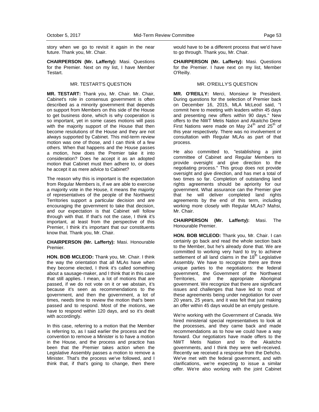story when we go to revisit it again in the near future. Thank you, Mr. Chair.

**CHAIRPERSON (Mr. Lafferty):** Masi. Questions for the Premier. Next on my list, I have Member Testart.

## MR. TESTART'S QUESTION

**MR. TESTART:** Thank you, Mr. Chair. Mr. Chair, Cabinet's role in consensus government is often described as a minority government that depends on support from Members on this side of the House to get business done, which is why cooperation is so important, yet in some cases motions will pass with the majority support of the House that then become resolutions of the House and they are not always supported by Cabinet. This mid-term review motion was one of those, and I can think of a few others. When that happens and the House passes a motion, how does the Premier take it into consideration? Does he accept it as an adopted motion that Cabinet must then adhere to, or does he accept it as mere advice to Cabinet?

The reason why this is important is the expectation from Regular Members is, if we are able to exercise a majority vote in the House, it means the majority of representatives of the people of the Northwest Territories support a particular decision and are encouraging the government to take that decision, and our expectation is that Cabinet will follow through with that. If that's not the case, I think it's important, at least from the perspective of this Premier, I think it's important that our constituents know that. Thank you, Mr. Chair.

**CHAIRPERSON (Mr. Lafferty):** Masi. Honourable Premier.

**HON. BOB MCLEOD:** Thank you, Mr. Chair. I think the way the orientation that all MLAs have when they become elected, I think it's called something about a sausage-maker, and I think that in this case that still applies. I mean, a lot of motions that are passed, if we do not vote on it or we abstain, it's because it's seen as recommendations to the government, and then the government, a lot of times, needs time to review the motion that's been passed and to respond. Most of the motions, we have to respond within 120 days, and so it's dealt with accordingly.

In this case, referring to a motion that the Member is referring to, as I said earlier the process and the convention to remove a Minister is to have a motion in the House, and the process and practice has been that the Premier takes action when the Legislative Assembly passes a motion to remove a Minister. That's the process we've followed, and I think that, if that's going to change, then there

would have to be a different process that we'd have to go through. Thank you, Mr. Chair.

**CHAIRPERSON (Mr. Lafferty):** Masi. Questions for the Premier. I have next on my list, Member O'Reilly.

## MR. O'REILLY'S QUESTION

**MR. O'REILLY:** Merci, Monsieur le President. During questions for the selection of Premier back on December 16, 2015, MLA McLeod said, "I commit here to meeting with leaders within 45 days and presenting new offers within 90 days." New offers to the NWT Metis Nation and Akaitcho Dene First Nations were made on May  $24<sup>th</sup>$  and  $25<sup>th</sup>$  of this year respectively. There was no involvement or consultation with Regular MLAs as part of that process.

He also committed to, "establishing a joint committee of Cabinet and Regular Members to provide oversight and give direction to the negotiating process." This group does not provide oversight and give direction, and has met a total of two times so far. Completion of outstanding land rights agreements should be apriority for our government. What assurance can the Premier give that he will deliver completed land rights agreements by the end of this term, including working more closely with Regular MLAs? Mahsi, Mr. Chair.

**CHAIRPERSON (Mr. Lafferty):** Masi. The Honourable Premier.

**HON. BOB MCLEOD:** Thank you, Mr. Chair. I can certainly go back and read the whole section back to the Member, but he's already done that. We are committed to working very hard to try to achieve settlement of all land claims in the  $18<sup>th</sup>$  Legislative Assembly. We have to recognize there are three unique parties to the negotiations: the federal government, the Government of the Northwest Territories, and the appropriate Aboriginal government. We recognize that there are significant issues and challenges that have led to most of these agreements being under negotiation for over 20 years, 25 years, and it was felt that just making an offer within 45 days would be an empty gesture.

We're working with the Government of Canada. We hired ministerial special representatives to look at the processes, and they came back and made recommendations as to how we could have a way forward. Our negotiators have made offers to the NWT Metis Nation and to the Akaitcho governments, and I think they were well-received. Recently we received a response from the Dehcho. We've met with the federal government, and with clarifications, we're expecting to issue a similar offer. We're also working with the joint Cabinet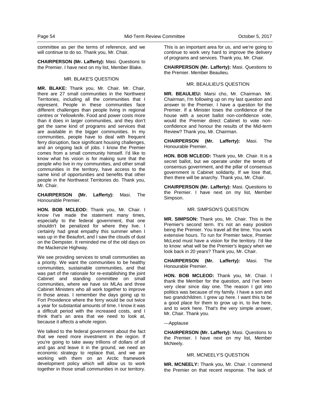committee as per the terms of reference, and we will continue to do so. Thank you, Mr. Chair.

**CHAIRPERSON (Mr. Lafferty):** Masi. Questions to the Premier. I have next on my list, Member Blake.

#### MR. BLAKE'S QUESTION

**MR. BLAKE:** Thank you, Mr. Chair. Mr. Chair, there are 27 small communities in the Northwest Territories, including all the communities that I represent. People in these communities face different challenges than people living in regional centres or Yellowknife. Food and power costs more than it does in larger communities, and they don't get the same kind of programs and services that are available in the bigger communities. In my communities, people have to deal with frequent ferry disruption, face significant housing challenges, and an ongoing lack of jobs. I know the Premier comes from a small community himself. I'd like to know what his vision is for making sure that the people who live in my communities, and other small communities in the territory, have access to the same kind of opportunities and benefits that other people in the Northwest Territories do. Thank you, Mr. Chair.

**CHAIRPERSON (Mr. Lafferty):** Masi. The Honourable Premier.

**HON. BOB MCLEOD:** Thank you, Mr. Chair. I know I've made the statement many times, especially to the federal government, that one shouldn't be penalized for where they live. I certainly had great empathy this summer when I was up in the Beaufort, and I saw the clouds of dust on the Dempster. It reminded me of the old days on the Mackenzie Highway.

We see providing services to small communities as a priority. We want the communities to be healthy communities, sustainable communities, and that was part of the rationale for re-establishing the joint Cabinet and standing committee on small communities, where we have six MLAs and three Cabinet Ministers who all work together to improve in those areas. I remember the days going up to Fort Providence where the ferry would be out twice a year for substantial amounts of time. I know it was a difficult period with the increased costs, and I think that's an area that we need to look at, because it affects a whole region.

We talked to the federal government about the fact that we need more investment in the region. If you're going to take away trillions of dollars of oil and gas and leave it in the ground, we need an economic strategy to replace that, and we are working with them on an Arctic framework development policy which will allow us to work together in those small communities in our territory.

This is an important area for us, and we're going to continue to work very hard to improve the delivery of programs and services. Thank you, Mr. Chair.

**CHAIRPERSON (Mr. Lafferty):** Masi. Questions to the Premier. Member Beaulieu.

#### MR. BEAULIEU'S QUESTION

**MR. BEAULIEU:** Marsi cho, Mr. Chairman. Mr. Chairman, I'm following up on my last question and answer to the Premier. I have a question for the Premier. If a Minister loses the confidence of the house with a secret ballot non-confidence vote, would the Premier direct Cabinet to vote nonconfidence and honour the results of the Mid-term Review? Thank you, Mr. Chairman.

**CHAIRPERSON (Mr. Lafferty):** Masi. The Honourable Premier.

**HON. BOB MCLEOD:** Thank you, Mr. Chair. It is a secret ballot, but we operate under the tenets of consensus government, and the pillar of consensus government is Cabinet solidarity. If we lose that, then there will be anarchy. Thank you, Mr. Chair.

**CHAIRPERSON (Mr. Lafferty):** Masi. Questions to the Premier. I have next on my list, Member Simpson.

#### MR. SIMPSON'S QUESTION

**MR. SIMPSON:** Thank you, Mr. Chair. This is the Premier's second term. It's not an easy position being the Premier. You travel all the time. You work extensive hours. To run for Premier twice, Premier McLeod must have a vision for the territory. I'd like to know: what will be the Premier's legacy when we look back in 20 years? Thank you, Mr. Chair.

**CHAIRPERSON (Mr. Lafferty):** Masi. The Honourable Premier.

**HON. BOB MCLEOD:** Thank you, Mr. Chair. I thank the Member for the question, and I've been very clear since day one. The reason I got into politics was because of my family. I have a son and two grandchildren. I grew up here. I want this to be a good place for them to grow up in, to live here, and to work here. That's the very simple answer, Mr. Chair. Thank you.

#### ---Applause

**CHAIRPERSON (Mr. Lafferty):** Masi. Questions to the Premier. I have next on my list, Member McNeely.

## MR. MCNEELY'S QUESTION

**MR. MCNEELY:** Thank you, Mr. Chair. I commend the Premier on that recent response. The lack of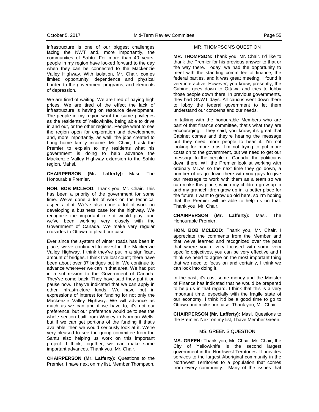infrastructure is one of our biggest challenges facing the NWT and, more importantly, the communities of Sahtu. For more than 40 years, people in my region have looked forward to the day when they can be connected to the Mackenzie Valley Highway. With isolation, Mr. Chair, comes limited opportunity, dependence and physical burden to the government programs, and elements of depression.

We are tired of waiting. We are tired of paying high prices. We are tired of the effect the lack of infrastructure is having on resource development. The people in my region want the same privileges as the residents of Yellowknife, being able to drive in and out, or the other regions. People want to see the region open for exploration and development and, more importantly, as well, the jobs created to bring home family income. Mr. Chair, I ask the Premier to explain to my residents what his government is doing to help advance the Mackenzie Valley Highway extension to the Sahtu region. Mahsi.

**CHAIRPERSON (Mr. Lafferty):** Masi. The Honourable Premier.

**HON. BOB MCLEOD:** Thank you, Mr. Chair. This has been a priority of the government for some time. We've done a lot of work on the technical aspects of it. We've also done a lot of work on developing a business case for the highway. We recognize the important role it would play, and we've been working very closely with the Government of Canada. We make very regular crusades to Ottawa to plead our case.

Ever since the system of winter roads has been in place, we've continued to invest in the Mackenzie Valley Highway. I think they've put in a significant amount of bridges. I think I've lost count; there have been about over 37 bridges put in. We continue to advance wherever we can in that area. We had put in a submission to the Government of Canada. They've come back. They have said they put it on pause now. They've indicated that we can apply in other infrastructure funds. We have put in expressions of interest for funding for not only the Mackenzie Valley Highway. We will advance as much as we can and if we have to, it's not our preference, but our preference would be to see the whole section built from Wrigley to Norman Wells, but if we can get portions of the funding if that's available, then we would seriously look at it. We're very pleased to see the group committee from the Sahtu also helping us work on this important project. I think, together, we can make some important advances. Thank you, Mr. Chair.

**CHAIRPERSON (Mr. Lafferty):** Questions to the Premier. I have next on my list, Member Thompson.

#### MR. THOMPSON'S QUESTION

**MR. THOMPSON:** Thank you, Mr. Chair. I'd like to thank the Premier for his previous answer to that or the way there. Today, we had the opportunity to meet with the standing committee of finance, the federal parties, and it was great meeting. I found it very interactive. However, you know, presently, the Cabinet goes down to Ottawa and tries to lobby those people down there. In previous governments, they had GNWT days. All caucus went down there to lobby the federal government to let them understand our concerns and our needs.

In talking with the honourable Members who are part of that finance committee, that's what they are encouraging. They said, you know, it's great that Cabinet comes and they're hearing the message but they need more people to hear it. I'm not looking for more trips. I'm not trying to put more costs on to the government, but we need to get our message to the people of Canada, the politicians down there. Will the Premier look at working with ordinary MLAs so the next time they go down, a number of us go down there with you guys to give our message to work with them as a team so we can make this place, which my children grow up in and my grandchildren grow up in, a better place for the future. I want to grow up old here, so I'm hoping that the Premier will be able to help us on that. Thank you, Mr. Chair.

**CHAIRPERSON (Mr. Lafferty):** Masi. The Honourable Premier.

**HON. BOB MCLEOD:** Thank you, Mr. Chair. I appreciate the comments from the Member and that we've learned and recognized over the past that where you're very focused with some very specific objectives, you can be very effective and I think we need to agree on the most important thing that we need to focus on and certainly, I think we can look into doing it.

In the past, it's cost some money and the Minister of Finance has indicated that he would be prepared to help us in that regard. I think that this is a very important time, especially with the fragile state of our economy. I think it'd be a good time to go to Ottawa and make our case. Thank you, Mr. Chair.

**CHAIRPERSON (Mr. Lafferty):** Masi. Questions to the Premier. Next on my list, I have Member Green.

#### MS. GREEN'S QUESTION

**MS. GREEN:** Thank you, Mr. Chair. Mr. Chair, the City of Yellowknife is the second largest government in the Northwest Territories. It provides services to the largest Aboriginal community in the Northwest Territories to a population that comes from every community. Many of the issues that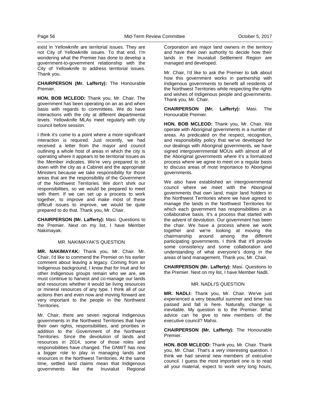exist in Yellowknife are territorial issues. They are not City of Yellowknife issues. To that end, I'm wondering what the Premier has done to develop a government-to-government relationship with the City of Yellowknife to address territorial issues. Thank you.

**CHAIRPERSON (Mr. Lafferty):** The Honourable Premier.

**HON. BOB MCLEOD:** Thank you, Mr. Chair. The government has been operating on an as and when basis with regards to committees. We do have interactions with the city at different departmental levels. Yellowknife MLAs meet regularly with city council before session.

I think it's come to a point where a more significant interaction is required. Just recently, we had received a letter from the mayor and council outlining a whole host of areas in which the city is operating where it appears to be territorial issues as the Member indicates. We're very prepared to sit down with the city as a Cabinet and the appropriate Ministers because we take responsibility for those areas that are the responsibility of the Government of the Northwest Territories. We don't shirk our responsibilities, so we would be prepared to meet with them. If we can set up a process to work together, to improve and make most of these difficult issues to improve, we would be quite prepared to do that. Thank you, Mr. Chair.

**CHAIRPERSON (Mr. Lafferty):** Masi. Questions to the Premier. Next on my list, I have Member Nakimayak.

#### MR. NAKIMAYAK'S QUESTION

**MR. NAKIMAYAK:** Thank you, Mr. Chair. Mr. Chair, I'd like to commend the Premier on his earlier comment about leaving a legacy. Coming from an Indigenous background, I know that for Inuit and for other Indigenous groups remain who we are, we must continue to harvest and co-manage our lands and resources whether it would be living resources or mineral resources of any type. I think all of our actions then and even now and moving forward are very important to the people in the Northwest Territories.

Mr. Chair, there are seven regional Indigenous governments in the Northwest Territories that have their own rights, responsibilities, and priorities in addition to the Government of the Northwest Territories. Since the devolution of lands and resources in 2014, some of those roles and responsibilities have changed. The GNWT has now a bigger role to play in managing lands and resources in the Northwest Territories. At the same time, settled land claims mean that Indigenous governments like the Inuvialuit Regional

Corporation are major land owners in the territory and have their own authority to decide how their lands in the Inuvialuit Settlement Region are managed and developed.

Mr. Chair, I'd like to ask the Premier to talk about how this government works in partnership with Indigenous governments to benefit all residents of the Northwest Territories while respecting the rights and wishes of Indigenous people and governments. Thank you, Mr. Chair.

**CHAIRPERSON (Mr. Lafferty):** Masi. The Honourable Premier.

**HON. BOB MCLEOD:** Thank you, Mr. Chair. We operate with Aboriginal governments in a number of areas. As predicated on the respect, recognition, and responsibility policy that we've developed for our dealings with Aboriginal governments, we have signed intergovernmental MOUs with almost all of the Aboriginal governments where it's a formalized process where we agree to meet on a regular basis to discuss areas of most importance to Aboriginal governments.

We also have established an intergovernmental council where we meet with the Aboriginal governments that own land, major land holders in the Northwest Territories where we have agreed to manage the lands in the Northwest Territories for which each government has responsibilities on a collaborative basis. It's a process that started with the advent of devolution. Our government has been the chair. We have a process where we work together and we're looking at moving the chairmanship around among the different participating governments. I think that it'll provide some consistency and some collaboration and understanding of what everyone's doing in the areas of land management. Thank you, Mr. Chair.

**CHAIRPERSON (Mr. Lafferty):** Masi. Questions to the Premier. Next on my list, I have Member Nadli.

#### MR. NADLI'S QUESTION

**MR. NADLI:** Thank you, Mr. Chair. We've just experienced a very beautiful summer and time has passed and fall is here. Naturally, change is inevitable. My question is to the Premier. What advice can he give to new members of the executive council? Mahsi.

**CHAIRPERSON (Mr. Lafferty):** The Honourable Premier.

**HON. BOB MCLEOD:** Thank you, Mr. Chair. Thank you, Mr. Chair. That's a very interesting question. I think we had several new members of executive council. I guess the most important one is to read all your material, expect to work very long hours,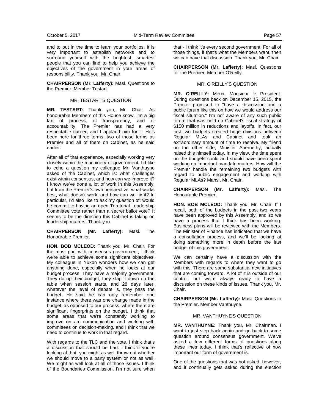and to put in the time to learn your portfolios. It is very important to establish networks and to surround yourself with the brightest, smartest people that you can find to help you achieve the objectives of the government in your areas of responsibility. Thank you, Mr. Chair.

**CHAIRPERSON (Mr. Lafferty):** Masi. Questions to the Premier. Member Testart.

## MR. TESTART'S QUESTION

**MR. TESTART:** Thank you, Mr. Chair. As honourable Members of this House know, I'm a big fan of process, of transparency, and of accountability. The Premier has had a very respectable career, and I applaud him for it. He's been here for three terms, two of those terms as Premier and all of them on Cabinet, as he said earlier.

After all of that experience, especially working very closely within the machinery of government, I'd like to echo a question my colleague Mr. Vanthuyne asked of the Cabinet, which is: what challenges exist within consensus, and how can we improve it? I know we've done a lot of work in this Assembly, but from the Premier's own perspective: what works best, what doesn't work, and how can we fix it? In particular, I'd also like to ask my question of: would he commit to having an open Territorial Leadership Committee vote rather than a secret ballot vote? It seems to be the direction this Cabinet is taking on leadership matters. Thank you.

#### **CHAIRPERSON (Mr. Lafferty):** Masi. The Honourable Premier.

**HON. BOB MCLEOD:** Thank you, Mr. Chair. For the most part with consensus government, I think we're able to achieve some significant objectives. My colleague in Yukon wonders how we can get anything done, especially when he looks at our budget process. They have a majority government. They do up their budget, they slap it down on the table when session starts, and 28 days later, whatever the level of debate is, they pass the budget. He said he can only remember one instance where there was one change made in the budget, as opposed to our process, where there are significant fingerprints on the budget. I think that some areas that we're constantly working to improve on are communication and working with committees on decision-making, and I think that we need to continue to work in that regard.

With regards to the TLC and the vote, I think that's a discussion that should be had. I think if you're looking at that, you might as well throw out whether we should move to a party system or not as well. We might as well look at all of those issues. I think of the Boundaries Commission. I'm not sure when

that - I think it's every second government. For all of those things, if that's what the Members want, then we can have that discussion. Thank you, Mr. Chair.

**CHAIRPERSON (Mr. Lafferty):** Masi. Questions for the Premier. Member O'Reilly.

#### MR. O'REILLY'S QUESTION

**MR. O'REILLY:** Merci, Monsieur le President. During questions back on December 15, 2015, the Premier promised to "have a discussion and a public forum like this on how we would address our fiscal situation." I'm not aware of any such public forum that was held on Cabinet's fiscal strategy of \$150 million in reductions and layoffs. In fact, our first two budgets created huge divisions between Regular MLAs and Cabinet and took an extraordinary amount of time to resolve. My friend on the other side, Minister Abernethy, actually raised this himself today. In my view, the time spent on the budgets could and should have been spent working on important mandate matters. How will the Premier handle the remaining two budgets with regard to public engagement and working with Regular MLAs? Mahsi, Mr. Chair.

**CHAIRPERSON (Mr. Lafferty):** Masi. The Honourable Premier.

**HON. BOB MCLEOD:** Thank you, Mr. Chair. If I recall, both of the budgets in the past two years have been approved by this Assembly, and so we have a process that I think has been working. Business plans will be reviewed with the Members. The Minister of Finance has indicated that we have a consultation process, and we'll be looking at doing something more in depth before the last budget of this government.

We can certainly have a discussion with the Members with regards to where they want to go with this. There are some substantial new initiatives that are coming forward. A lot of it is outside of our control, but we're always ready to have a discussion on these kinds of issues. Thank you, Mr. Chair.

**CHAIRPERSON (Mr. Lafferty):** Masi. Questions to the Premier. Member Vanthuyne.

#### MR. VANTHUYNE'S QUESTION

**MR. VANTHUYNE:** Thank you, Mr. Chairman. I want to just step back again and go back to some question around consensus government. We've asked a few different forms of questions along these lines today. I think that's reflective of how important our form of government is.

One of the questions that was not asked, however, and it continually gets asked during the election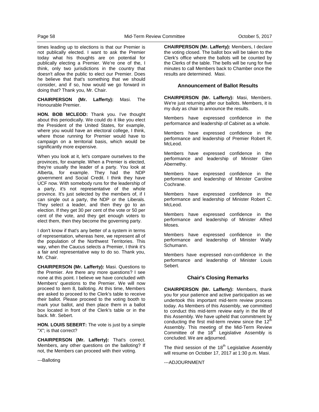times leading up to elections is that our Premier is not publically elected. I want to ask the Premier today what his thoughts are on potential for publically electing a Premier. We're one of the, I think, only two jurisdictions in the country that doesn't allow the public to elect our Premier. Does he believe that that's something that we should consider, and if so, how would we go forward in doing that? Thank you, Mr. Chair.

**CHAIRPERSON (Mr. Lafferty):** Masi. The Honourable Premier.

**HON. BOB MCLEOD:** Thank you. I've thought about this periodically. We could do it like you elect the President of the United States, for example, where you would have an electoral college, I think, where those running for Premier would have to campaign on a territorial basis, which would be significantly more expensive.

When you look at it, let's compare ourselves to the provinces, for example. When a Premier is elected, they're usually the leader of a party. You look at Alberta, for example. They had the NDP government and Social Credit. I think they have UCF now. With somebody runs for the leadership of a party, it's not representative of the whole province. It's just selected by the members of, if I can single out a party, the NDP or the Liberals. They select a leader, and then they go to an election. If they get 30 per cent of the vote or 50 per cent of the vote, and they get enough voters to elect them, then they become the governing party.

I don't know if that's any better of a system in terms of representation, whereas here, we represent all of the population of the Northwest Territories. This way, when the Caucus selects a Premier, I think it's a fair and representative way to do so. Thank you, Mr. Chair.

**CHAIRPERSON (Mr. Lafferty):** Masi. Questions to the Premier. Are there any more questions? I see none at this point. I believe we have concluded with Members' questions to the Premier. We will now proceed to item 8, balloting. At this time, Members are asked to proceed to the Clerk's table to receive their ballot. Please proceed to the voting booth to mark your ballot, and then place them in a ballot box located in front of the Clerk's table or in the back. Mr. Sebert.

**HON. LOUIS SEBERT:** The vote is just by a simple "X"; is that correct?

**CHAIRPERSON (Mr. Lafferty):** That's correct. Members, any other questions on the balloting? If not, the Members can proceed with their voting.

---Balloting

**CHAIRPERSON (Mr. Lafferty):** Members, I declare the voting closed. The ballot box will be taken to the Clerk's office where the ballots will be counted by the Clerks of the table. The bells will be rung for five minutes to call Members back to Chamber once the results are determined. Masi.

#### **Announcement of Ballot Results**

**CHAIRPERSON (Mr. Lafferty):** Masi, Members. We're just returning after our ballots. Members, it is my duty as chair to announce the results.

Members have expressed confidence in the performance and leadership of Cabinet as a whole.

Members have expressed confidence in the performance and leadership of Premier Robert R. McLeod.

Members have expressed confidence in the performance and leadership of Minister Glen Abernethy.

Members have expressed confidence in the performance and leadership of Minister Caroline Cochrane.

Members have expressed confidence in the performance and leadership of Minister Robert C. McLeod.

Members have expressed confidence in the performance and leadership of Minister Alfred Moses.

Members have expressed confidence in the performance and leadership of Minister Wally Schumann.

Members have expressed non-confidence in the performance and leadership of Minister Louis Sebert.

## **Chair's Closing Remarks**

**CHAIRPERSON (Mr. Lafferty):** Members, thank you for your patience and active participation as we undertook this important mid-term review process today. As Members of this Assembly, we committed to conduct this mid-term review early in the life of this Assembly. We have upheld that commitment by conducting the first mid-term review since the  $12<sup>tr</sup>$ Assembly. This meeting of the Mid-Term Review Committee of the 18 $^{\text{th}}$  Legislative Assembly is concluded. We are adjourned.

The third session of the  $18<sup>th</sup>$  Legislative Assembly will resume on October 17, 2017 at 1:30 p.m. Masi.

---ADJOURNMENT